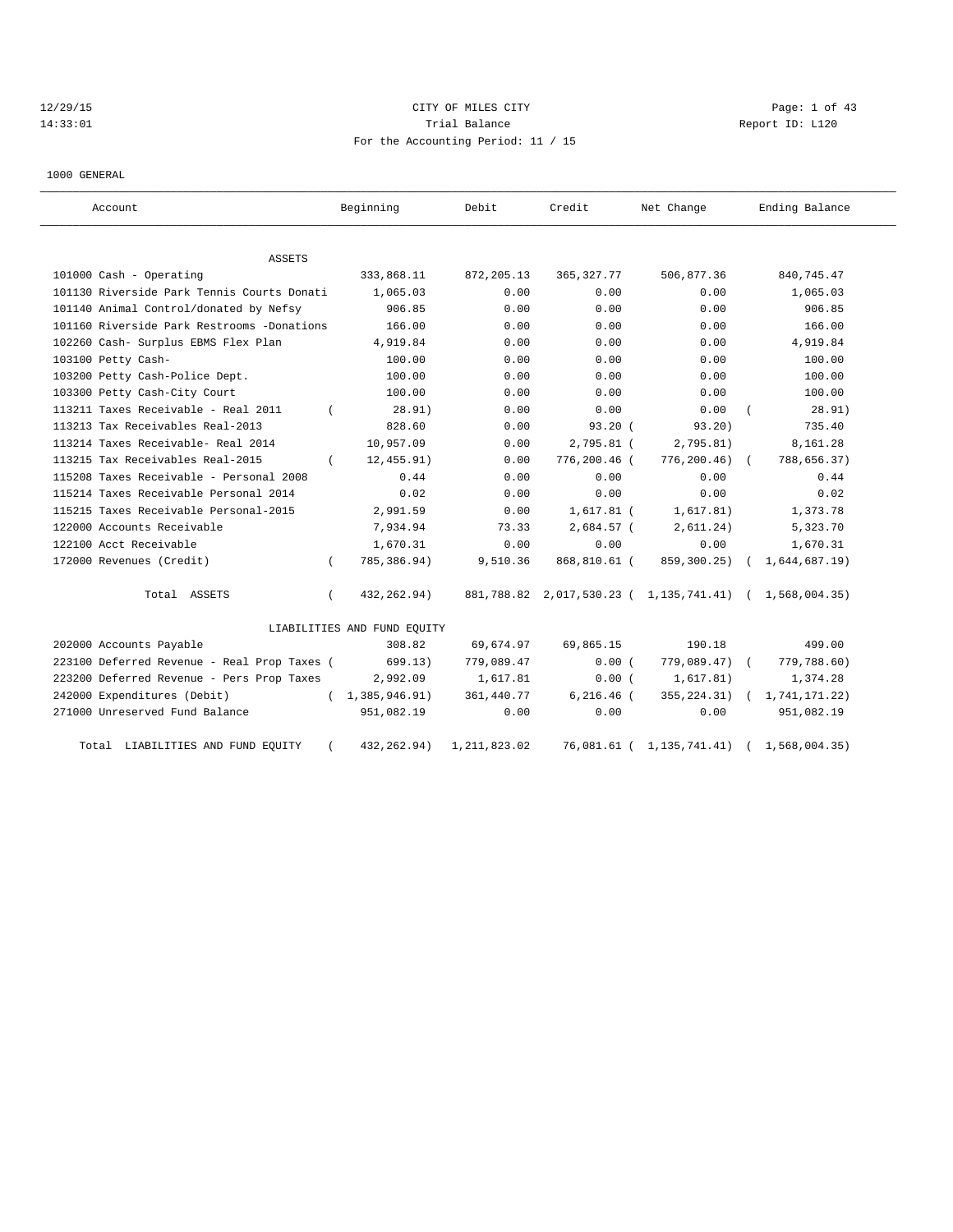## 12/29/15 CITY OF MILES CITY Page: 1 of 43 14:33:01 Trial Balance Report ID: L120 For the Accounting Period: 11 / 15

1000 GENERAL

| Account                                     |            | Beginning                   | Debit          | Credit        | Net Change                                              | Ending Balance |
|---------------------------------------------|------------|-----------------------------|----------------|---------------|---------------------------------------------------------|----------------|
| <b>ASSETS</b>                               |            |                             |                |               |                                                         |                |
| 101000 Cash - Operating                     |            | 333,868.11                  | 872,205.13     | 365, 327. 77  | 506,877.36                                              | 840, 745.47    |
| 101130 Riverside Park Tennis Courts Donati  |            | 1,065.03                    | 0.00           | 0.00          | 0.00                                                    | 1,065.03       |
| 101140 Animal Control/donated by Nefsy      |            | 906.85                      | 0.00           | 0.00          | 0.00                                                    | 906.85         |
| 101160 Riverside Park Restrooms -Donations  |            | 166.00                      | 0.00           | 0.00          | 0.00                                                    | 166.00         |
| 102260 Cash- Surplus EBMS Flex Plan         |            | 4,919.84                    | 0.00           | 0.00          | 0.00                                                    | 4,919.84       |
| 103100 Petty Cash-                          |            | 100.00                      | 0.00           | 0.00          | 0.00                                                    | 100.00         |
| 103200 Petty Cash-Police Dept.              |            | 100.00                      | 0.00           | 0.00          | 0.00                                                    | 100.00         |
| 103300 Petty Cash-City Court                |            | 100.00                      | 0.00           | 0.00          | 0.00                                                    | 100.00         |
| 113211 Taxes Receivable - Real 2011         |            | 28.91)                      | 0.00           | 0.00          | 0.00                                                    | 28.91)         |
| 113213 Tax Receivables Real-2013            |            | 828.60                      | 0.00           | 93.20(        | 93.20)                                                  | 735.40         |
| 113214 Taxes Receivable- Real 2014          |            | 10,957.09                   | 0.00           | 2,795.81 (    | 2,795.81)                                               | 8,161.28       |
| 113215 Tax Receivables Real-2015            |            | 12, 455.91)                 | 0.00           | 776,200.46 (  | $776, 200.46$ (                                         | 788,656.37)    |
| 115208 Taxes Receivable - Personal 2008     |            | 0.44                        | 0.00           | 0.00          | 0.00                                                    | 0.44           |
| 115214 Taxes Receivable Personal 2014       |            | 0.02                        | 0.00           | 0.00          | 0.00                                                    | 0.02           |
| 115215 Taxes Receivable Personal-2015       |            | 2,991.59                    | 0.00           | $1,617.81$ (  | 1,617.81)                                               | 1,373.78       |
| 122000 Accounts Receivable                  |            | 7,934.94                    | 73.33          | 2,684.57 (    | 2,611.24)                                               | 5,323.70       |
| 122100 Acct Receivable                      |            | 1,670.31                    | 0.00           | 0.00          | 0.00                                                    | 1,670.31       |
| 172000 Revenues (Credit)                    |            | 785, 386.94)                | 9,510.36       | 868,810.61 (  | 859,300.25)                                             | 1,644,687.19)  |
| Total ASSETS                                | $\sqrt{2}$ | 432, 262.94)                |                |               | 881,788.82 2,017,530.23 ( 1,135,741.41) ( 1,568,004.35) |                |
|                                             |            | LIABILITIES AND FUND EQUITY |                |               |                                                         |                |
| 202000 Accounts Payable                     |            | 308.82                      | 69,674.97      | 69,865.15     | 190.18                                                  | 499.00         |
| 223100 Deferred Revenue - Real Prop Taxes ( |            | 699.13)                     | 779,089.47     | 0.00(         | 779,089.47) (                                           | 779,788.60)    |
| 223200 Deferred Revenue - Pers Prop Taxes   |            | 2,992.09                    | 1,617.81       | 0.00(         | 1,617.81)                                               | 1,374.28       |
| 242000 Expenditures (Debit)                 |            | (1, 385, 946.91)            | 361, 440.77    | $6, 216.46$ ( | 355, 224.31)                                            | 1,741,171.22)  |
| 271000 Unreserved Fund Balance              |            | 951,082.19                  | 0.00           | 0.00          | 0.00                                                    | 951,082.19     |
| LIABILITIES AND FUND EQUITY<br>Total        |            | 432, 262.94)                | 1, 211, 823.02 | 76,081.61 (   | 1, 135, 741.41)                                         | 1,568,004.35)  |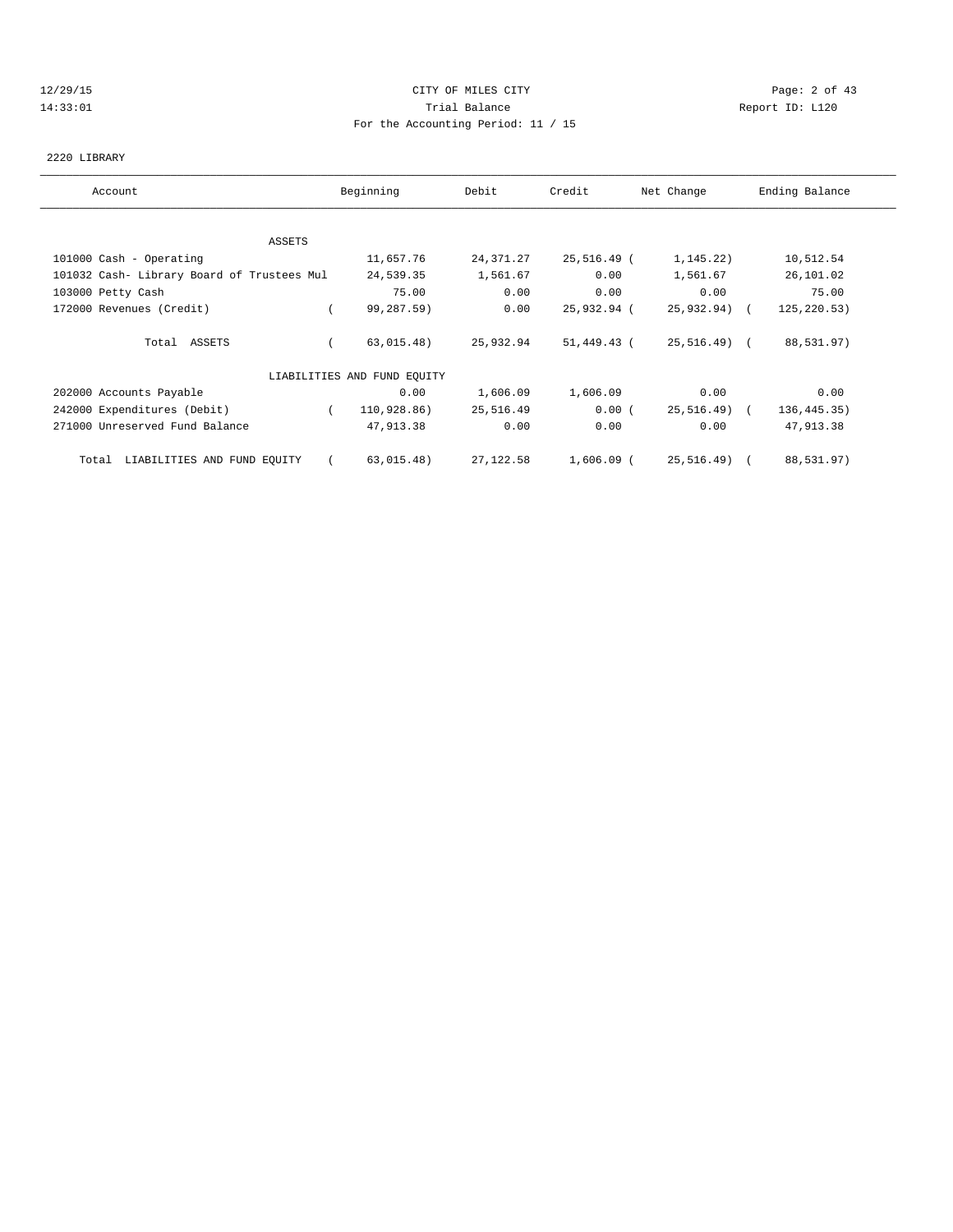## 12/29/15 CITY OF MILES CITY Page: 2 of 43 14:33:01 Trial Balance Report ID: L120 For the Accounting Period: 11 / 15

#### 2220 LIBRARY

| Account                                    | Beginning                   | Debit     | Credit      | Net Change    | Ending Balance |
|--------------------------------------------|-----------------------------|-----------|-------------|---------------|----------------|
|                                            |                             |           |             |               |                |
| ASSETS                                     |                             |           |             |               |                |
| 101000 Cash - Operating                    | 11,657.76                   | 24,371.27 | 25,516.49 ( | 1,145.22)     | 10,512.54      |
| 101032 Cash- Library Board of Trustees Mul | 24,539.35                   | 1,561.67  | 0.00        | 1,561.67      | 26,101.02      |
| 103000 Petty Cash                          | 75.00                       | 0.00      | 0.00        | 0.00          | 75.00          |
| 172000 Revenues (Credit)                   | 99,287.59)                  | 0.00      | 25,932.94 ( | $25,932.94$ ( | 125, 220.53)   |
| Total ASSETS                               | 63,015.48)                  | 25,932.94 | 51,449.43 ( | 25,516.49) (  | 88,531.97)     |
|                                            | LIABILITIES AND FUND EQUITY |           |             |               |                |
| 202000 Accounts Payable                    | 0.00                        | 1,606.09  | 1,606.09    | 0.00          | 0.00           |
| 242000 Expenditures (Debit)                | 110,928.86)<br>$\left($     | 25,516.49 | 0.00(       | 25,516.49) (  | 136, 445. 35)  |
| 271000 Unreserved Fund Balance             | 47,913.38                   | 0.00      | 0.00        | 0.00          | 47,913.38      |
| Total LIABILITIES AND FUND EQUITY          | 63,015.48)                  | 27,122.58 | 1,606.09 (  | 25,516.49) (  | 88,531.97)     |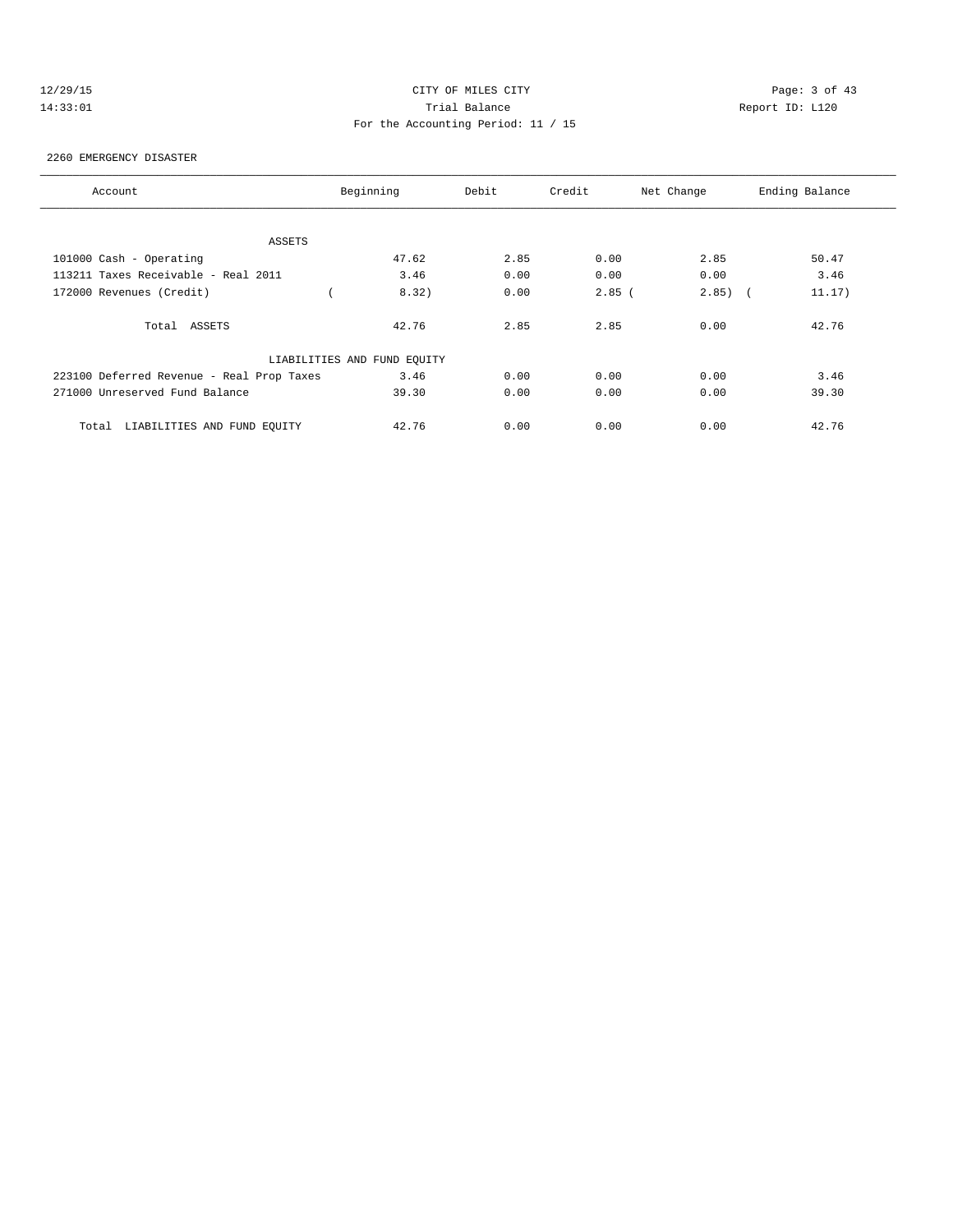## 12/29/15 CITY OF MILES CITY Page: 3 of 43 14:33:01 Trial Balance Report ID: L120 For the Accounting Period: 11 / 15

#### 2260 EMERGENCY DISASTER

| Account                                   | Beginning                   | Debit | Credit   | Net Change | Ending Balance |
|-------------------------------------------|-----------------------------|-------|----------|------------|----------------|
|                                           |                             |       |          |            |                |
| ASSETS                                    |                             |       |          |            |                |
| 101000 Cash - Operating                   | 47.62                       | 2.85  | 0.00     | 2.85       | 50.47          |
| 113211 Taxes Receivable - Real 2011       | 3.46                        | 0.00  | 0.00     | 0.00       | 3.46           |
| 172000 Revenues (Credit)                  | 8.32)                       | 0.00  | $2.85$ ( | $2.85$ ) ( | 11.17)         |
|                                           |                             |       |          |            |                |
| Total ASSETS                              | 42.76                       | 2.85  | 2.85     | 0.00       | 42.76          |
|                                           |                             |       |          |            |                |
|                                           | LIABILITIES AND FUND EQUITY |       |          |            |                |
| 223100 Deferred Revenue - Real Prop Taxes | 3.46                        | 0.00  | 0.00     | 0.00       | 3.46           |
| 271000 Unreserved Fund Balance            | 39.30                       | 0.00  | 0.00     | 0.00       | 39.30          |
|                                           |                             |       |          |            |                |
| LIABILITIES AND FUND EOUITY<br>Total      | 42.76                       | 0.00  | 0.00     | 0.00       | 42.76          |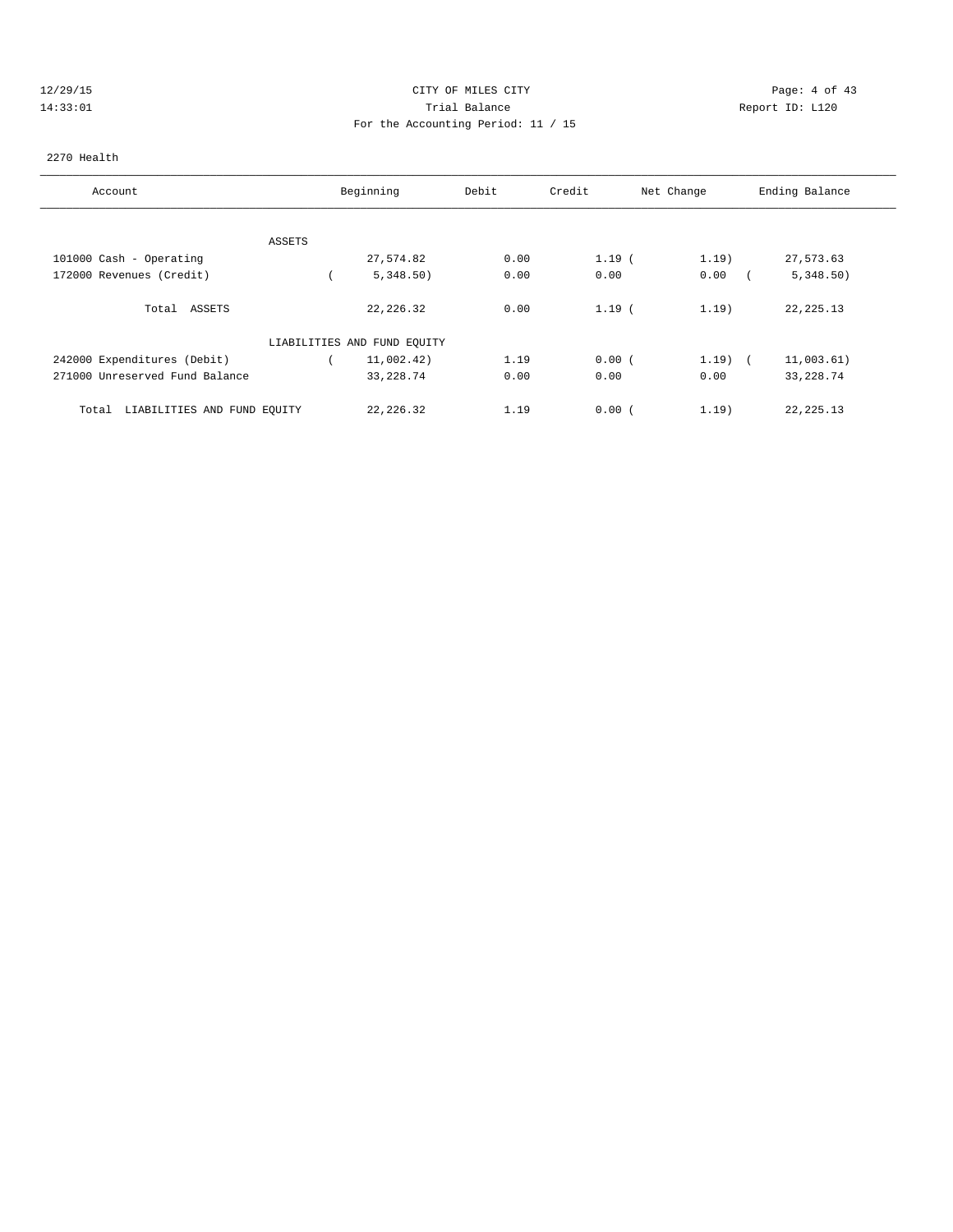## 12/29/15 CITY OF MILES CITY Page: 4 of 43 14:33:01 Trial Balance Report ID: L120 For the Accounting Period: 11 / 15

#### 2270 Health

| Account                              | Beginning                   | Debit | Credit | Net Change | Ending Balance |
|--------------------------------------|-----------------------------|-------|--------|------------|----------------|
|                                      |                             |       |        |            |                |
| ASSETS<br>101000 Cash - Operating    | 27,574.82                   | 0.00  | 1.19(  | 1.19)      | 27,573.63      |
| 172000 Revenues (Credit)             | 5,348.50)                   | 0.00  | 0.00   | 0.00       | 5,348.50)      |
| Total ASSETS                         | 22, 226.32                  | 0.00  | 1.19(  | 1.19)      | 22, 225. 13    |
|                                      | LIABILITIES AND FUND EQUITY |       |        |            |                |
| 242000 Expenditures (Debit)          | 11,002.42)                  | 1.19  | 0.00(  | $1.19$ (   | 11,003.61)     |
| 271000 Unreserved Fund Balance       | 33, 228.74                  | 0.00  | 0.00   | 0.00       | 33, 228.74     |
| LIABILITIES AND FUND EQUITY<br>Total | 22, 226, 32                 | 1.19  | 0.00(  | 1.19)      | 22, 225. 13    |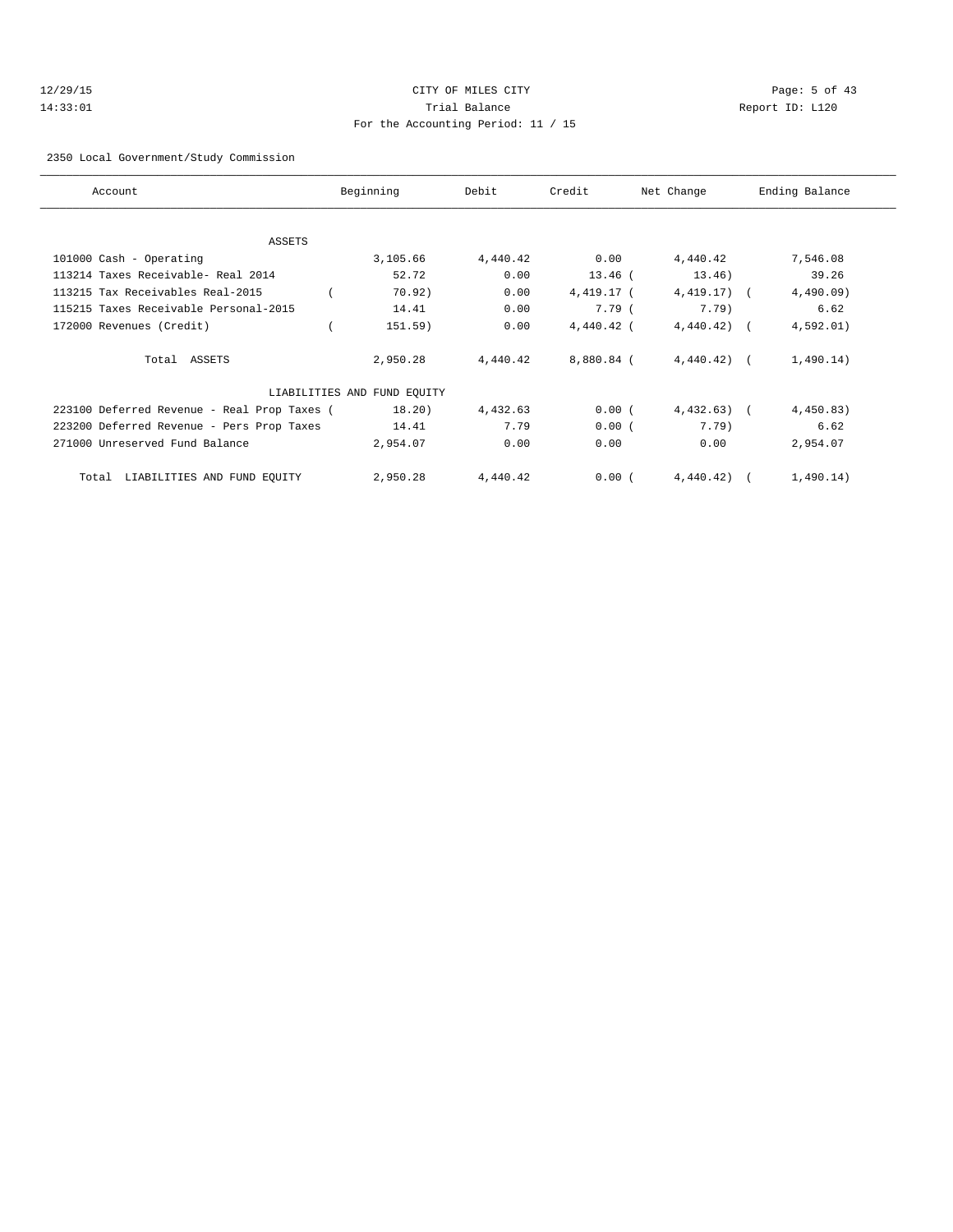## 12/29/15 CITY OF MILES CITY Page: 5 of 43 14:33:01 Trial Balance Report ID: L120 For the Accounting Period: 11 / 15

2350 Local Government/Study Commission

| Account                                     | Beginning                   | Debit    | Credit     | Net Change   | Ending Balance |
|---------------------------------------------|-----------------------------|----------|------------|--------------|----------------|
|                                             |                             |          |            |              |                |
| ASSETS                                      |                             |          |            |              |                |
| 101000 Cash - Operating                     | 3,105.66                    | 4,440.42 | 0.00       | 4,440.42     | 7,546.08       |
| 113214 Taxes Receivable- Real 2014          | 52.72                       | 0.00     | $13.46$ (  | 13.46)       | 39.26          |
| 113215 Tax Receivables Real-2015            | 70.92)                      | 0.00     | 4,419.17 ( | $4,419.17$ ( | $4,490.09$ )   |
| 115215 Taxes Receivable Personal-2015       | 14.41                       | 0.00     | 7.79 (     | $7.79$ )     | 6.62           |
| 172000 Revenues (Credit)                    | 151.59)                     | 0.00     | 4,440.42 ( | 4,440.42)    | 4,592.01)      |
| Total ASSETS                                | 2,950.28                    | 4,440.42 | 8,880.84 ( | $4,440.42$ ( | 1,490.14)      |
|                                             | LIABILITIES AND FUND EQUITY |          |            |              |                |
| 223100 Deferred Revenue - Real Prop Taxes ( | 18.20)                      | 4,432.63 | 0.00(      | 4,432.63)    | 4,450.83)      |
| 223200 Deferred Revenue - Pers Prop Taxes   | 14.41                       | 7.79     | 0.00(      | $7.79$ )     | 6.62           |
| 271000 Unreserved Fund Balance              | 2,954.07                    | 0.00     | 0.00       | 0.00         | 2,954.07       |
| LIABILITIES AND FUND EQUITY<br>Total        | 2,950.28                    | 4,440.42 | 0.00(      | 4,440.42)    | 1,490.14)      |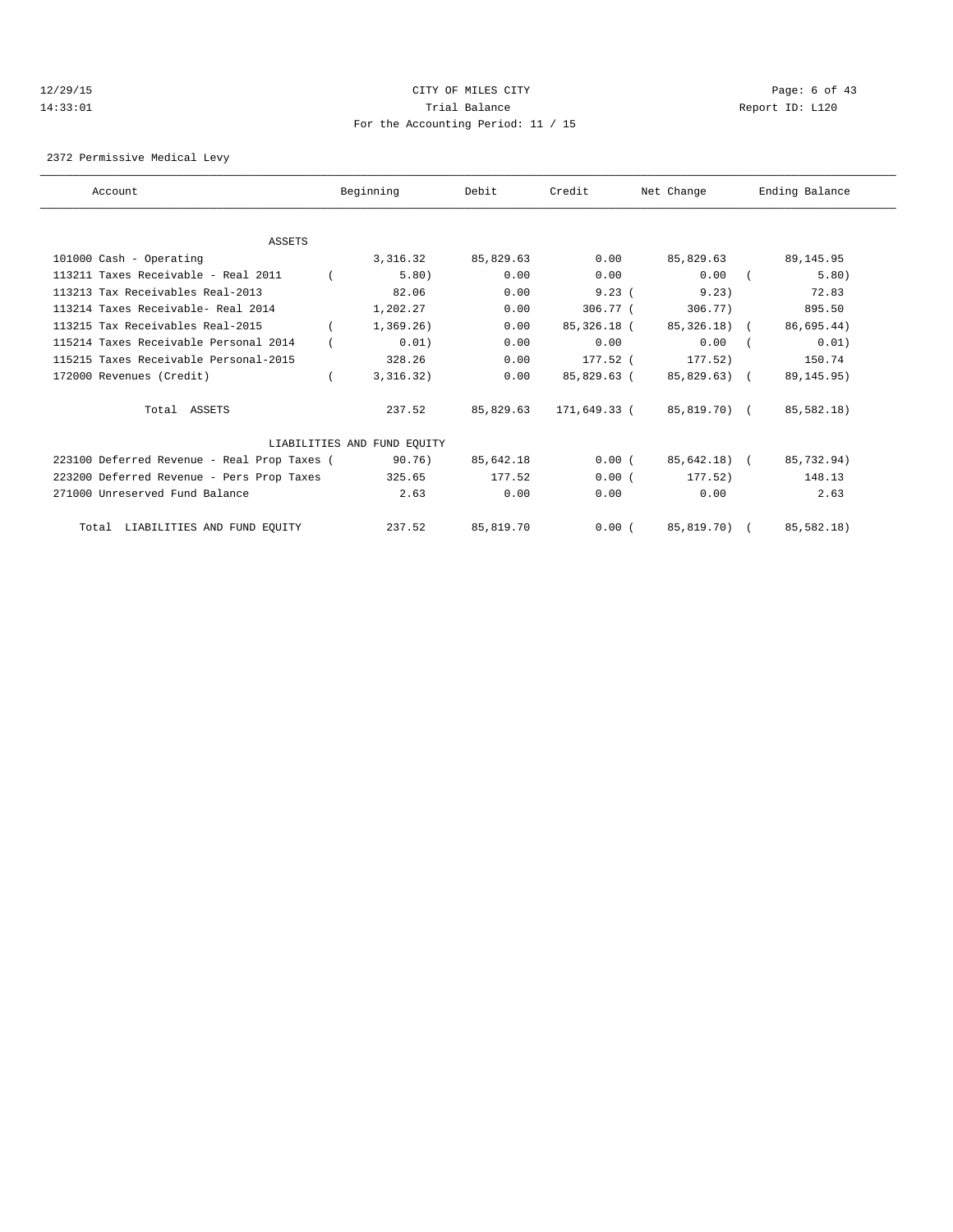#### 12/29/15 CITY OF MILES CITY Page: 6 of 43 14:33:01 Trial Balance Report ID: L120 For the Accounting Period: 11 / 15

2372 Permissive Medical Levy

| Account                                     |          | Beginning                   | Debit     | Credit                   | Net Change   | Ending Balance         |
|---------------------------------------------|----------|-----------------------------|-----------|--------------------------|--------------|------------------------|
|                                             |          |                             |           |                          |              |                        |
| ASSETS                                      |          |                             |           |                          |              |                        |
| 101000 Cash - Operating                     |          | 3,316.32                    | 85,829.63 | 0.00                     | 85,829.63    | 89,145.95              |
| 113211 Taxes Receivable - Real 2011         |          | 5.80)                       | 0.00      | 0.00                     | 0.00         | 5.80)                  |
| 113213 Tax Receivables Real-2013            |          | 82.06                       | 0.00      | 9.23(                    | 9.23)        | 72.83                  |
| 113214 Taxes Receivable- Real 2014          |          | 1,202.27                    | 0.00      | $306.77$ (               | 306.77)      | 895.50                 |
| 113215 Tax Receivables Real-2015            |          | 1,369.26)                   | 0.00      | 85,326.18 (              | 85,326.18) ( | 86,695.44)             |
| 115214 Taxes Receivable Personal 2014       |          | 0.01)                       | 0.00      | 0.00                     | 0.00         | 0.01)                  |
| 115215 Taxes Receivable Personal-2015       |          | 328.26                      | 0.00      | 177.52 (                 | 177.52)      | 150.74                 |
| 172000 Revenues (Credit)                    | $\left($ | 3,316.32)                   | 0.00      | 85,829.63 (              | 85,829.63) ( | 89, 145. 95)           |
| Total ASSETS                                |          | 237.52                      | 85,829.63 | 171,649.33 (85,819.70) ( |              | 85,582.18)             |
|                                             |          | LIABILITIES AND FUND EQUITY |           |                          |              |                        |
| 223100 Deferred Revenue - Real Prop Taxes ( |          | 90.76)                      | 85,642.18 | 0.00(                    | 85,642.18) ( | 85,732.94)             |
| 223200 Deferred Revenue - Pers Prop Taxes   |          | 325.65                      | 177.52    | 0.00(                    | 177.52)      | 148.13                 |
| 271000 Unreserved Fund Balance              |          | 2.63                        | 0.00      | 0.00                     | 0.00         | 2.63                   |
| Total LIABILITIES AND FUND EQUITY           |          | 237.52                      | 85,819.70 | 0.00(                    |              | 85,819.70) (85,582.18) |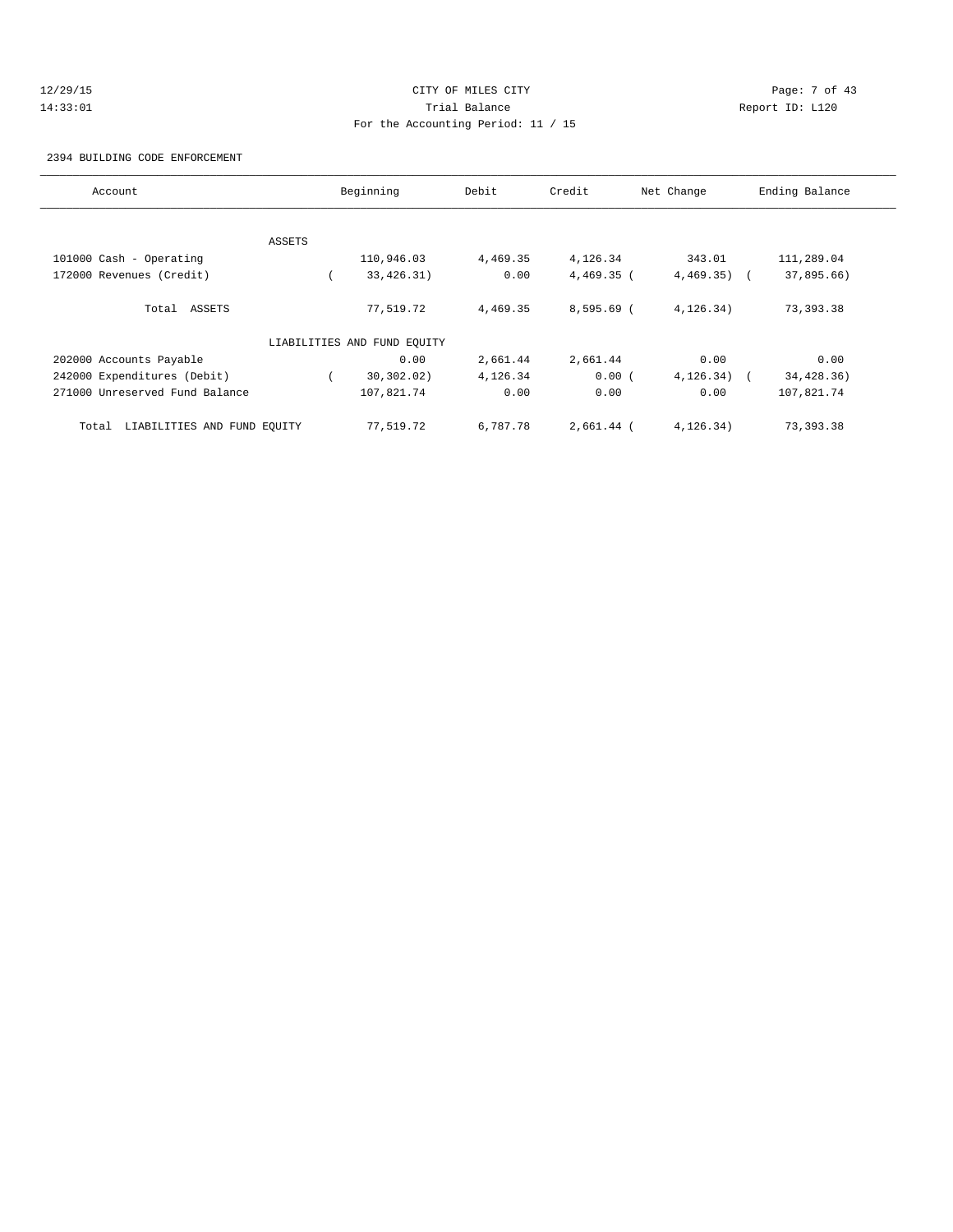## 12/29/15 CITY OF MILES CITY Page: 7 of 43 14:33:01 Trial Balance Report ID: L120 For the Accounting Period: 11 / 15

2394 BUILDING CODE ENFORCEMENT

| Account                              |        | Beginning                   | Debit    | Credit       | Net Change   | Ending Balance |
|--------------------------------------|--------|-----------------------------|----------|--------------|--------------|----------------|
|                                      |        |                             |          |              |              |                |
|                                      | ASSETS |                             |          |              |              |                |
| 101000 Cash - Operating              |        | 110,946.03                  | 4,469.35 | 4,126.34     | 343.01       | 111,289.04     |
| 172000 Revenues (Credit)             |        | 33, 426. 31)                | 0.00     | $4,469.35$ ( | $4,469.35$ ( | 37,895.66)     |
| Total ASSETS                         |        | 77,519.72                   | 4,469.35 | $8,595.69$ ( | 4, 126.34)   | 73,393.38      |
|                                      |        | LIABILITIES AND FUND EQUITY |          |              |              |                |
| 202000 Accounts Payable              |        | 0.00                        | 2,661.44 | 2,661.44     | 0.00         | 0.00           |
| 242000 Expenditures (Debit)          |        | 30, 302, 02)                | 4,126.34 | 0.00(        | 4, 126.34)   | 34,428.36)     |
| 271000 Unreserved Fund Balance       |        | 107,821.74                  | 0.00     | 0.00         | 0.00         | 107,821.74     |
| LIABILITIES AND FUND EQUITY<br>Total |        | 77,519.72                   | 6,787.78 | 2,661.44 (   | 4, 126.34)   | 73,393.38      |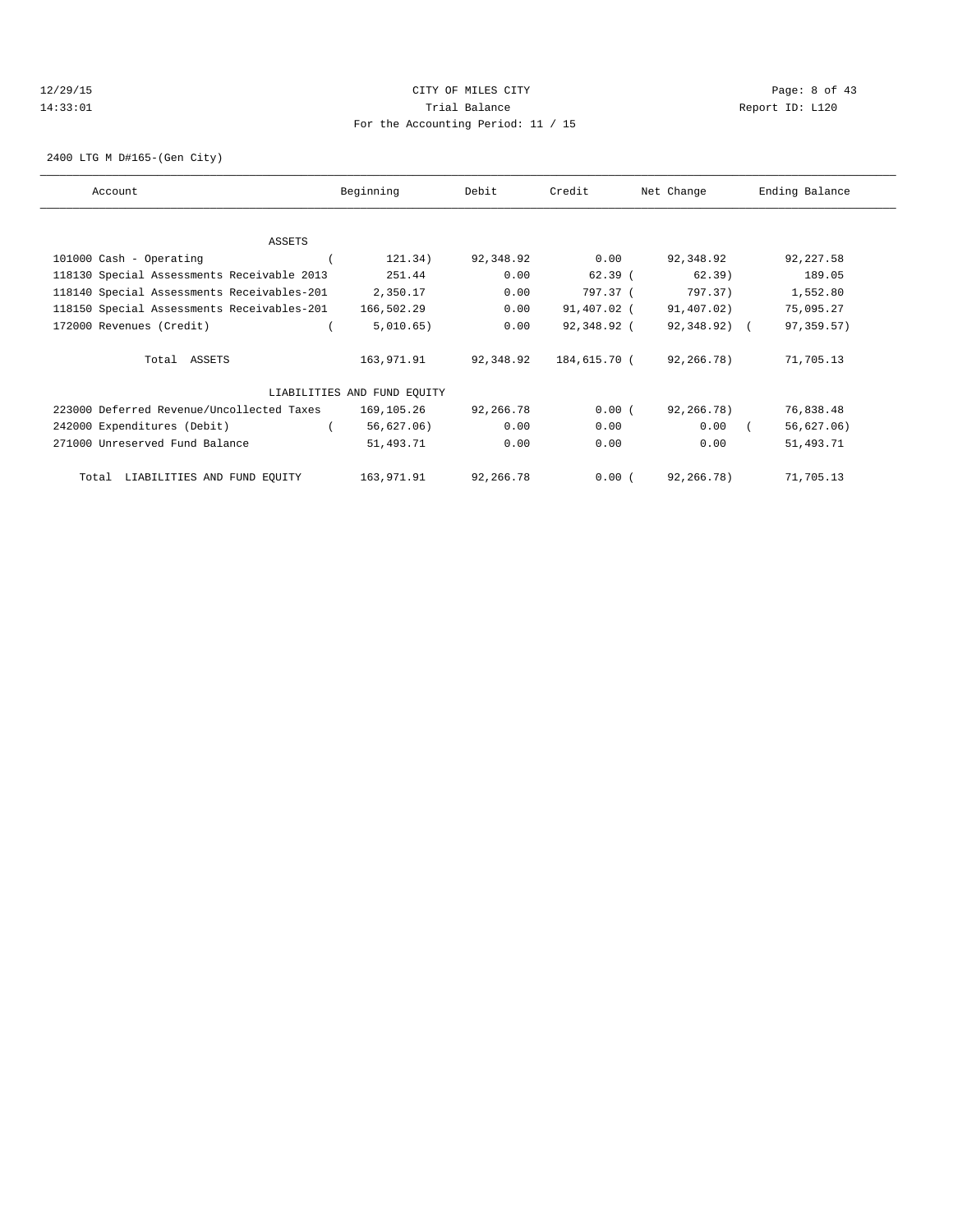## 12/29/15 CITY OF MILES CITY Page: 8 of 43 14:33:01 Trial Balance Report ID: L120 For the Accounting Period: 11 / 15

2400 LTG M D#165-(Gen City)

| Account                                    | Beginning                   | Debit     | Credit       | Net Change   | Ending Balance |
|--------------------------------------------|-----------------------------|-----------|--------------|--------------|----------------|
|                                            |                             |           |              |              |                |
| ASSETS                                     |                             |           |              |              |                |
| 101000 Cash - Operating                    | 121.34)                     | 92,348.92 | 0.00         | 92,348.92    | 92,227.58      |
| 118130 Special Assessments Receivable 2013 | 251.44                      | 0.00      | $62.39$ (    | 62.39)       | 189.05         |
| 118140 Special Assessments Receivables-201 | 2,350.17                    | 0.00      | 797.37 (     | 797.37)      | 1,552.80       |
| 118150 Special Assessments Receivables-201 | 166,502.29                  | 0.00      | 91,407.02 (  | 91,407.02)   | 75,095.27      |
| 172000 Revenues (Credit)                   | 5,010.65)                   | 0.00      | 92,348.92 (  | 92,348.92) ( | 97,359.57)     |
| Total ASSETS                               | 163,971.91                  | 92,348.92 | 184,615.70 ( | 92,266.78)   | 71,705.13      |
|                                            | LIABILITIES AND FUND EQUITY |           |              |              |                |
| 223000 Deferred Revenue/Uncollected Taxes  | 169,105.26                  | 92,266.78 | 0.00(        | 92,266.78)   | 76,838.48      |
| 242000 Expenditures (Debit)                | 56,627.06)                  | 0.00      | 0.00         | 0.00         | 56,627.06)     |
| 271000 Unreserved Fund Balance             | 51,493.71                   | 0.00      | 0.00         | 0.00         | 51,493.71      |
| LIABILITIES AND FUND EQUITY<br>Total       | 163,971.91                  | 92,266.78 | 0.00(        | 92,266.78)   | 71,705.13      |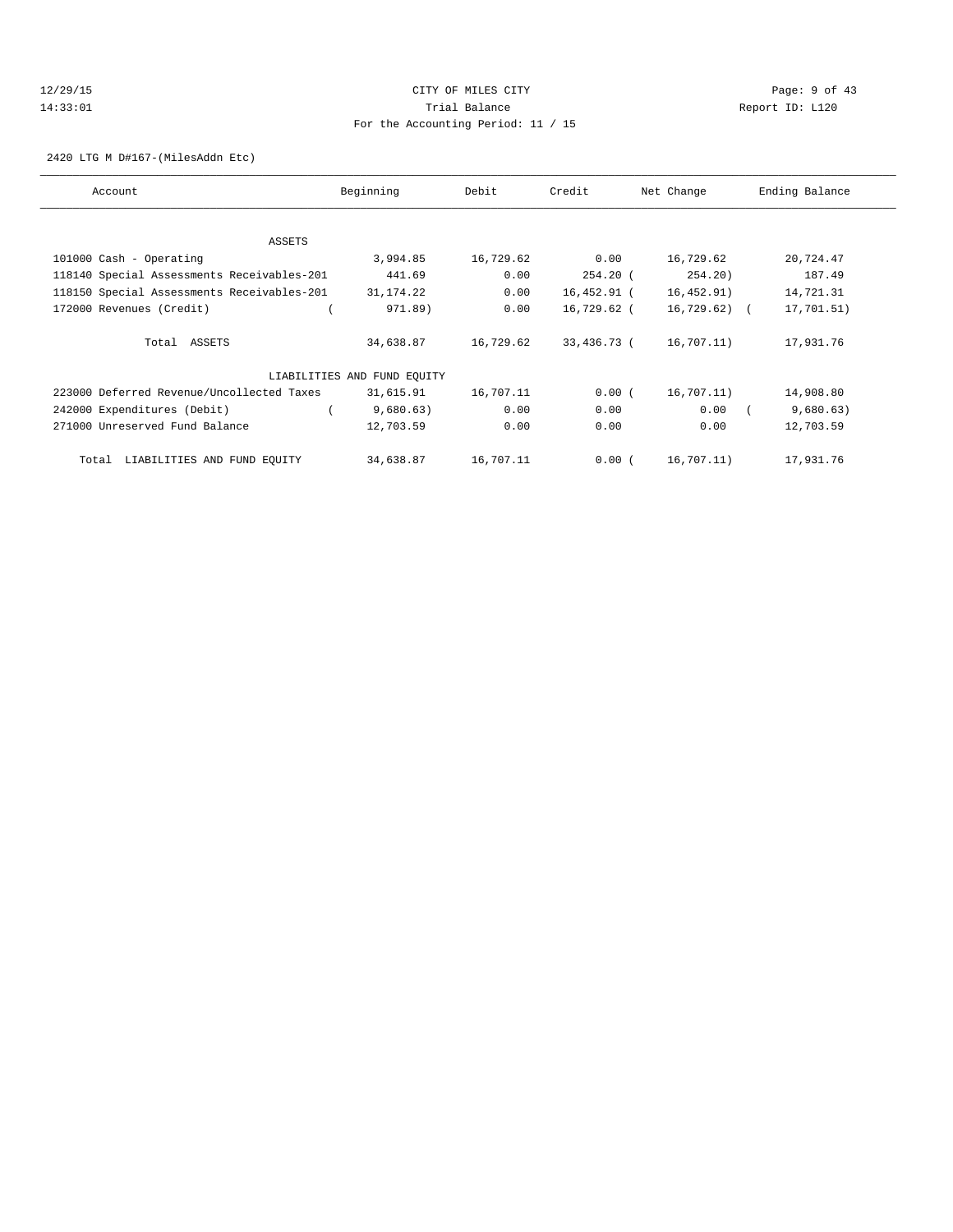## 12/29/15 CITY OF MILES CITY Page: 9 of 43 14:33:01 Trial Balance Report ID: L120 For the Accounting Period: 11 / 15

2420 LTG M D#167-(MilesAddn Etc)

| Account                                    | Beginning                   | Debit     | Credit      | Net Change   | Ending Balance |
|--------------------------------------------|-----------------------------|-----------|-------------|--------------|----------------|
|                                            |                             |           |             |              |                |
| ASSETS                                     |                             |           |             |              |                |
| 101000 Cash - Operating                    | 3,994.85                    | 16,729.62 | 0.00        | 16,729.62    | 20,724.47      |
| 118140 Special Assessments Receivables-201 | 441.69                      | 0.00      | $254.20$ (  | 254.20)      | 187.49         |
| 118150 Special Assessments Receivables-201 | 31,174.22                   | 0.00      | 16,452.91 ( | 16,452.91)   | 14,721.31      |
| 172000 Revenues (Credit)                   | 971.89)                     | 0.00      | 16,729.62 ( | 16,729.62) ( | 17,701.51)     |
| Total ASSETS                               | 34,638.87                   | 16,729.62 | 33,436.73 ( | 16,707.11)   | 17,931.76      |
|                                            |                             |           |             |              |                |
|                                            | LIABILITIES AND FUND EQUITY |           |             |              |                |
| 223000 Deferred Revenue/Uncollected Taxes  | 31,615.91                   | 16,707.11 | 0.00(       | 16,707.11)   | 14,908.80      |
| 242000 Expenditures (Debit)                | 9,680.63)                   | 0.00      | 0.00        | 0.00         | 9,680.63)      |
| 271000 Unreserved Fund Balance             | 12,703.59                   | 0.00      | 0.00        | 0.00         | 12,703.59      |
| LIABILITIES AND FUND EQUITY<br>Total       | 34,638.87                   | 16,707.11 | 0.00(       | 16,707.11)   | 17,931.76      |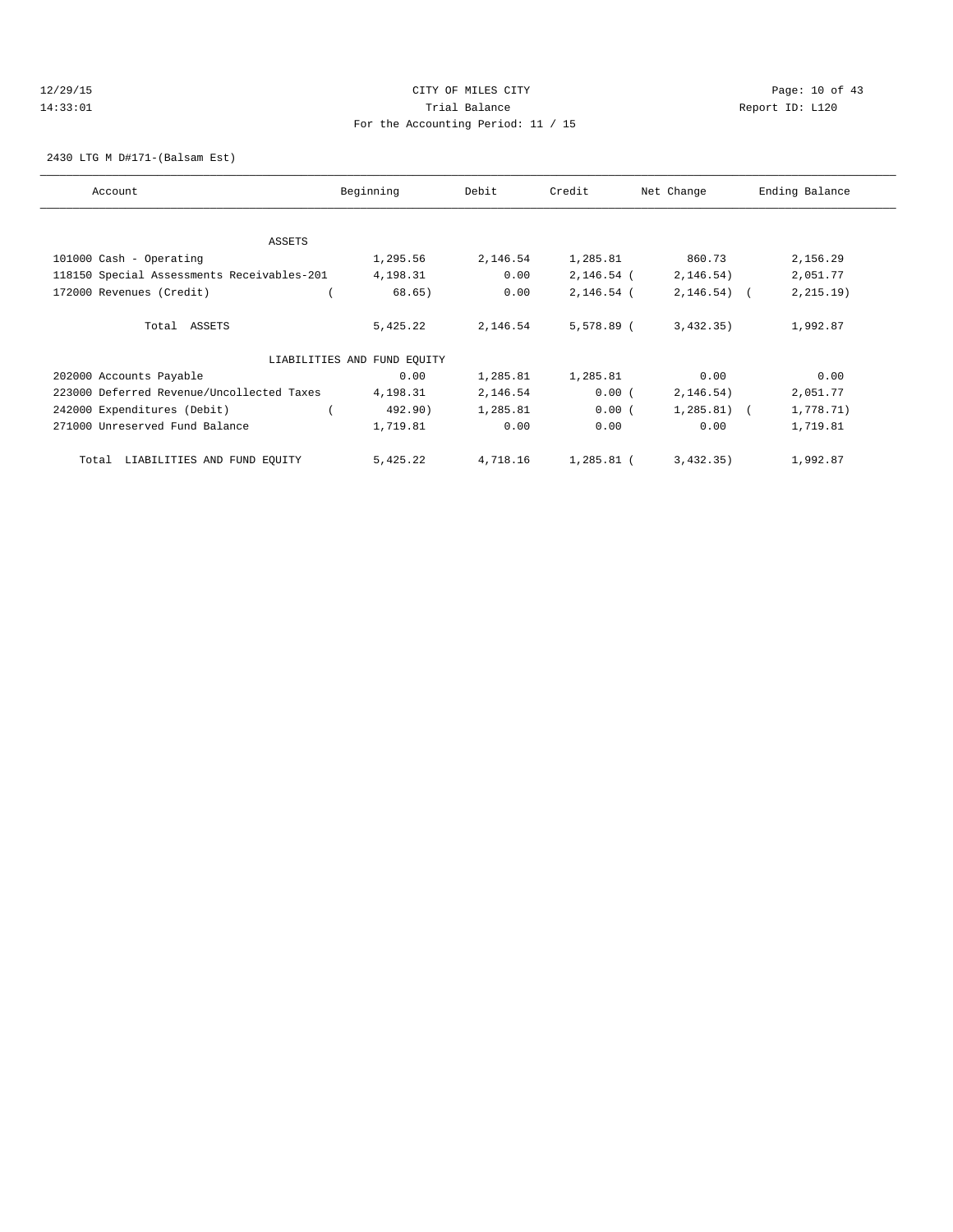## 12/29/15 Page: 10 of 43 14:33:01 Trial Balance Report ID: L120 For the Accounting Period: 11 / 15

2430 LTG M D#171-(Balsam Est)

| Account                                    | Beginning                   | Debit    | Credit       | Net Change   | Ending Balance |
|--------------------------------------------|-----------------------------|----------|--------------|--------------|----------------|
| <b>ASSETS</b>                              |                             |          |              |              |                |
|                                            |                             |          |              |              |                |
| 101000 Cash - Operating                    | 1,295.56                    | 2,146.54 | 1,285.81     | 860.73       | 2,156.29       |
| 118150 Special Assessments Receivables-201 | 4,198.31                    | 0.00     | $2,146.54$ ( | 2, 146.54)   | 2,051.77       |
| 172000 Revenues (Credit)                   | 68.65)                      | 0.00     | 2,146.54 (   | $2,146.54$ ( | 2, 215.19)     |
| Total ASSETS                               | 5,425.22                    | 2,146.54 | 5,578.89 (   | 3,432,35)    | 1,992.87       |
|                                            | LIABILITIES AND FUND EQUITY |          |              |              |                |
| 202000 Accounts Payable                    | 0.00                        | 1,285.81 | 1,285.81     | 0.00         | 0.00           |
| 223000 Deferred Revenue/Uncollected Taxes  | 4,198.31                    | 2,146.54 | 0.00(        | 2, 146.54)   | 2,051.77       |
| 242000 Expenditures (Debit)                | 492.90)                     | 1,285.81 | 0.00(        | $1,285.81$ ( | 1,778.71)      |
| 271000 Unreserved Fund Balance             | 1,719.81                    | 0.00     | 0.00         | 0.00         | 1,719.81       |
| LIABILITIES AND FUND EQUITY<br>Total       | 5,425.22                    | 4,718.16 | 1,285.81 (   | 3,432,35)    | 1,992.87       |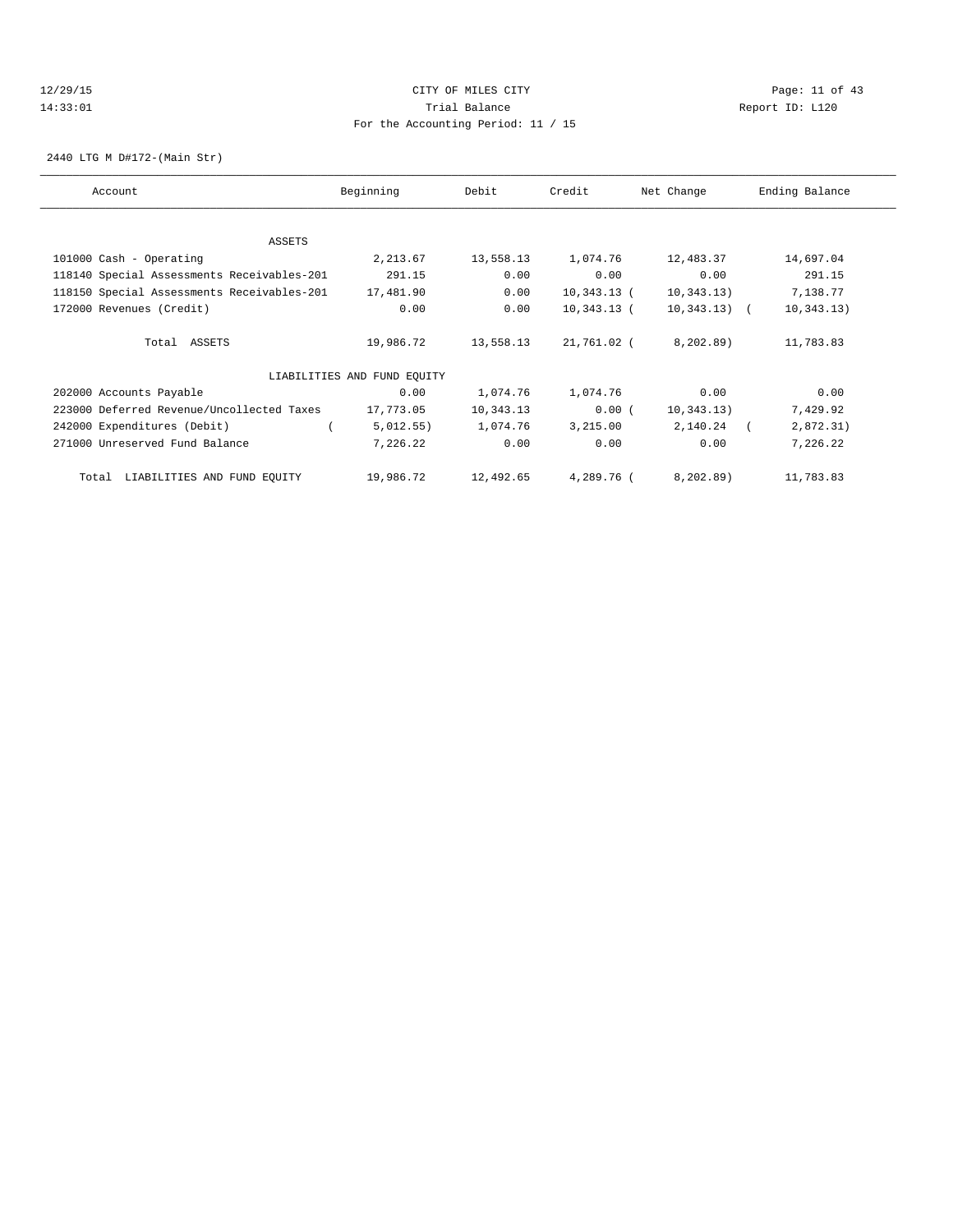## 12/29/15 Page: 11 of 43 14:33:01 Trial Balance Report ID: L120 For the Accounting Period: 11 / 15

2440 LTG M D#172-(Main Str)

| Account                                    | Beginning                   | Debit     | Credit        | Net Change     | Ending Balance |
|--------------------------------------------|-----------------------------|-----------|---------------|----------------|----------------|
|                                            |                             |           |               |                |                |
| ASSETS                                     |                             |           |               |                |                |
| 101000 Cash - Operating                    | 2,213.67                    | 13,558.13 | 1,074.76      | 12,483.37      | 14,697.04      |
| 118140 Special Assessments Receivables-201 | 291.15                      | 0.00      | 0.00          | 0.00           | 291.15         |
| 118150 Special Assessments Receivables-201 | 17,481.90                   | 0.00      | $10,343.13$ ( | 10, 343.13)    | 7,138.77       |
| 172000 Revenues (Credit)                   | 0.00                        | 0.00      | $10,343.13$ ( | $10,343.13)$ ( | 10, 343.13)    |
| Total ASSETS                               | 19,986.72                   | 13,558.13 | 21,761.02 (   | 8, 202, 89)    | 11,783.83      |
|                                            | LIABILITIES AND FUND EQUITY |           |               |                |                |
| 202000 Accounts Payable                    | 0.00                        | 1,074.76  | 1,074.76      | 0.00           | 0.00           |
| 223000 Deferred Revenue/Uncollected Taxes  | 17,773.05                   | 10,343.13 | 0.00(         | 10, 343.13)    | 7,429.92       |
| 242000 Expenditures (Debit)                | 5,012.55)                   | 1,074.76  | 3,215.00      | 2,140.24       | 2,872.31)      |
| 271000 Unreserved Fund Balance             | 7,226.22                    | 0.00      | 0.00          | 0.00           | 7,226.22       |
| LIABILITIES AND FUND EQUITY<br>Total       | 19,986.72                   | 12,492.65 | 4,289.76 (    | 8, 202, 89)    | 11,783.83      |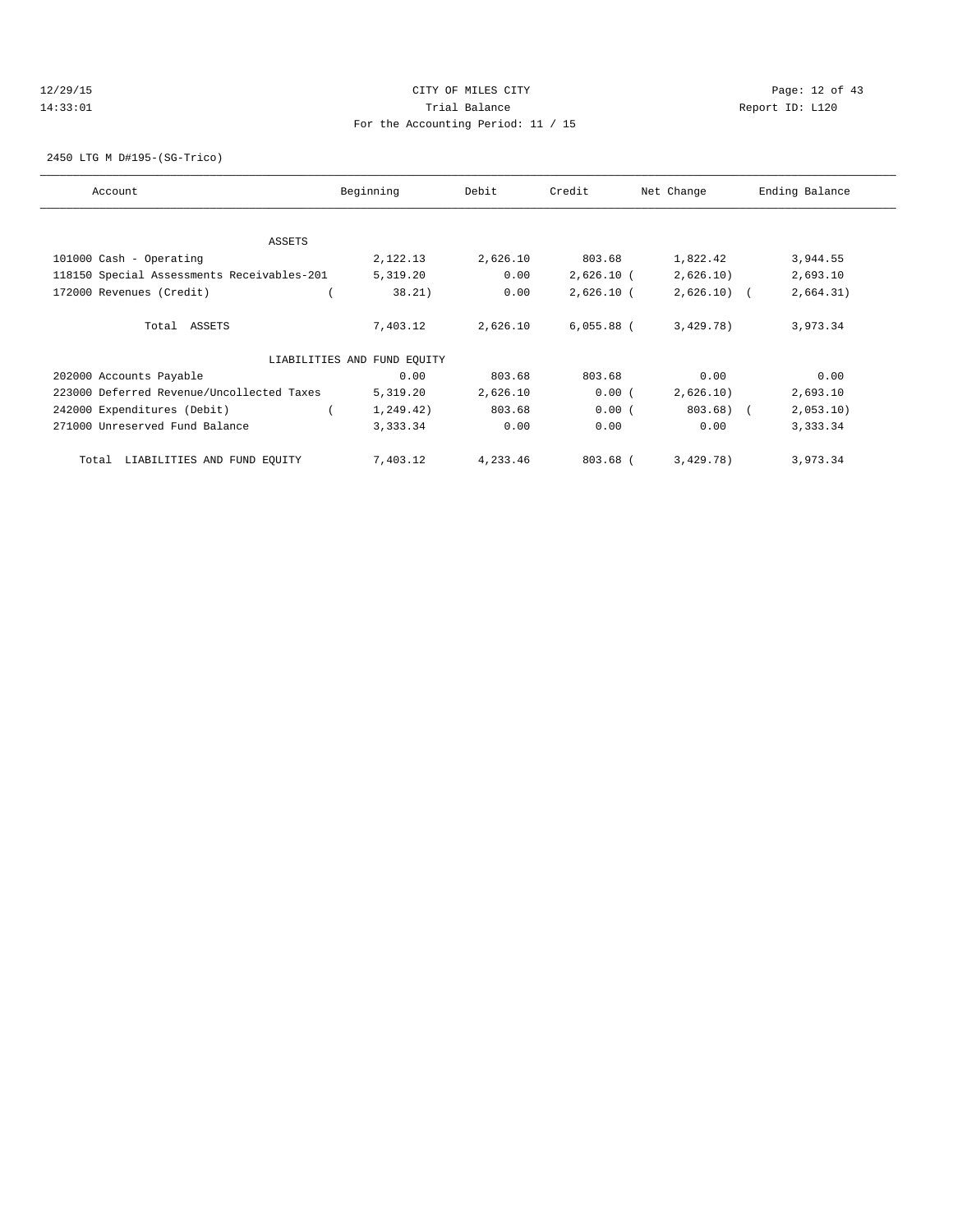## 12/29/15 **Page: 12 of 43** CITY OF MILES CITY **CITY** CITY **Page: 12 of 43** 14:33:01 Trial Balance Report ID: L120 For the Accounting Period: 11 / 15

2450 LTG M D#195-(SG-Trico)

| Account                                    | Beginning                   | Debit    | Credit       | Net Change   | Ending Balance |
|--------------------------------------------|-----------------------------|----------|--------------|--------------|----------------|
| ASSETS                                     |                             |          |              |              |                |
| 101000 Cash - Operating                    | 2,122.13                    | 2,626.10 | 803.68       | 1,822.42     | 3,944.55       |
| 118150 Special Assessments Receivables-201 | 5,319.20                    | 0.00     | $2,626.10$ ( | 2,626.10)    | 2,693.10       |
|                                            |                             | 0.00     |              |              |                |
| 172000 Revenues (Credit)                   | 38.21)                      |          | $2,626.10$ ( | $2,626.10$ ( | 2,664.31)      |
| Total ASSETS                               | 7,403.12                    | 2,626.10 | $6,055.88$ ( | 3,429.78)    | 3,973.34       |
|                                            | LIABILITIES AND FUND EQUITY |          |              |              |                |
| 202000 Accounts Payable                    | 0.00                        | 803.68   | 803.68       | 0.00         | 0.00           |
| 223000 Deferred Revenue/Uncollected Taxes  | 5,319.20                    | 2,626.10 | 0.00(        | 2,626.10)    | 2,693.10       |
| 242000 Expenditures (Debit)                | 1, 249.42)                  | 803.68   | 0.00(        | $803.68$ (   | 2,053.10)      |
| 271000 Unreserved Fund Balance             | 3,333.34                    | 0.00     | 0.00         | 0.00         | 3,333.34       |
| LIABILITIES AND FUND EQUITY<br>Total       | 7,403.12                    | 4,233.46 | 803.68 (     | 3,429.78)    | 3,973.34       |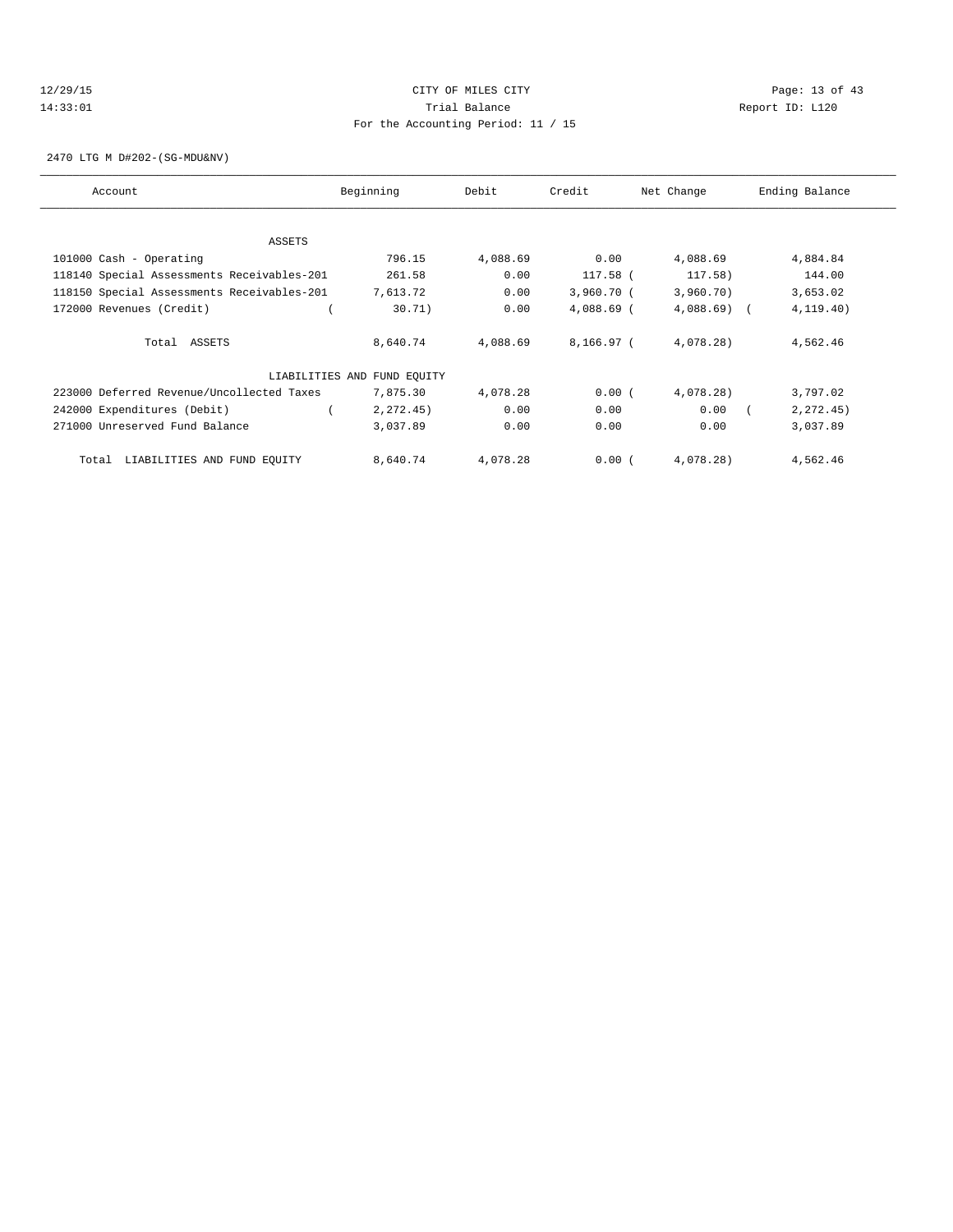## 12/29/15 Page: 13 of 43 14:33:01 Trial Balance Report ID: L120 For the Accounting Period: 11 / 15

2470 LTG M D#202-(SG-MDU&NV)

| Account                                    | Beginning                   | Debit    | Credit       | Net Change   | Ending Balance |
|--------------------------------------------|-----------------------------|----------|--------------|--------------|----------------|
|                                            |                             |          |              |              |                |
| ASSETS                                     |                             |          |              |              |                |
| 101000 Cash - Operating                    | 796.15                      | 4,088.69 | 0.00         | 4,088.69     | 4,884.84       |
| 118140 Special Assessments Receivables-201 | 261.58                      | 0.00     | 117.58 (     | 117.58)      | 144.00         |
| 118150 Special Assessments Receivables-201 | 7,613.72                    | 0.00     | 3,960.70(    | 3,960.70)    | 3,653.02       |
| 172000 Revenues (Credit)                   | 30.71)                      | 0.00     | $4,088.69$ ( | $4,088.69$ ( | 4, 119.40)     |
| Total ASSETS                               | 8,640.74                    | 4,088.69 | $8,166.97$ ( | 4,078.28)    | 4,562.46       |
|                                            | LIABILITIES AND FUND EQUITY |          |              |              |                |
| 223000 Deferred Revenue/Uncollected Taxes  | 7,875.30                    | 4,078.28 | 0.00(        | 4,078.28)    | 3,797.02       |
| 242000 Expenditures (Debit)                | 2, 272, 45)                 | 0.00     | 0.00         | 0.00         | 2, 272.45)     |
| 271000 Unreserved Fund Balance             | 3,037.89                    | 0.00     | 0.00         | 0.00         | 3,037.89       |
| LIABILITIES AND FUND EQUITY<br>Total       | 8,640.74                    | 4,078.28 | 0.00(        | 4,078.28)    | 4,562.46       |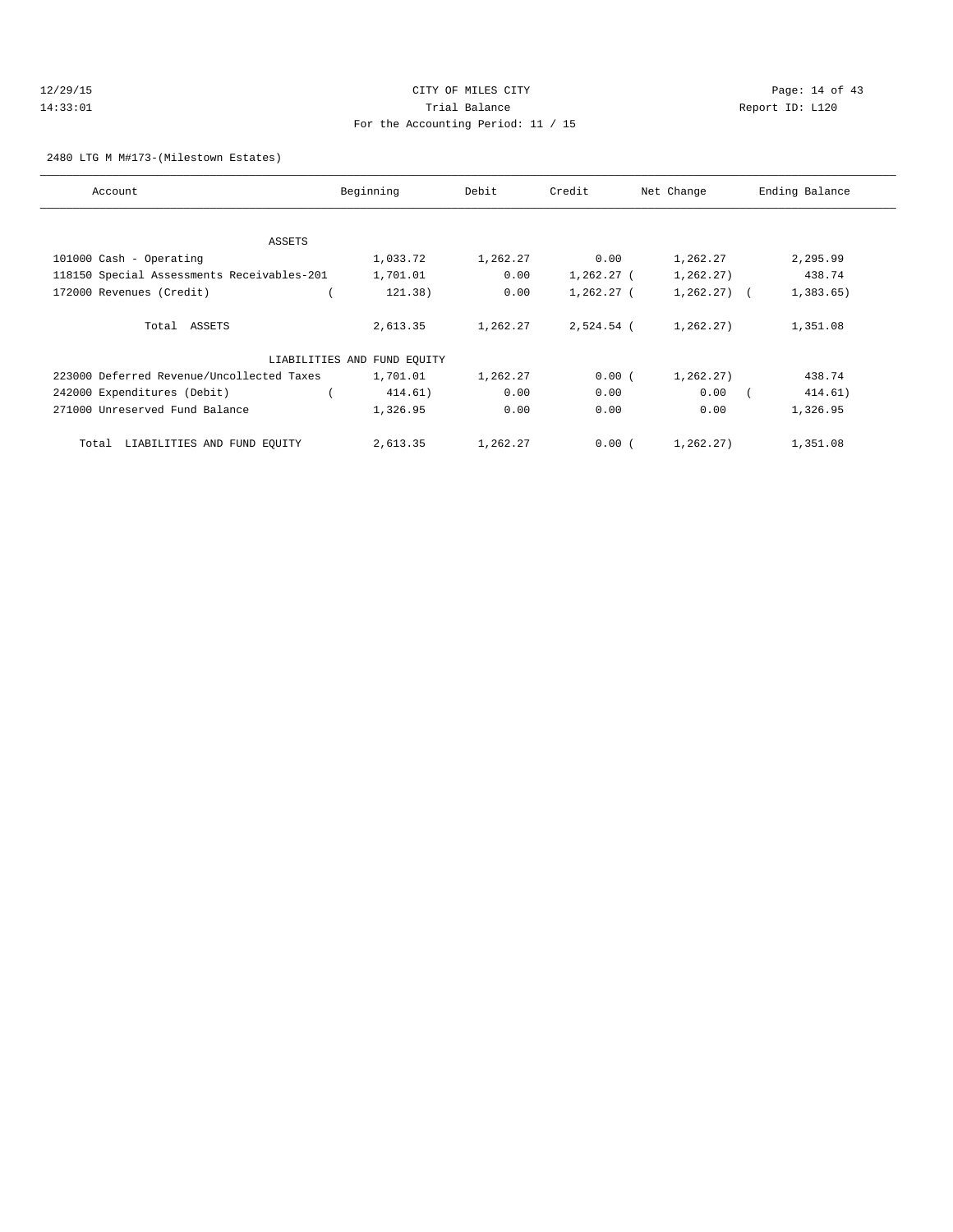## 12/29/15 Page: 14 of 43 14:33:01 Trial Balance Report ID: L120 For the Accounting Period: 11 / 15

2480 LTG M M#173-(Milestown Estates)

| Account                                    | Beginning                   | Debit    | Credit     | Net Change   | Ending Balance |
|--------------------------------------------|-----------------------------|----------|------------|--------------|----------------|
|                                            |                             |          |            |              |                |
| ASSETS                                     |                             |          |            |              |                |
| 101000 Cash - Operating                    | 1,033.72                    | 1,262.27 | 0.00       | 1,262.27     | 2,295.99       |
| 118150 Special Assessments Receivables-201 | 1,701.01                    | 0.00     | 1,262.27 ( | 1,262.27)    | 438.74         |
| 172000 Revenues (Credit)                   | 121.38)                     | 0.00     | 1,262.27 ( | $1,262,27$ ( | 1,383.65       |
|                                            |                             |          |            |              |                |
| Total ASSETS                               | 2,613.35                    | 1,262.27 | 2,524.54 ( | 1,262.27)    | 1,351.08       |
|                                            |                             |          |            |              |                |
|                                            | LIABILITIES AND FUND EQUITY |          |            |              |                |
| 223000 Deferred Revenue/Uncollected Taxes  | 1,701.01                    | 1,262.27 | 0.00(      | 1,262.27)    | 438.74         |
| 242000 Expenditures (Debit)                | 414.61)                     | 0.00     | 0.00       | 0.00         | 414.61)        |
| 271000 Unreserved Fund Balance             | 1,326.95                    | 0.00     | 0.00       | 0.00         | 1,326.95       |
|                                            |                             |          |            |              |                |
| LIABILITIES AND FUND EQUITY<br>Total       | 2,613.35                    | 1,262.27 | 0.00(      | 1,262.27)    | 1,351.08       |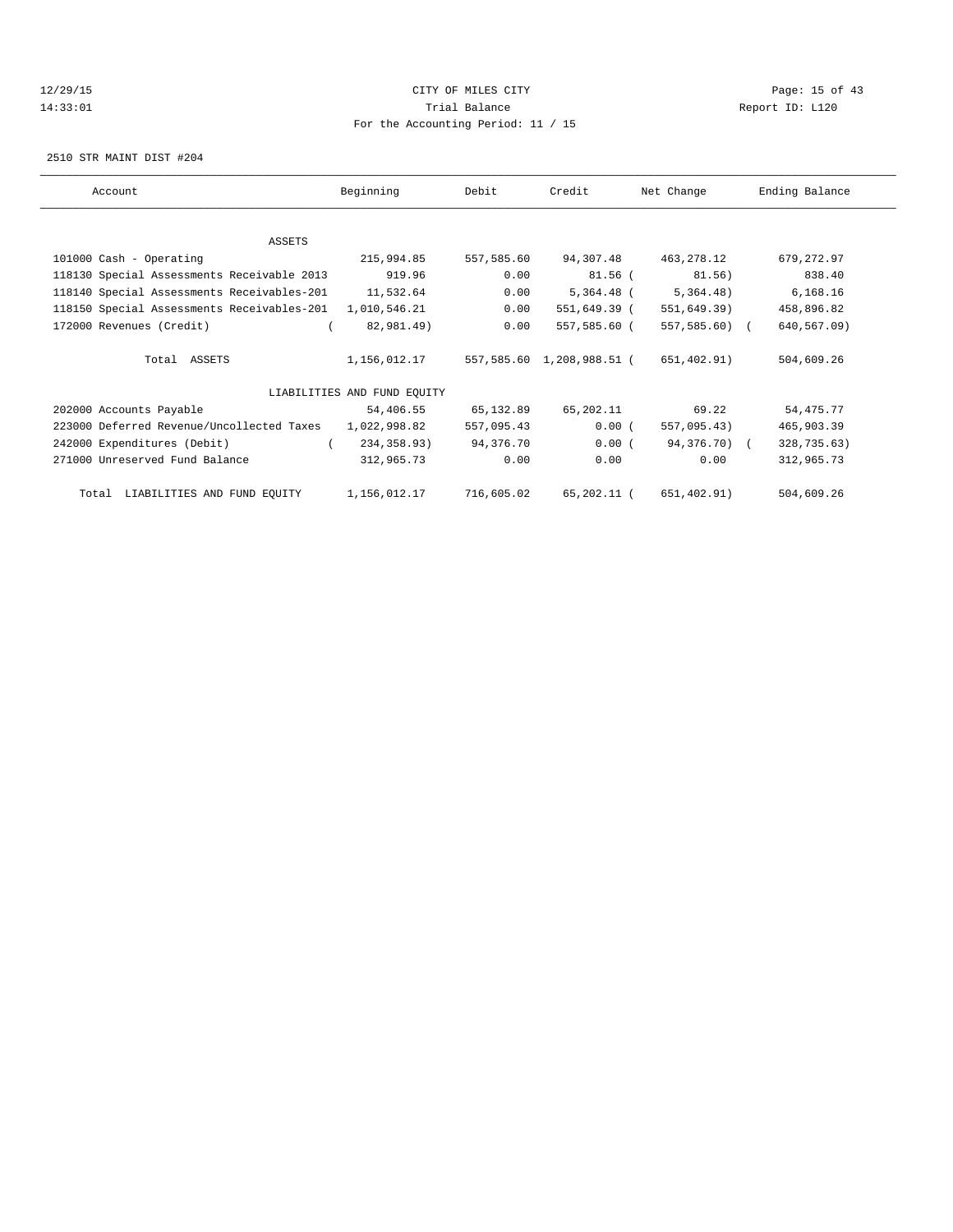## 12/29/15 Page: 15 of 43 14:33:01 Trial Balance Report ID: L120 For the Accounting Period: 11 / 15

2510 STR MAINT DIST #204

| Account                                              | Beginning                   | Debit      | Credit                    | Net Change    | Ending Balance |
|------------------------------------------------------|-----------------------------|------------|---------------------------|---------------|----------------|
|                                                      |                             |            |                           |               |                |
| ASSETS                                               |                             |            |                           |               |                |
| 101000 Cash - Operating                              | 215,994.85                  | 557,585.60 | 94,307.48                 | 463,278.12    | 679,272.97     |
| 118130 Special Assessments Receivable 2013           | 919.96                      | 0.00       | 81.56 (                   | 81.56)        | 838.40         |
| 118140 Special Assessments Receivables-201 11,532.64 |                             | 0.00       | 5,364.48 (                | 5,364.48)     | 6,168.16       |
| 118150 Special Assessments Receivables-201           | 1,010,546.21                | 0.00       | 551,649.39 (              | 551,649.39)   | 458,896.82     |
| 172000 Revenues (Credit)                             | 82,981.49)                  | 0.00       | 557,585.60 (              | 557,585.60) ( | 640,567.09)    |
| Total ASSETS                                         | 1,156,012.17                |            | 557,585.60 1,208,988.51 ( | 651,402.91)   | 504,609.26     |
|                                                      | LIABILITIES AND FUND EQUITY |            |                           |               |                |
| 202000 Accounts Payable                              | 54,406.55                   | 65,132.89  | 65,202.11                 | 69.22         | 54, 475. 77    |
| 223000 Deferred Revenue/Uncollected Taxes            | 1,022,998.82                | 557,095.43 | 0.00(                     | 557,095.43)   | 465,903.39     |
| 242000 Expenditures (Debit)                          | 234,358.93)                 | 94,376.70  | 0.00(                     | 94,376.70) (  | 328,735.63)    |
| 271000 Unreserved Fund Balance                       | 312,965.73                  | 0.00       | 0.00                      | 0.00          | 312,965.73     |
| Total LIABILITIES AND FUND EQUITY                    | 1,156,012.17 716,605.02     |            | 65,202.11 (               | 651,402.91)   | 504,609.26     |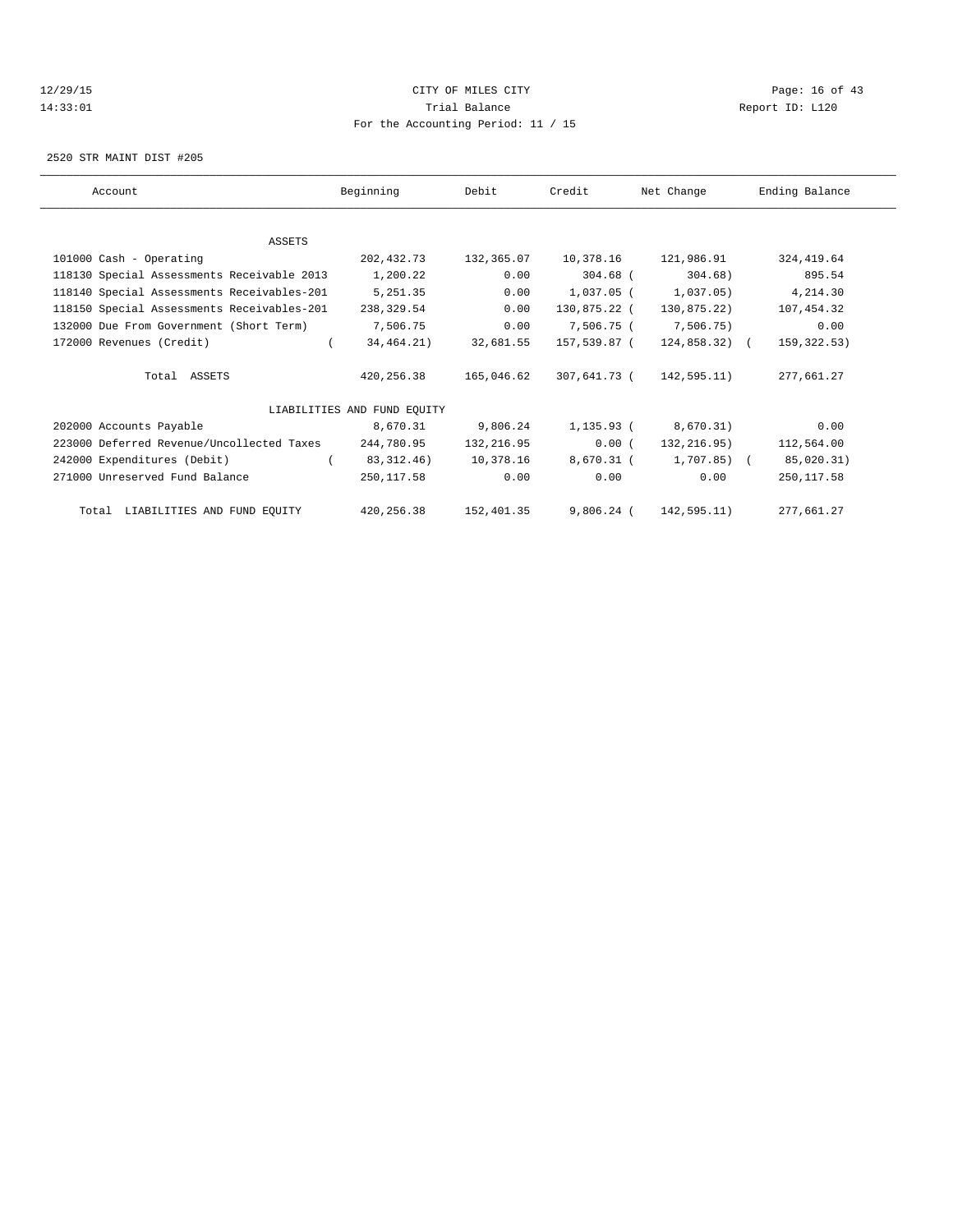## 12/29/15 Page: 16 of 43 14:33:01 Trial Balance Report ID: L120 For the Accounting Period: 11 / 15

2520 STR MAINT DIST #205

| Account                                    | Beginning                   | Debit      | Credit       | Net Change             | Ending Balance |  |
|--------------------------------------------|-----------------------------|------------|--------------|------------------------|----------------|--|
|                                            |                             |            |              |                        |                |  |
| <b>ASSETS</b>                              |                             |            |              |                        |                |  |
| 101000 Cash - Operating                    | 202,432.73                  | 132,365.07 | 10,378.16    | 121,986.91             | 324, 419.64    |  |
| 118130 Special Assessments Receivable 2013 | 1,200.22                    | 0.00       | $304.68$ (   | 304.68)                | 895.54         |  |
| 118140 Special Assessments Receivables-201 | 5,251.35                    | 0.00       | 1,037.05 (   | 1,037.05)              | 4,214.30       |  |
| 118150 Special Assessments Receivables-201 | 238,329.54                  | 0.00       | 130,875.22 ( | 130,875.22)            | 107,454.32     |  |
| 132000 Due From Government (Short Term)    | 7,506.75                    | 0.00       | 7,506.75 (   | 7,506.75)              | 0.00           |  |
| 172000 Revenues (Credit)                   | 34,464.21)                  | 32,681.55  | 157,539.87 ( | 124,858.32) (          | 159,322.53)    |  |
| Total ASSETS                               | 420,256.38                  | 165,046.62 | 307,641.73 ( | 142,595.11)            | 277,661.27     |  |
|                                            | LIABILITIES AND FUND EQUITY |            |              |                        |                |  |
| 202000 Accounts Payable                    | 8,670.31                    | 9,806.24   | 1,135.93 (   | 8,670.31)              | 0.00           |  |
| 223000 Deferred Revenue/Uncollected Taxes  | 244,780.95                  | 132,216.95 | 0.00(        | 132,216.95)            | 112,564.00     |  |
| 242000 Expenditures (Debit)                | 83, 312, 46)                | 10,378.16  |              | 8,670.31 ( 1,707.85) ( | 85,020.31)     |  |
| 271000 Unreserved Fund Balance             | 250,117.58                  | 0.00       | 0.00         | 0.00                   | 250, 117.58    |  |
| Total LIABILITIES AND FUND EQUITY          | 420,256.38                  | 152,401.35 | $9,806.24$ ( | 142,595.11)            | 277,661.27     |  |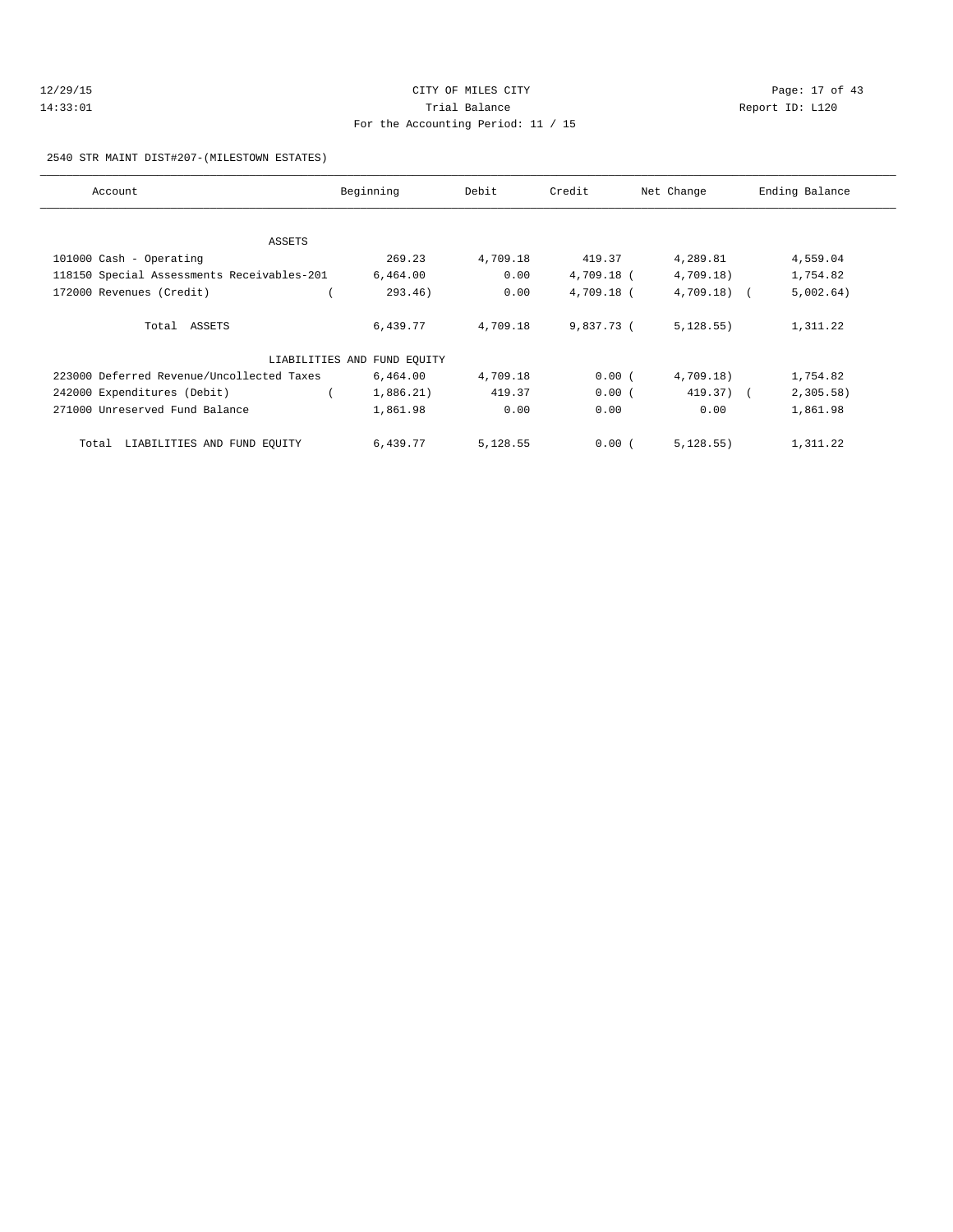## 12/29/15 Page: 17 of 43 14:33:01 Trial Balance Report ID: L120 For the Accounting Period: 11 / 15

#### 2540 STR MAINT DIST#207-(MILESTOWN ESTATES)

| Account                                    | Beginning                   | Debit    | Credit     | Net Change   | Ending Balance |
|--------------------------------------------|-----------------------------|----------|------------|--------------|----------------|
|                                            |                             |          |            |              |                |
| ASSETS                                     |                             |          |            |              |                |
| 101000 Cash - Operating                    | 269.23                      | 4,709.18 | 419.37     | 4,289.81     | 4,559.04       |
| 118150 Special Assessments Receivables-201 | 6,464.00                    | 0.00     | 4,709.18 ( | 4,709.18)    | 1,754.82       |
| 172000 Revenues (Credit)                   | 293.46)                     | 0.00     | 4,709.18 ( | $4,709.18$ ( | 5,002.64)      |
| Total ASSETS                               | 6,439.77                    | 4,709.18 | 9,837.73 ( | 5,128.55)    | 1,311.22       |
|                                            | LIABILITIES AND FUND EQUITY |          |            |              |                |
| 223000 Deferred Revenue/Uncollected Taxes  | 6,464.00                    | 4,709.18 | 0.00(      | 4,709.18)    | 1,754.82       |
| 242000 Expenditures (Debit)                | 1,886.21)                   | 419.37   | 0.00(      | 419.37) (    | 2,305.58       |
| 271000 Unreserved Fund Balance             | 1,861.98                    | 0.00     | 0.00       | 0.00         | 1,861.98       |
| LIABILITIES AND FUND EQUITY<br>Total       | 6,439.77                    | 5,128.55 | 0.00(      | 5, 128.55)   | 1,311.22       |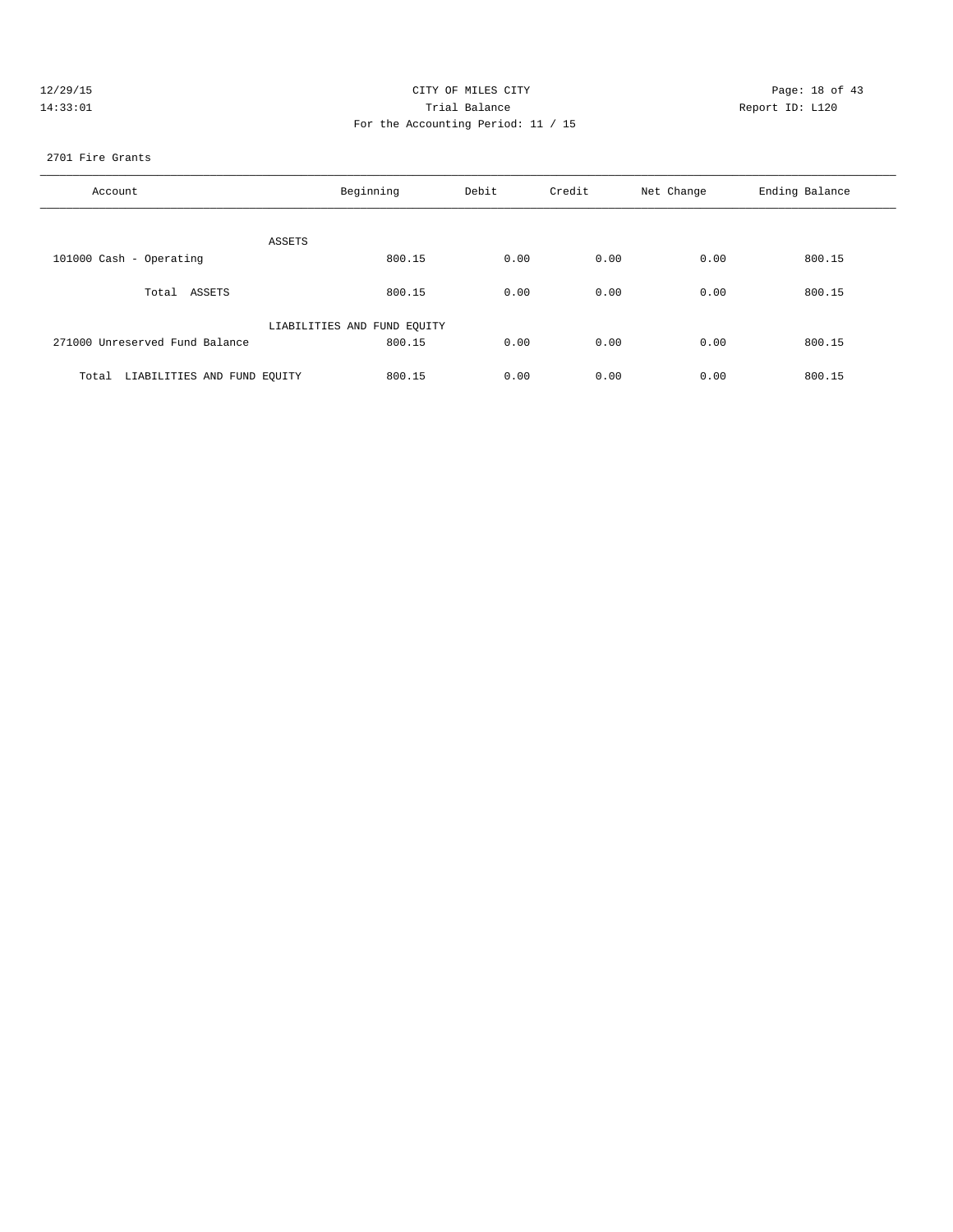| 12/29/1 |  |
|---------|--|
| 33:     |  |

## CITY OF MILES CITY CONTROL CONTROL CONTROL CONTROL CONTROL PAGE: 18 of 43 Trial Balance and Communicated Report ID: L120 For the Accounting Period: 11 / 15

## 2701 Fire Grants

| Account                              | Beginning                   | Debit | Credit | Net Change | Ending Balance |
|--------------------------------------|-----------------------------|-------|--------|------------|----------------|
| ASSETS                               |                             |       |        |            |                |
| 101000 Cash - Operating              | 800.15                      | 0.00  | 0.00   | 0.00       | 800.15         |
| Total ASSETS                         | 800.15                      | 0.00  | 0.00   | 0.00       | 800.15         |
|                                      | LIABILITIES AND FUND EQUITY |       |        |            |                |
| 271000 Unreserved Fund Balance       | 800.15                      | 0.00  | 0.00   | 0.00       | 800.15         |
| LIABILITIES AND FUND EOUITY<br>Total | 800.15                      | 0.00  | 0.00   | 0.00       | 800.15         |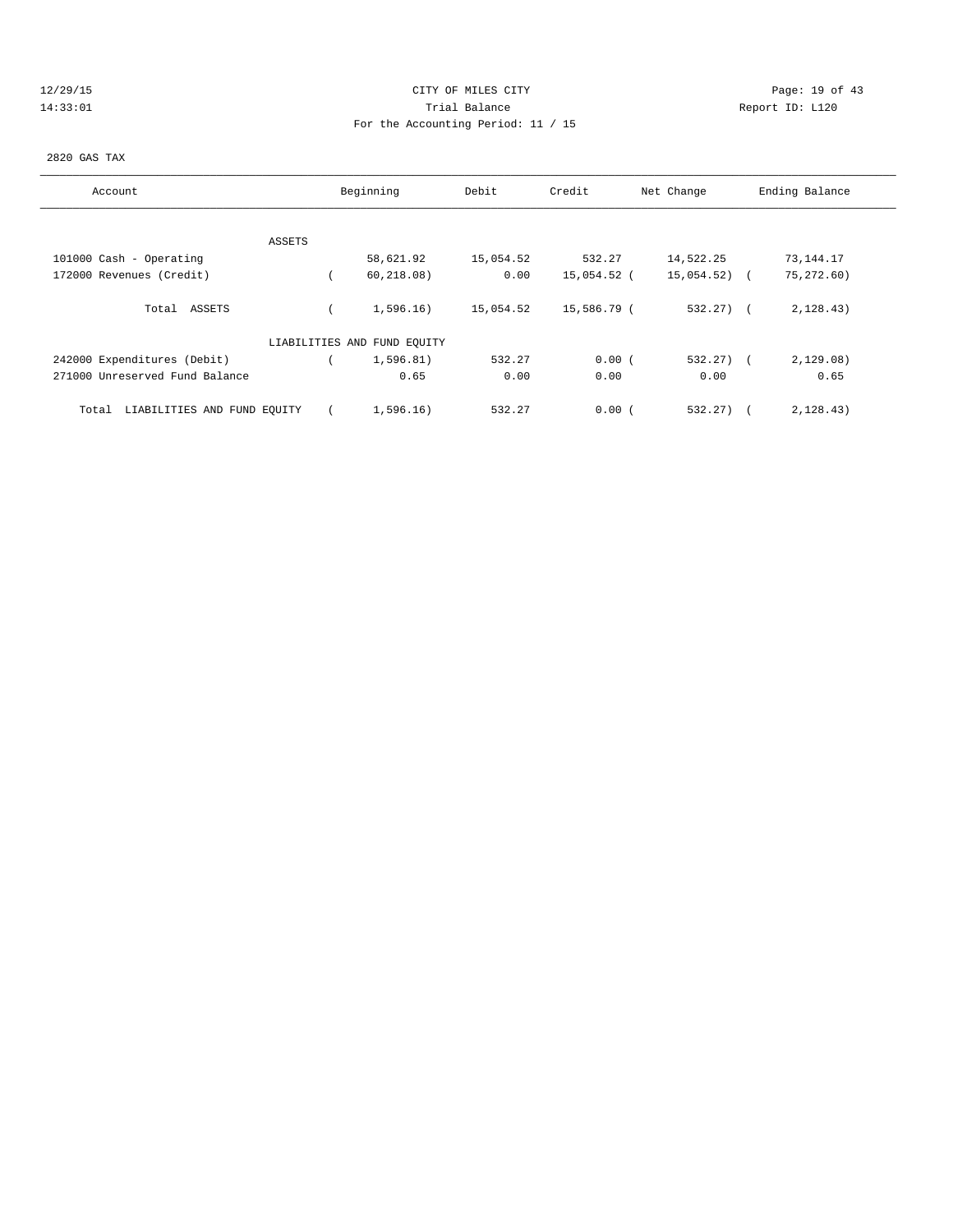## 12/29/15 **Page: 19 of 43** CITY OF MILES CITY **Page: 19 of 43** 14:33:01 Trial Balance Report ID: L120 For the Accounting Period: 11 / 15

#### 2820 GAS TAX

| Account                              | Beginning |                             | Debit     | Credit<br>Net Change |              | Ending Balance |
|--------------------------------------|-----------|-----------------------------|-----------|----------------------|--------------|----------------|
|                                      |           |                             |           |                      |              |                |
|                                      | ASSETS    |                             |           |                      |              |                |
| 101000 Cash - Operating              |           | 58,621.92                   | 15,054.52 | 532.27               | 14,522.25    | 73,144.17      |
| 172000 Revenues (Credit)             |           | 60, 218.08)                 | 0.00      | 15,054.52 (          | 15,054.52)   | 75,272.60)     |
| Total ASSETS                         |           | 1,596.16)                   | 15,054.52 | 15,586.79 (          | $532.27$ ) ( | 2, 128.43)     |
|                                      |           | LIABILITIES AND FUND EQUITY |           |                      |              |                |
| 242000 Expenditures (Debit)          |           | 1,596.81)                   | 532.27    | 0.00(                | $532.27$ ) ( | 2,129.08)      |
| 271000 Unreserved Fund Balance       |           | 0.65                        | 0.00      | 0.00                 | 0.00         | 0.65           |
| LIABILITIES AND FUND EQUITY<br>Total |           | 1,596.16)                   | 532.27    | 0.00(                | 532.27)      | 2, 128.43)     |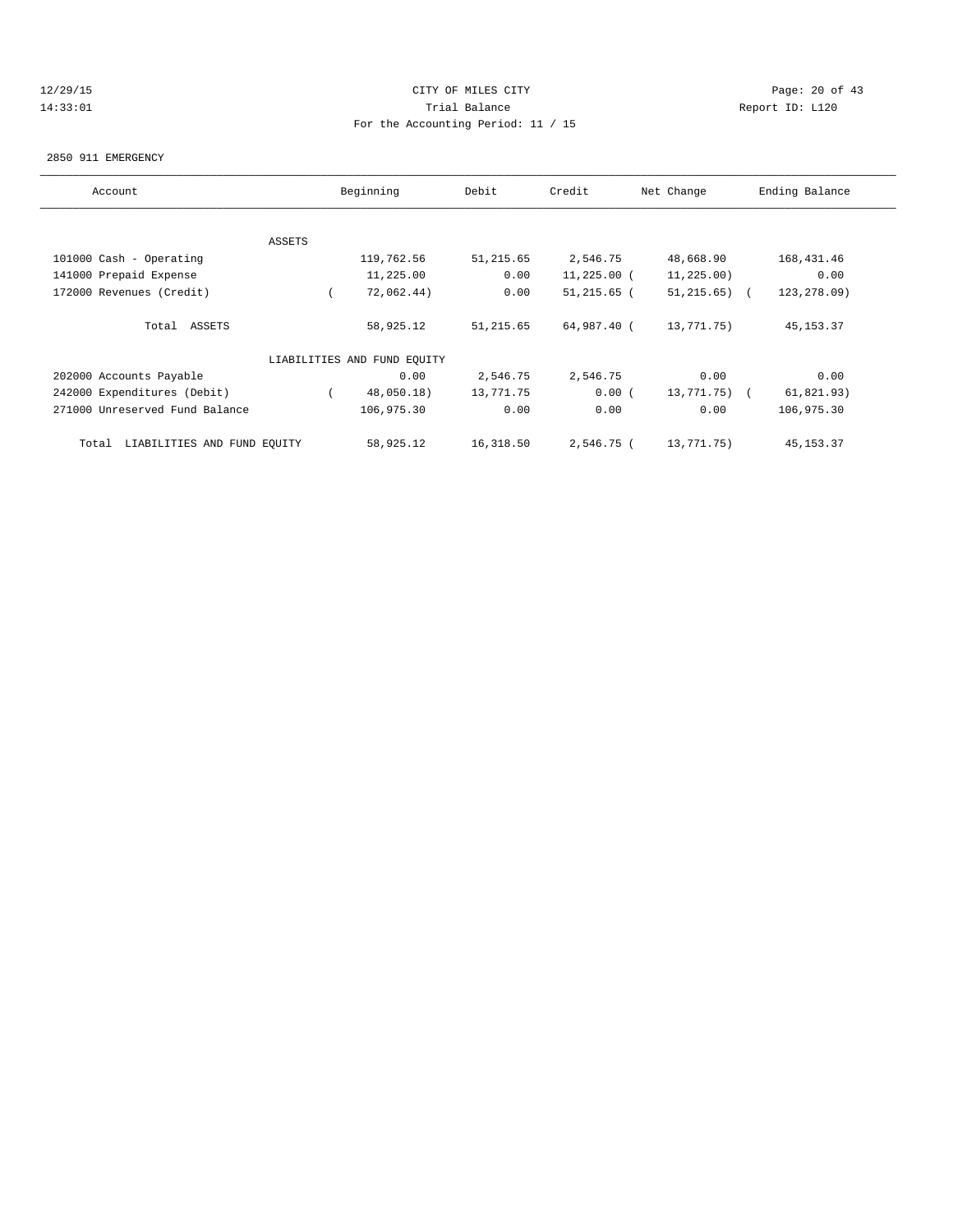## 12/29/15 Page: 20 of 43 14:33:01 Trial Balance Report ID: L120 For the Accounting Period: 11 / 15

#### 2850 911 EMERGENCY

| Account                              |        | Beginning                   | Debit     | Credit        | Net Change       | Ending Balance |
|--------------------------------------|--------|-----------------------------|-----------|---------------|------------------|----------------|
|                                      |        |                             |           |               |                  |                |
|                                      | ASSETS |                             |           |               |                  |                |
| 101000 Cash - Operating              |        | 119,762.56                  | 51,215.65 | 2,546.75      | 48,668.90        | 168,431.46     |
| 141000 Prepaid Expense               |        | 11,225.00                   | 0.00      | 11,225.00 (   | 11,225.00)       | 0.00           |
| 172000 Revenues (Credit)             |        | 72,062.44)                  | 0.00      | $51,215.65$ ( | $51, 215.65$ ) ( | 123, 278.09)   |
| Total ASSETS                         |        | 58,925.12                   | 51,215.65 | 64,987.40 (   | 13,771.75)       | 45, 153. 37    |
|                                      |        | LIABILITIES AND FUND EQUITY |           |               |                  |                |
| 202000 Accounts Payable              |        | 0.00                        | 2,546.75  | 2,546.75      | 0.00             | 0.00           |
| 242000 Expenditures (Debit)          |        | 48,050.18)                  | 13,771.75 | 0.00(         | 13,771.75) (     | 61,821.93)     |
| 271000 Unreserved Fund Balance       |        | 106,975.30                  | 0.00      | 0.00          | 0.00             | 106,975.30     |
| LIABILITIES AND FUND EQUITY<br>Total |        | 58,925.12                   | 16,318.50 | 2,546.75 (    | 13,771.75)       | 45, 153. 37    |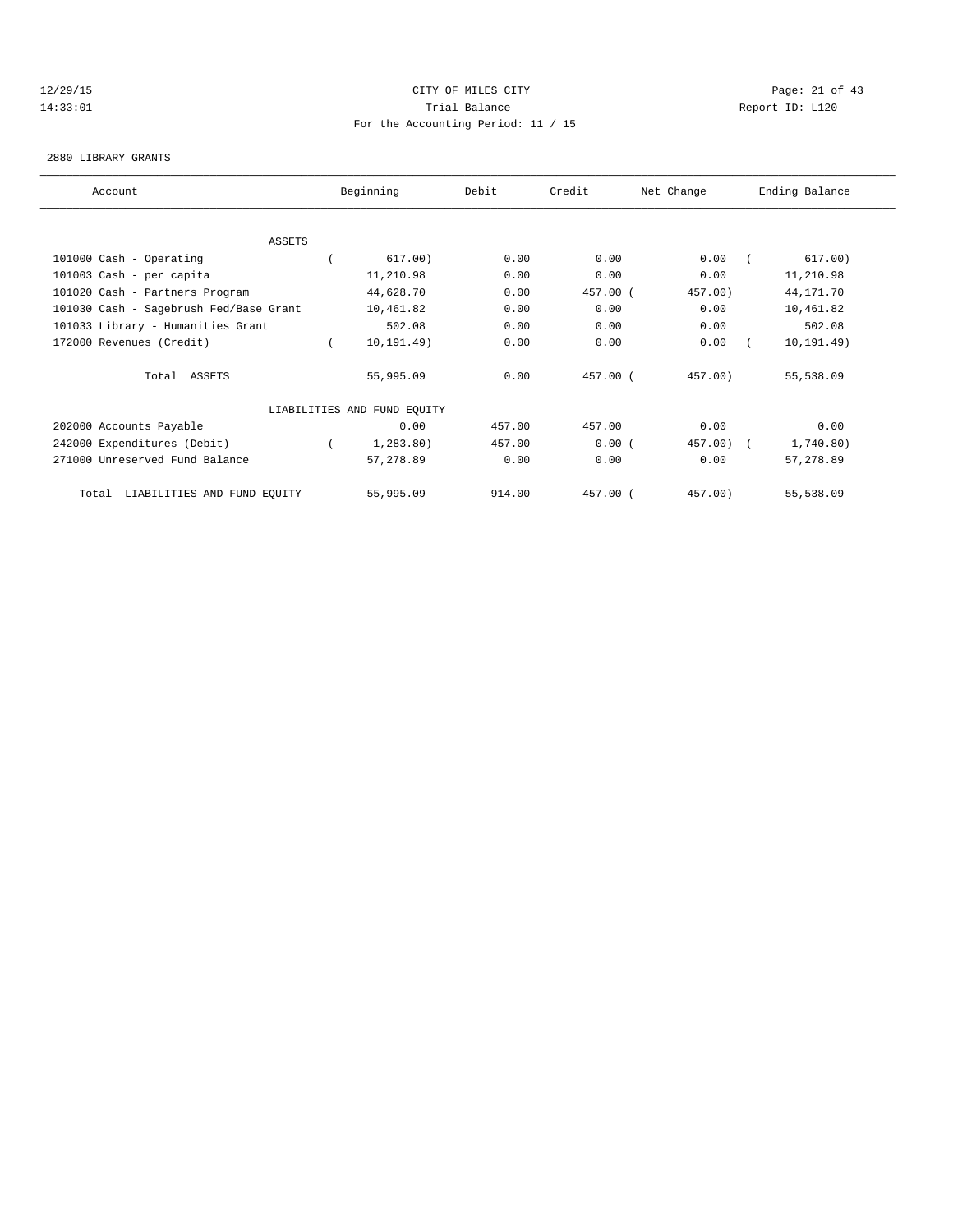## 12/29/15 Page: 21 of 43 14:33:01 Trial Balance Report ID: L120 For the Accounting Period: 11 / 15

#### 2880 LIBRARY GRANTS

| Account |                                        | Beginning                   | Debit  | Credit   | Net Change | Ending Balance |             |  |
|---------|----------------------------------------|-----------------------------|--------|----------|------------|----------------|-------------|--|
|         |                                        |                             |        |          |            |                |             |  |
|         | <b>ASSETS</b>                          |                             |        |          |            |                |             |  |
|         | 101000 Cash - Operating                | 617.00)                     | 0.00   | 0.00     | 0.00       |                | 617.00)     |  |
|         | 101003 Cash - per capita               | 11,210.98                   | 0.00   | 0.00     | 0.00       |                | 11,210.98   |  |
|         | 101020 Cash - Partners Program         | 44,628.70                   | 0.00   | 457.00 ( | 457.00)    |                | 44,171.70   |  |
|         | 101030 Cash - Sagebrush Fed/Base Grant | 10,461.82                   | 0.00   | 0.00     | 0.00       |                | 10,461.82   |  |
|         | 101033 Library - Humanities Grant      | 502.08                      | 0.00   | 0.00     | 0.00       |                | 502.08      |  |
|         | 172000 Revenues (Credit)               | 10, 191.49)                 | 0.00   | 0.00     | 0.00       |                | 10, 191.49) |  |
|         | Total ASSETS                           | 55,995.09                   | 0.00   | 457.00 ( | 457.00)    |                | 55,538.09   |  |
|         |                                        | LIABILITIES AND FUND EQUITY |        |          |            |                |             |  |
|         | 202000 Accounts Payable                | 0.00                        | 457.00 | 457.00   | 0.00       |                | 0.00        |  |
|         | 242000 Expenditures (Debit)            | 1, 283.80)                  | 457.00 | 0.00(    | 457.00)    |                | 1,740.80)   |  |
|         | 271000 Unreserved Fund Balance         | 57,278.89                   | 0.00   | 0.00     | 0.00       |                | 57,278.89   |  |
|         | LIABILITIES AND FUND EQUITY<br>Total   | 55,995.09                   | 914.00 | 457.00 ( | 457.00)    |                | 55,538.09   |  |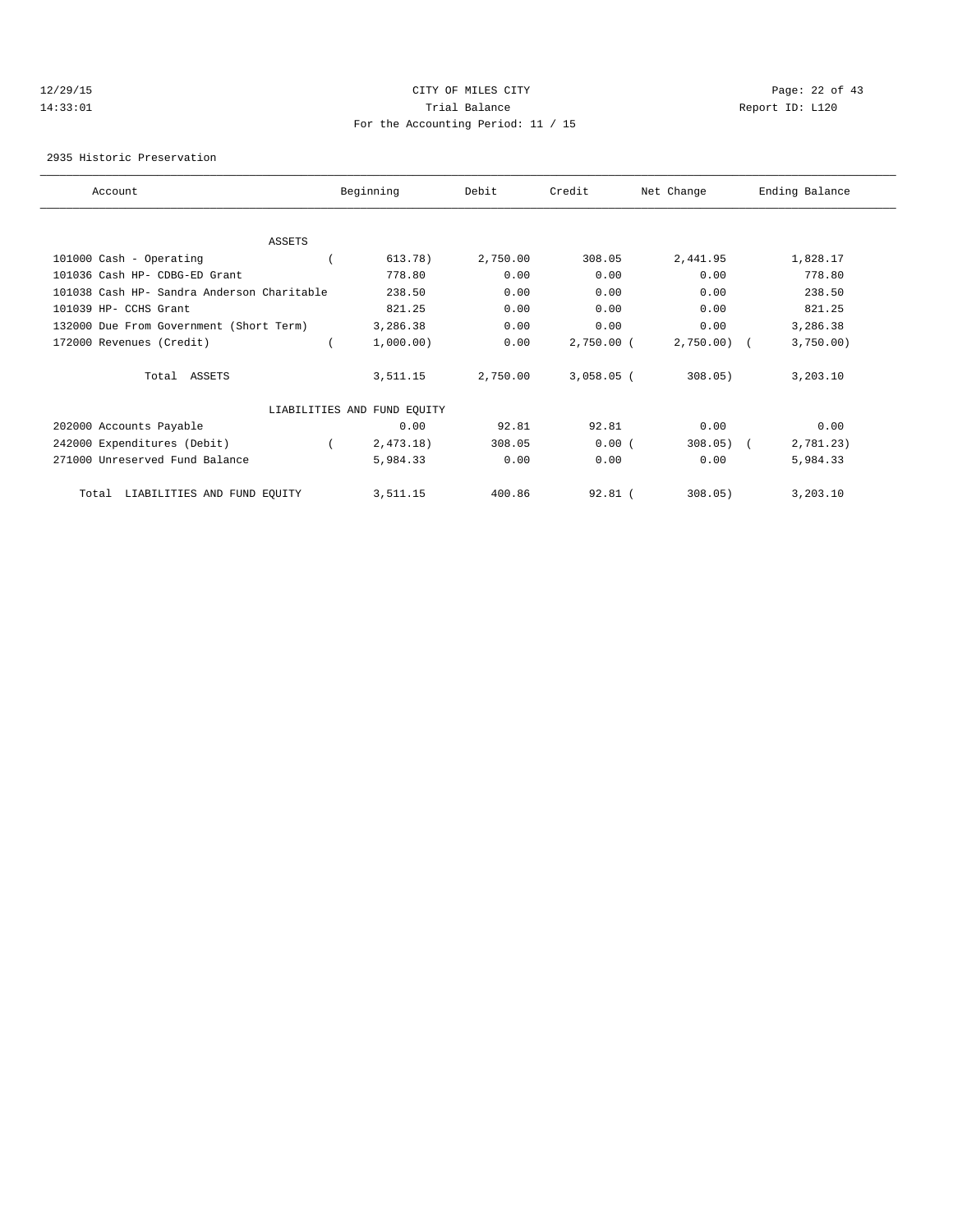## 12/29/15 Page: 22 of 43 14:33:01 Trial Balance Report ID: L120 For the Accounting Period: 11 / 15

2935 Historic Preservation

| Account                                    | Beginning                   | Debit    | Credit       | Net Change    | Ending Balance |  |
|--------------------------------------------|-----------------------------|----------|--------------|---------------|----------------|--|
|                                            |                             |          |              |               |                |  |
| <b>ASSETS</b>                              |                             |          |              |               |                |  |
| 101000 Cash - Operating                    | 613.78)                     | 2,750.00 | 308.05       | 2,441.95      | 1,828.17       |  |
| 101036 Cash HP- CDBG-ED Grant              | 778.80                      | 0.00     | 0.00         | 0.00          | 778.80         |  |
| 101038 Cash HP- Sandra Anderson Charitable | 238.50                      | 0.00     | 0.00         | 0.00          | 238.50         |  |
| 101039 HP- CCHS Grant                      | 821.25                      | 0.00     | 0.00         | 0.00          | 821.25         |  |
| 132000 Due From Government (Short Term)    | 3,286.38                    | 0.00     | 0.00         | 0.00          | 3,286.38       |  |
| 172000 Revenues (Credit)                   | 1,000.00)                   | 0.00     | $2,750.00$ ( | $2,750.00)$ ( | 3,750.00)      |  |
| Total ASSETS                               | 3,511.15                    | 2,750.00 | $3,058.05$ ( | 308.05)       | 3,203.10       |  |
|                                            | LIABILITIES AND FUND EQUITY |          |              |               |                |  |
| 202000 Accounts Payable                    | 0.00                        | 92.81    | 92.81        | 0.00          | 0.00           |  |
| 242000 Expenditures (Debit)                | 2,473.18)                   | 308.05   | 0.00(        | 308.05)       | 2,781.23)      |  |
| 271000 Unreserved Fund Balance             | 5,984.33                    | 0.00     | 0.00         | 0.00          | 5,984.33       |  |
| LIABILITIES AND FUND EQUITY<br>Total       | 3,511.15                    | 400.86   | $92.81$ (    | 308.05)       | 3,203.10       |  |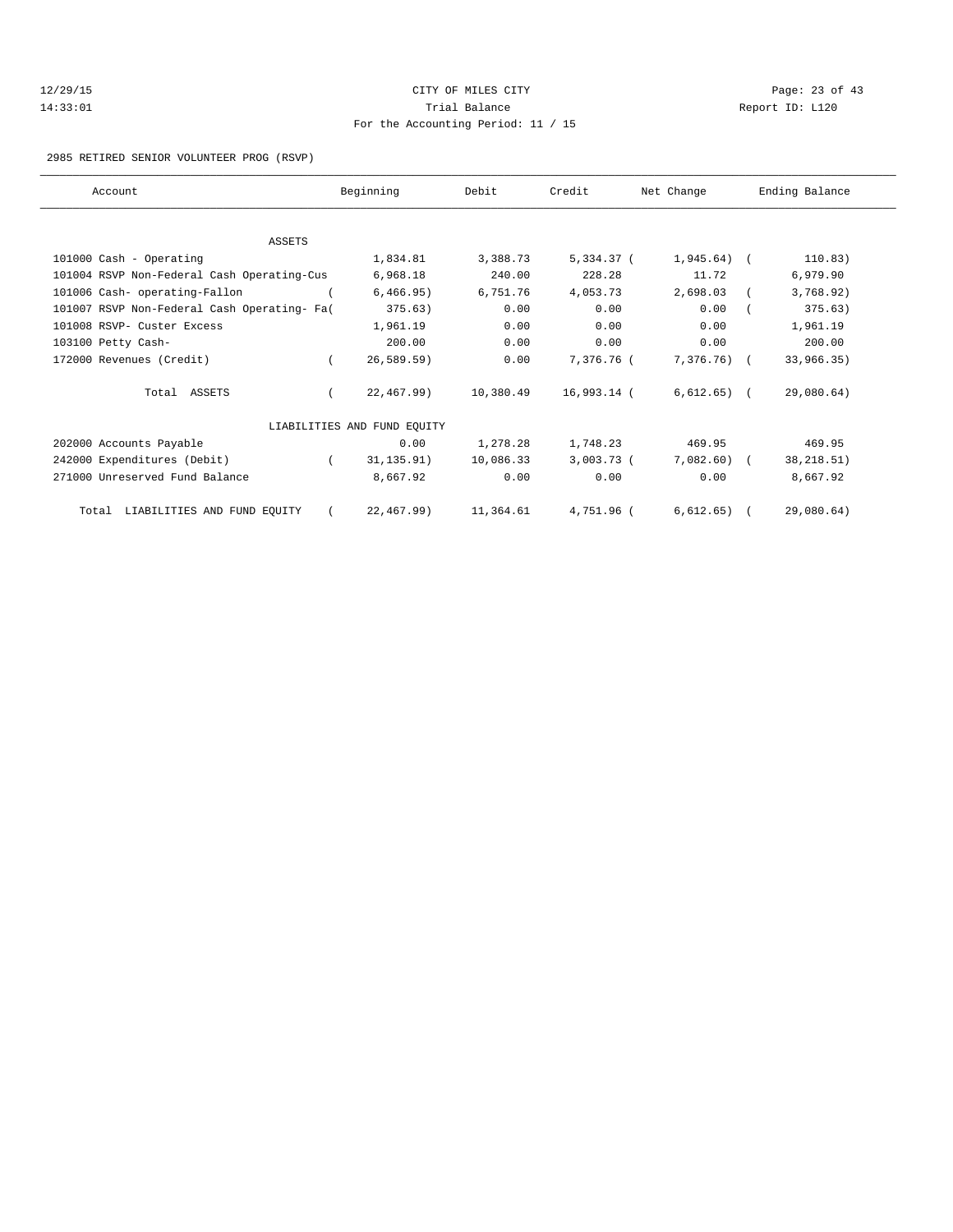| 12/29/15 |  |
|----------|--|
| 14:33:01 |  |

## CITY OF MILES CITY **Page: 23 of 43** Trial Balance and Communicated Report ID: L120 For the Accounting Period: 11 / 15

#### 2985 RETIRED SENIOR VOLUNTEER PROG (RSVP)

| Account                                     | Beginning                   | Debit     | Credit       | Net Change     | Ending Balance |
|---------------------------------------------|-----------------------------|-----------|--------------|----------------|----------------|
|                                             |                             |           |              |                |                |
| <b>ASSETS</b>                               |                             |           |              |                |                |
| 101000 Cash - Operating                     | 1,834.81                    | 3,388.73  | 5,334.37 (   | $1,945.64$ (   | 110.83)        |
| 101004 RSVP Non-Federal Cash Operating-Cus  | 6,968.18                    | 240.00    | 228.28       | 11.72          | 6,979.90       |
| 101006 Cash- operating-Fallon               | 6,466.95)                   | 6,751.76  | 4,053.73     | 2,698.03       | 3,768.92)      |
| 101007 RSVP Non-Federal Cash Operating- Fa( | 375.63)                     | 0.00      | 0.00         | 0.00           | 375.63)        |
| 101008 RSVP- Custer Excess                  | 1,961.19                    | 0.00      | 0.00         | 0.00           | 1,961.19       |
| 103100 Petty Cash-                          | 200.00                      | 0.00      | 0.00         | 0.00           | 200.00         |
| 172000 Revenues (Credit)                    | 26, 589.59)                 | 0.00      | 7,376.76 (   | 7,376.76) (    | 33,966.35)     |
| Total ASSETS                                | 22,467.99)                  | 10,380.49 | 16,993.14 (  | $6,612.65$ (   | 29,080.64)     |
|                                             | LIABILITIES AND FUND EQUITY |           |              |                |                |
| 202000 Accounts Payable                     | 0.00                        | 1,278.28  | 1,748.23     | 469.95         | 469.95         |
| 242000 Expenditures (Debit)                 | 31, 135.91)<br>$\left($     | 10,086.33 | $3,003.73$ ( | $7,082.60$ (   | 38, 218.51)    |
| 271000 Unreserved Fund Balance              | 8,667.92                    | 0.00      | 0.00         | 0.00           | 8,667.92       |
| Total LIABILITIES AND FUND EQUITY           | 22,467.99)                  | 11,364.61 | 4,751.96 (   | $6,612.65$ ) ( | 29,080.64)     |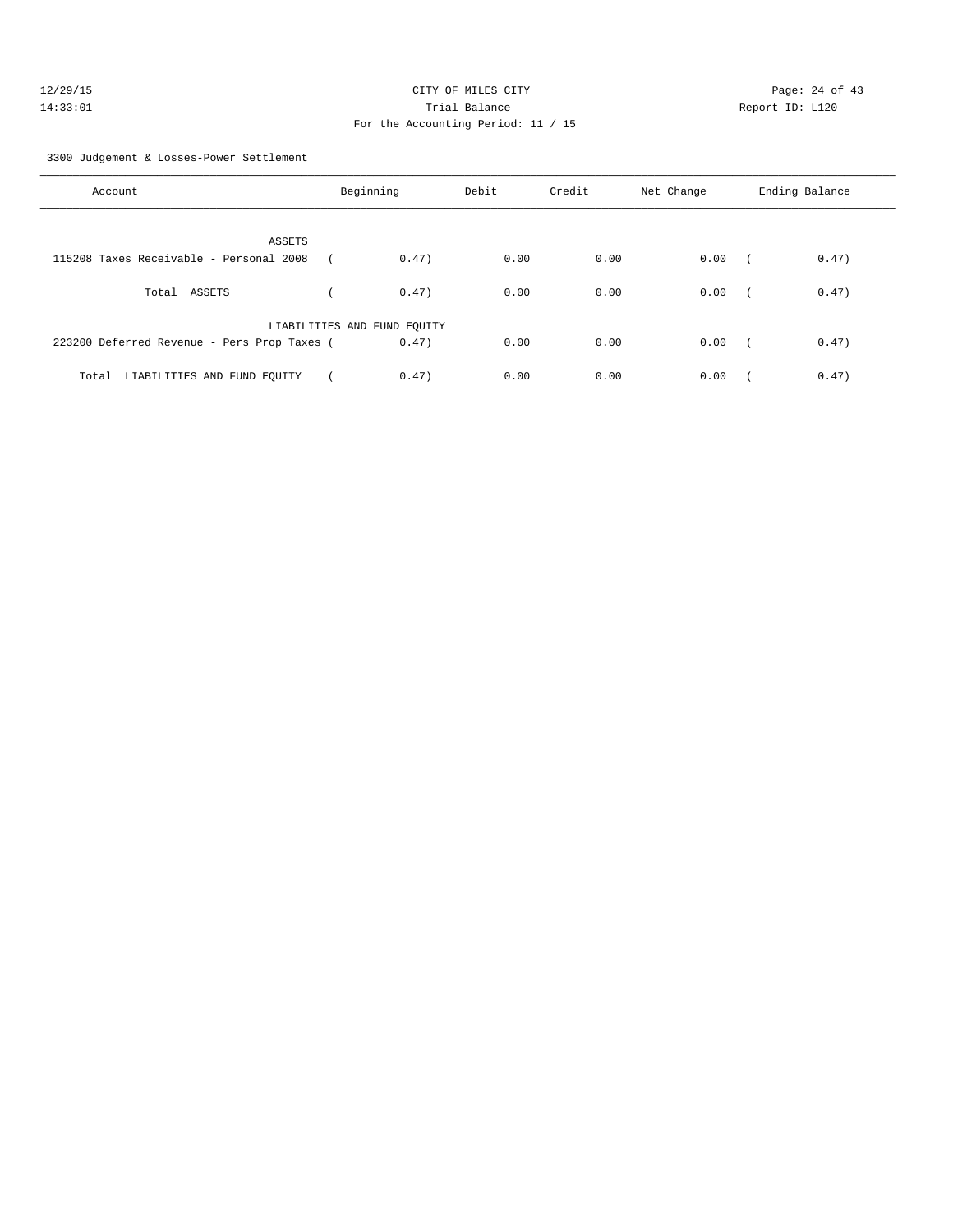## 12/29/15 **Page: 24 of 43** CITY OF MILES CITY **Page: 24 of 43** 14:33:01 Trial Balance Report ID: L120 For the Accounting Period: 11 / 15

3300 Judgement & Losses-Power Settlement

| Account                                     | Beginning                   | Debit | Credit | Net Change | Ending Balance      |
|---------------------------------------------|-----------------------------|-------|--------|------------|---------------------|
| ASSETS                                      |                             |       |        |            |                     |
| 115208 Taxes Receivable - Personal 2008     | 0.47)                       | 0.00  | 0.00   | 0.00       | 0.47)<br>$\sqrt{2}$ |
| Total ASSETS                                | 0.47)                       | 0.00  | 0.00   | 0.00       | 0.47)               |
|                                             | LIABILITIES AND FUND EQUITY |       |        |            |                     |
| 223200 Deferred Revenue - Pers Prop Taxes ( | 0.47)                       | 0.00  | 0.00   | 0.00       | 0.47)<br>$\sqrt{2}$ |
| LIABILITIES AND FUND EQUITY<br>Total        | 0.47)                       | 0.00  | 0.00   | 0.00       | 0.47)               |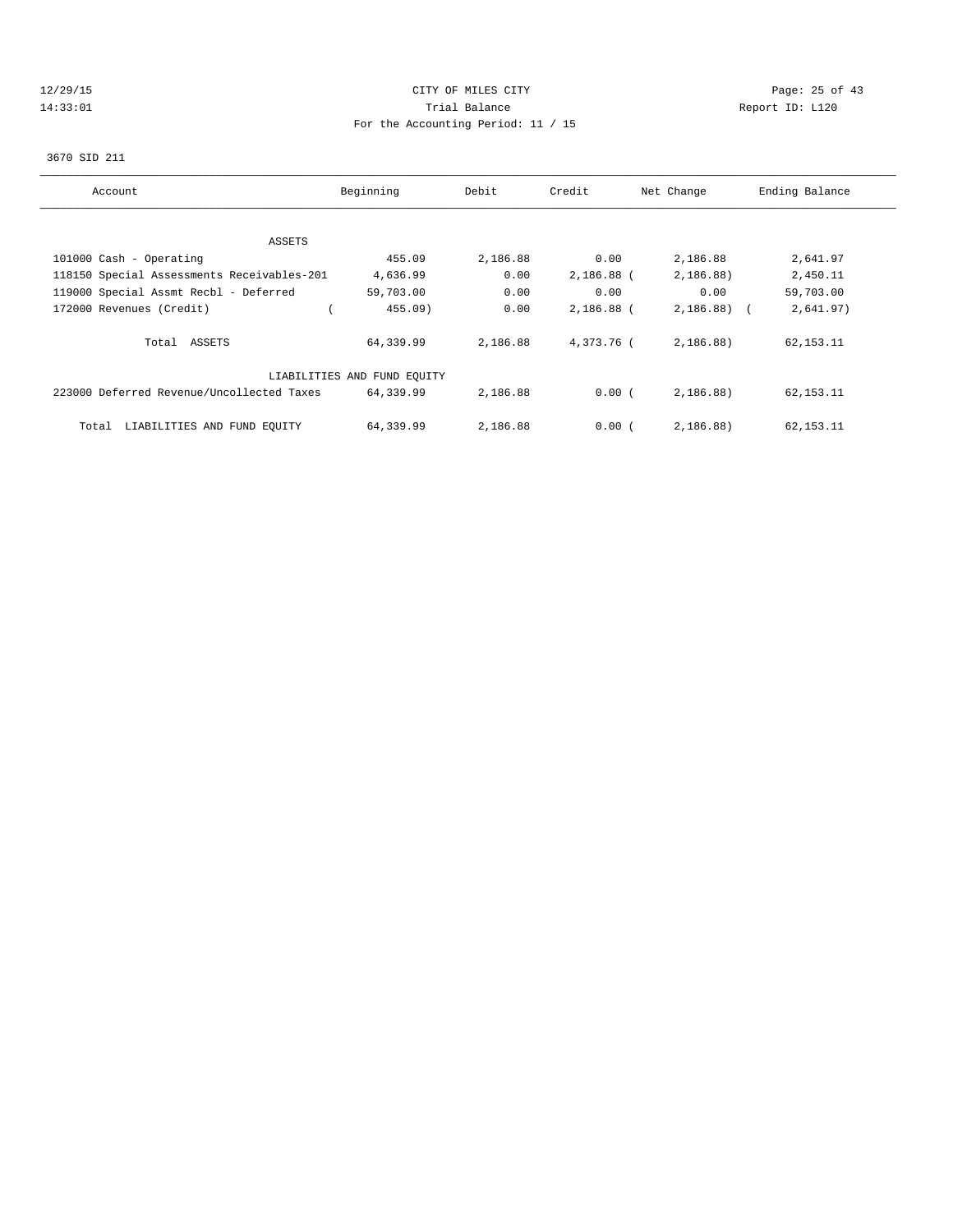## 12/29/15 Page: 25 of 43 14:33:01 Trial Balance Report ID: L120 For the Accounting Period: 11 / 15

#### 3670 SID 211

| Account                                    | Beginning                   | Debit    | Credit       | Net Change   | Ending Balance |
|--------------------------------------------|-----------------------------|----------|--------------|--------------|----------------|
|                                            |                             |          |              |              |                |
| ASSETS                                     |                             |          |              |              |                |
| 101000 Cash - Operating                    | 455.09                      | 2,186.88 | 0.00         | 2,186.88     | 2,641.97       |
| 118150 Special Assessments Receivables-201 | 4,636.99                    | 0.00     | $2,186.88$ ( | 2,186.88)    | 2,450.11       |
| 119000 Special Assmt Recbl - Deferred      | 59,703.00                   | 0.00     | 0.00         | 0.00         | 59,703.00      |
| 172000 Revenues (Credit)                   | $455.09$ )                  | 0.00     | 2,186.88 (   | $2,186.88$ ( | 2,641.97)      |
| Total ASSETS                               | 64,339.99                   | 2,186.88 | 4,373.76 (   | 2,186.88)    | 62, 153. 11    |
|                                            | LIABILITIES AND FUND EOUITY |          |              |              |                |
| 223000 Deferred Revenue/Uncollected Taxes  | 64,339.99                   | 2,186.88 | 0.00(        | 2,186.88)    | 62, 153. 11    |
| LIABILITIES AND FUND EQUITY<br>Total       | 64,339.99                   | 2,186.88 | 0.00(        | 2,186,88     | 62, 153. 11    |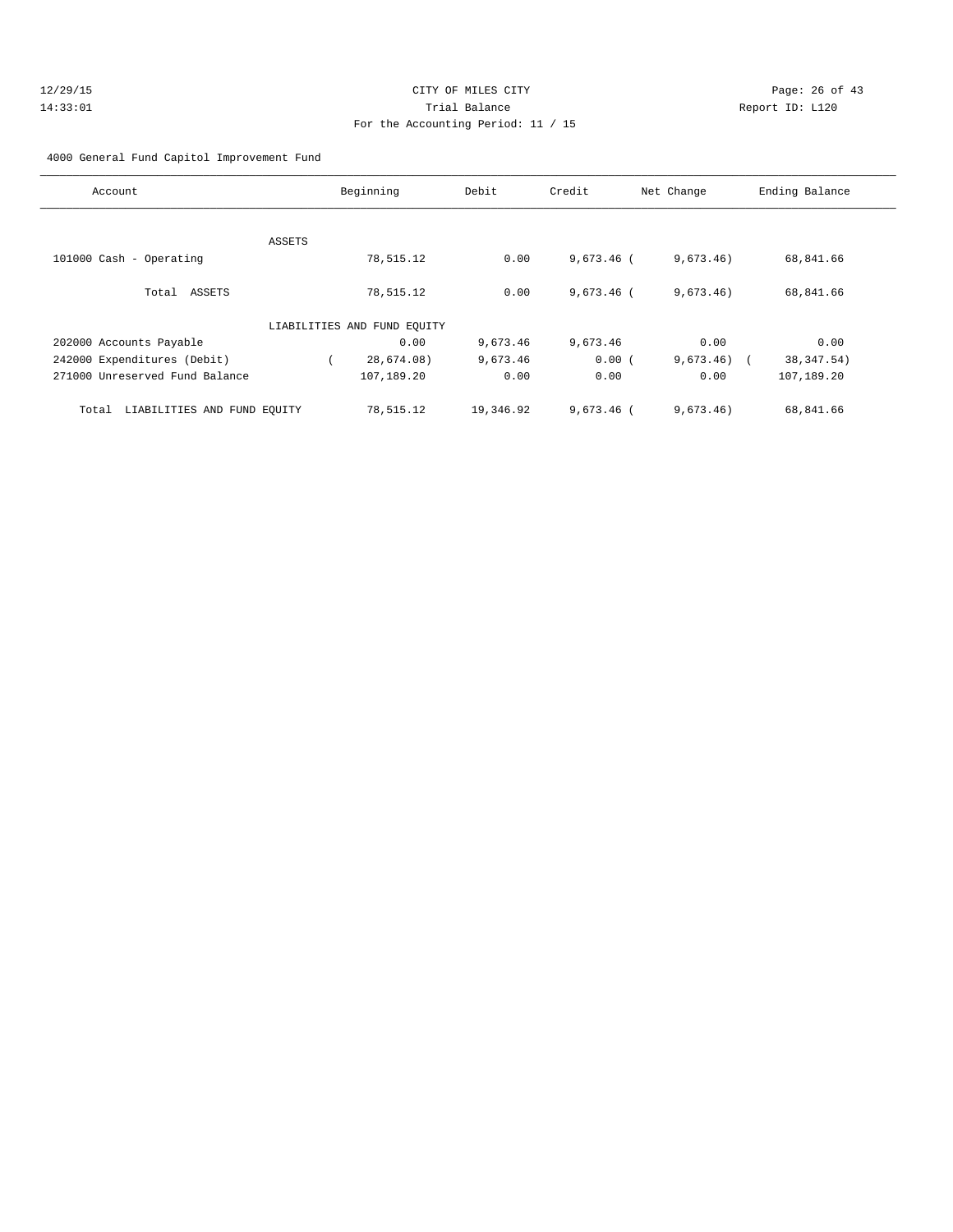#### 4000 General Fund Capitol Improvement Fund

| Account                              |        | Beginning                   | Debit     | Credit       | Net Change   | Ending Balance |
|--------------------------------------|--------|-----------------------------|-----------|--------------|--------------|----------------|
|                                      |        |                             |           |              |              |                |
|                                      | ASSETS |                             |           |              |              |                |
| 101000 Cash - Operating              |        | 78,515.12                   | 0.00      | $9,673.46$ ( | 9,673.46)    | 68,841.66      |
| Total ASSETS                         |        | 78,515.12                   | 0.00      | $9,673.46$ ( | 9,673.46)    | 68,841.66      |
|                                      |        | LIABILITIES AND FUND EQUITY |           |              |              |                |
| 202000 Accounts Payable              |        | 0.00                        | 9,673.46  | 9,673.46     | 0.00         | 0.00           |
| 242000 Expenditures (Debit)          |        | 28,674.08)                  | 9,673.46  | 0.00(        | $9,673.46$ ( | 38, 347.54)    |
| 271000 Unreserved Fund Balance       |        | 107,189.20                  | 0.00      | 0.00         | 0.00         | 107,189.20     |
| LIABILITIES AND FUND EQUITY<br>Total |        | 78,515.12                   | 19,346.92 | $9.673.46$ ( | 9,673.46)    | 68,841.66      |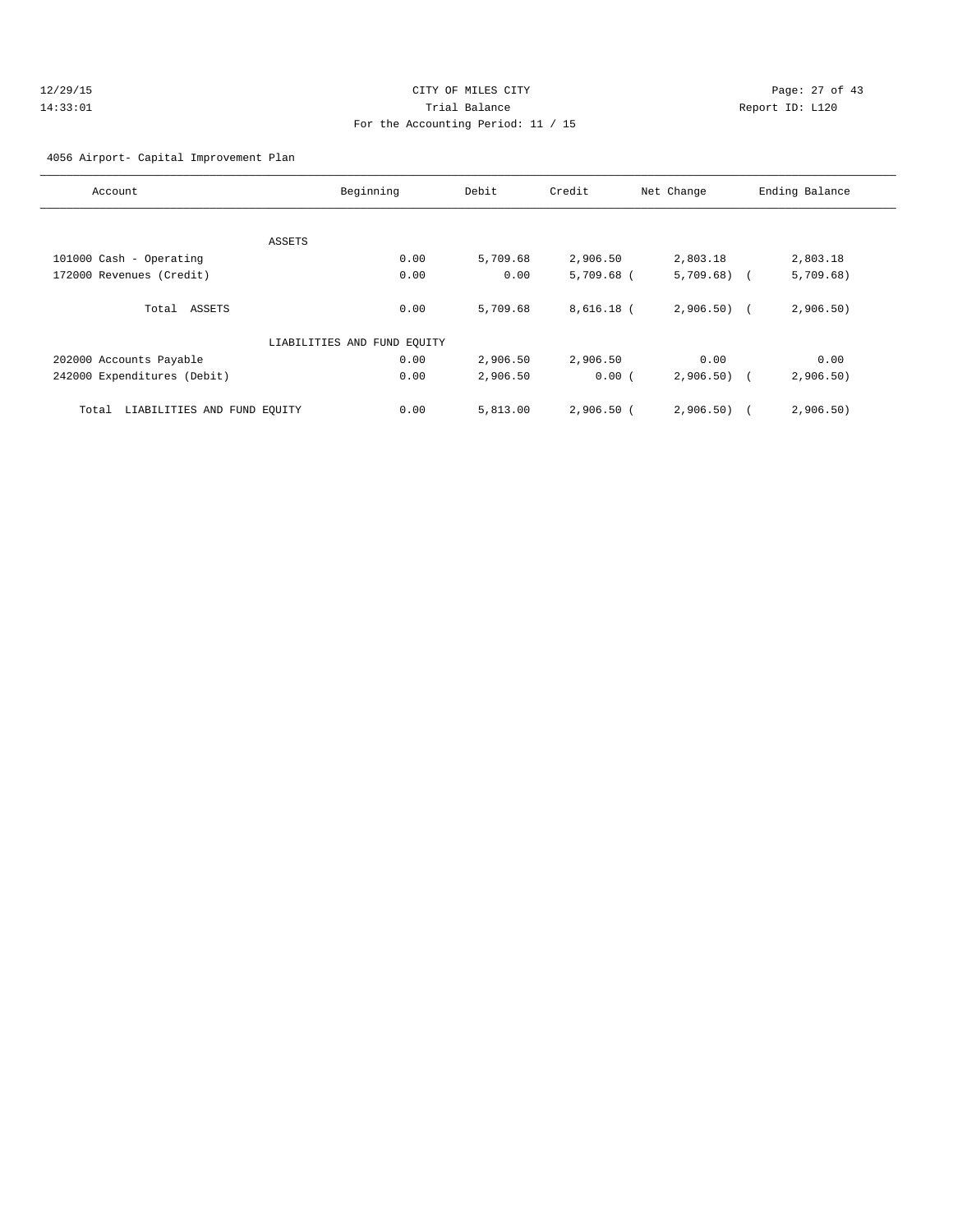## 12/29/15 Page: 27 of 43 14:33:01 Trial Balance Report ID: L120 For the Accounting Period: 11 / 15

#### 4056 Airport- Capital Improvement Plan

| Account                              | Beginning                   | Debit    | Credit       | Net Change   | Ending Balance          |
|--------------------------------------|-----------------------------|----------|--------------|--------------|-------------------------|
|                                      |                             |          |              |              |                         |
|                                      | ASSETS                      |          |              |              |                         |
| 101000 Cash - Operating              | 0.00                        | 5,709.68 | 2,906.50     | 2,803.18     | 2,803.18                |
| 172000 Revenues (Credit)             | 0.00                        | 0.00     | $5,709.68$ ( | $5,709.68$ ( | 5,709.68)               |
|                                      |                             |          |              |              |                         |
| Total ASSETS                         | 0.00                        | 5,709.68 | $8,616.18$ ( | $2,906.50$ ( | 2,906.50)               |
|                                      |                             |          |              |              |                         |
|                                      | LIABILITIES AND FUND EQUITY |          |              |              |                         |
| 202000 Accounts Payable              | 0.00                        | 2,906.50 | 2,906.50     | 0.00         | 0.00                    |
| 242000 Expenditures (Debit)          | 0.00                        | 2,906.50 | 0.00(        | $2,906.50$ ( | 2,906.50)               |
|                                      |                             |          |              |              |                         |
| LIABILITIES AND FUND EQUITY<br>Total | 0.00                        | 5,813.00 | $2,906.50$ ( | 2,906.50)    | 2,906.50)<br>$\sqrt{1}$ |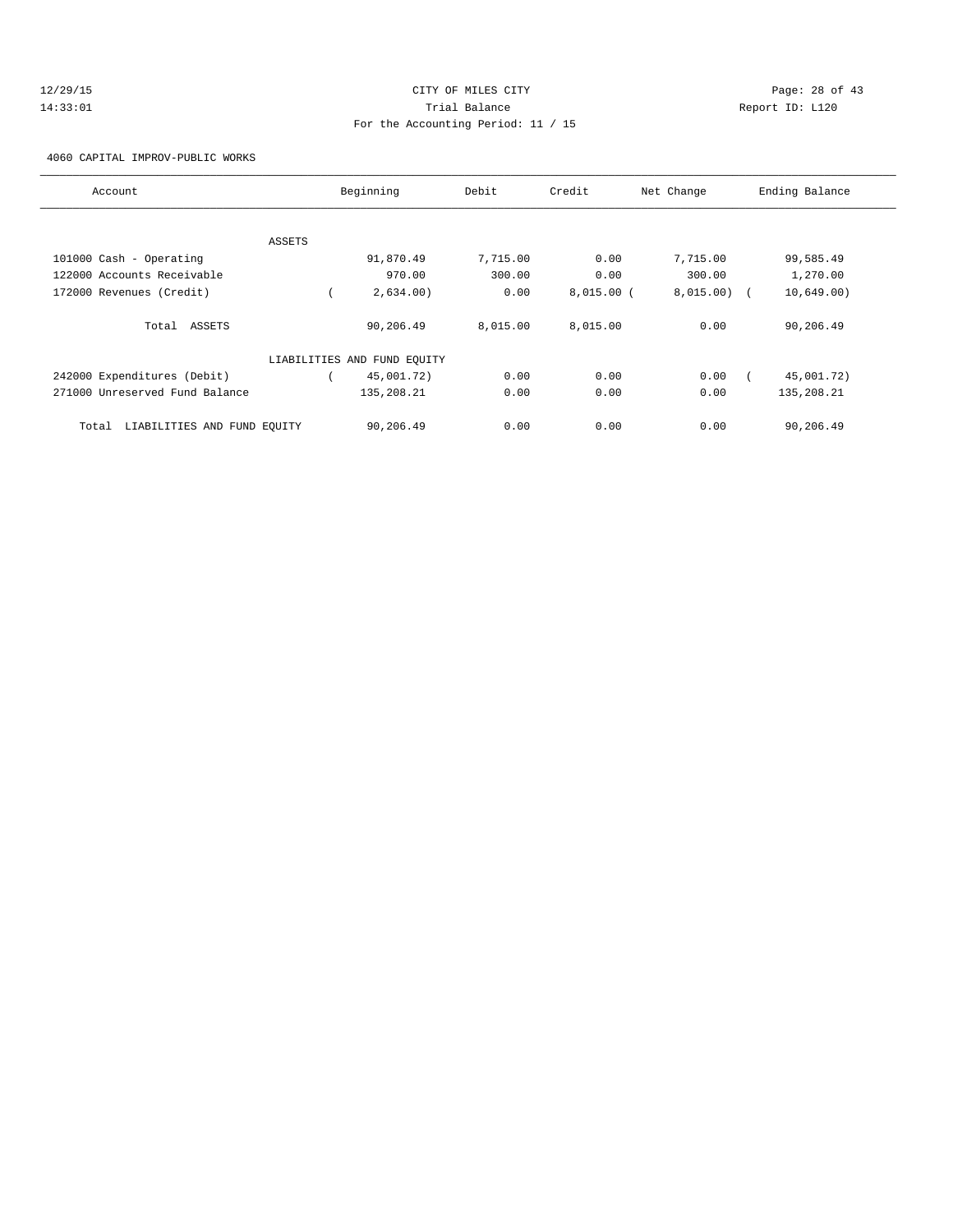## 12/29/15 Page: 28 of 43 14:33:01 Trial Balance Report ID: L120 For the Accounting Period: 11 / 15

4060 CAPITAL IMPROV-PUBLIC WORKS

| Account                              | Beginning                   | Debit    | Credit       | Net Change | Ending Balance |
|--------------------------------------|-----------------------------|----------|--------------|------------|----------------|
|                                      |                             |          |              |            |                |
| ASSETS                               |                             |          |              |            |                |
| 101000 Cash - Operating              | 91,870.49                   | 7,715.00 | 0.00         | 7,715.00   | 99,585.49      |
| 122000 Accounts Receivable           | 970.00                      | 300.00   | 0.00         | 300.00     | 1,270.00       |
| 172000 Revenues (Credit)             | 2,634.00)                   | 0.00     | $8,015.00$ ( | 8,015.00)  | 10,649.00)     |
| Total ASSETS                         | 90,206.49                   | 8,015.00 | 8,015.00     | 0.00       | 90,206.49      |
|                                      | LIABILITIES AND FUND EQUITY |          |              |            |                |
| 242000 Expenditures (Debit)          | 45,001.72)                  | 0.00     | 0.00         | 0.00       | 45,001.72)     |
| 271000 Unreserved Fund Balance       | 135,208.21                  | 0.00     | 0.00         | 0.00       | 135,208.21     |
| LIABILITIES AND FUND EQUITY<br>Total | 90,206.49                   | 0.00     | 0.00         | 0.00       | 90,206.49      |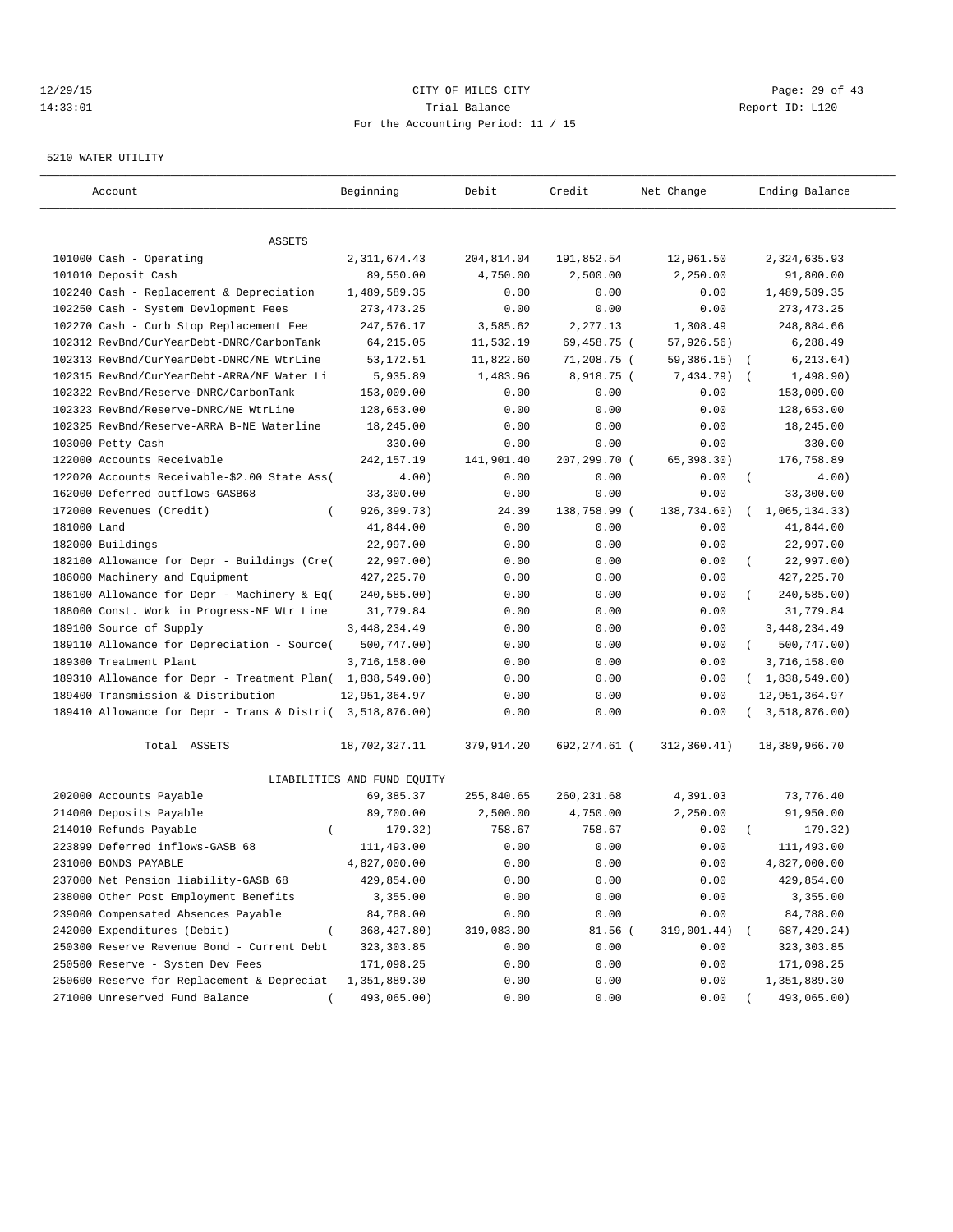## 12/29/15 **Page: 29 of 43** CITY OF MILES CITY **CITY Page: 29 of 43** 14:33:01 Trial Balance Report ID: L120 For the Accounting Period: 11 / 15

#### 5210 WATER UTILITY

| Account                                                   | Beginning                   | Debit      | Credit       | Net Change   | Ending Balance           |
|-----------------------------------------------------------|-----------------------------|------------|--------------|--------------|--------------------------|
|                                                           |                             |            |              |              |                          |
| ASSETS                                                    |                             |            |              |              |                          |
| 101000 Cash - Operating                                   | 2, 311, 674.43              | 204,814.04 | 191,852.54   | 12,961.50    | 2,324,635.93             |
| 101010 Deposit Cash                                       | 89,550.00                   | 4,750.00   | 2,500.00     | 2,250.00     | 91,800.00                |
| 102240 Cash - Replacement & Depreciation                  | 1,489,589.35                | 0.00       | 0.00         | 0.00         | 1,489,589.35             |
| 102250 Cash - System Devlopment Fees                      | 273, 473. 25                | 0.00       | 0.00         | 0.00         | 273, 473. 25             |
| 102270 Cash - Curb Stop Replacement Fee                   | 247,576.17                  | 3,585.62   | 2,277.13     | 1,308.49     | 248,884.66               |
| 102312 RevBnd/CurYearDebt-DNRC/CarbonTank                 | 64, 215.05                  | 11,532.19  | 69,458.75 (  | 57, 926.56)  | 6,288.49                 |
| 102313 RevBnd/CurYearDebt-DNRC/NE WtrLine                 | 53, 172. 51                 | 11,822.60  | 71,208.75 (  | 59,386.15)   | 6, 213.64)<br>$\sqrt{2}$ |
| 102315 RevBnd/CurYearDebt-ARRA/NE Water Li                | 5,935.89                    | 1,483.96   | 8,918.75 (   | 7,434.79)    | 1,498.90)<br>$\sqrt{2}$  |
| 102322 RevBnd/Reserve-DNRC/CarbonTank                     | 153,009.00                  | 0.00       | 0.00         | 0.00         | 153,009.00               |
| 102323 RevBnd/Reserve-DNRC/NE WtrLine                     | 128,653.00                  | 0.00       | 0.00         | 0.00         | 128,653.00               |
| 102325 RevBnd/Reserve-ARRA B-NE Waterline                 | 18,245.00                   | 0.00       | 0.00         | 0.00         | 18,245.00                |
| 103000 Petty Cash                                         | 330.00                      | 0.00       | 0.00         | 0.00         | 330.00                   |
| 122000 Accounts Receivable                                | 242, 157. 19                | 141,901.40 | 207,299.70 ( | 65, 398.30)  | 176,758.89               |
| 122020 Accounts Receivable-\$2.00 State Ass(              | 4.00)                       | 0.00       | 0.00         | 0.00         | $\left($<br>4.00)        |
| 162000 Deferred outflows-GASB68                           | 33,300.00                   | 0.00       | 0.00         | 0.00         | 33,300.00                |
| 172000 Revenues (Credit)<br>$\left($                      | 926,399.73)                 | 24.39      | 138,758.99 ( | 138,734.60)  | 1,065,134.33)            |
| 181000 Land                                               | 41,844.00                   | 0.00       | 0.00         | 0.00         | 41,844.00                |
| 182000 Buildings                                          | 22,997.00                   | 0.00       | 0.00         | 0.00         | 22,997.00                |
| 182100 Allowance for Depr - Buildings (Cre(               | 22,997.00)                  | 0.00       | 0.00         | 0.00         | 22,997.00)               |
| 186000 Machinery and Equipment                            | 427, 225.70                 | 0.00       | 0.00         | 0.00         | 427, 225.70              |
| 186100 Allowance for Depr - Machinery & Eq(               | 240,585.00)                 | 0.00       | 0.00         | 0.00         | 240,585.00)              |
| 188000 Const. Work in Progress-NE Wtr Line                | 31,779.84                   | 0.00       | 0.00         | 0.00         | 31,779.84                |
| 189100 Source of Supply                                   | 3, 448, 234.49              | 0.00       | 0.00         | 0.00         | 3, 448, 234.49           |
| 189110 Allowance for Depreciation - Source(               | 500,747.00)                 | 0.00       | 0.00         | 0.00         | 500,747.00)<br>$\left($  |
| 189300 Treatment Plant                                    | 3,716,158.00                | 0.00       | 0.00         | 0.00         | 3,716,158.00             |
| 189310 Allowance for Depr - Treatment Plan( 1,838,549.00) |                             | 0.00       | 0.00         | 0.00         | (1,838,549.00)           |
| 189400 Transmission & Distribution                        | 12,951,364.97               | 0.00       | 0.00         | 0.00         | 12,951,364.97            |
| 189410 Allowance for Depr - Trans & Distri( 3,518,876.00) |                             | 0.00       | 0.00         | 0.00         | 3,518,876.00)            |
| Total ASSETS                                              | 18,702,327.11               | 379,914.20 | 692,274.61 ( | 312, 360.41) | 18,389,966.70            |
|                                                           | LIABILITIES AND FUND EQUITY |            |              |              |                          |
| 202000 Accounts Payable                                   | 69, 385. 37                 | 255,840.65 | 260, 231.68  | 4,391.03     | 73,776.40                |
| 214000 Deposits Payable                                   | 89,700.00                   | 2,500.00   | 4,750.00     | 2,250.00     | 91,950.00                |
| 214010 Refunds Payable                                    | 179.32)                     | 758.67     | 758.67       | 0.00         | 179.32)                  |
| 223899 Deferred inflows-GASB 68                           | 111,493.00                  | 0.00       | 0.00         | 0.00         | 111,493.00               |
| 231000 BONDS PAYABLE                                      | 4,827,000.00                | 0.00       | 0.00         | 0.00         | 4,827,000.00             |
| 237000 Net Pension liability-GASB 68                      | 429,854.00                  | 0.00       | 0.00         | 0.00         | 429,854.00               |
| 238000 Other Post Employment Benefits                     | 3,355.00                    | 0.00       | 0.00         | 0.00         | 3,355.00                 |
| 239000 Compensated Absences Payable                       | 84,788.00                   | 0.00       | 0.00         | 0.00         | 84,788.00                |
| 242000 Expenditures (Debit)<br>$\left($                   | 368, 427.80)                | 319,083.00 | 81.56 (      | 319,001.44)  | 687, 429.24)             |
| 250300 Reserve Revenue Bond - Current Debt                | 323, 303.85                 | 0.00       | 0.00         | 0.00         | 323,303.85               |
| 250500 Reserve - System Dev Fees                          | 171,098.25                  | 0.00       | 0.00         | 0.00         | 171,098.25               |
| 250600 Reserve for Replacement & Depreciat                | 1,351,889.30                | 0.00       | 0.00         | 0.00         | 1,351,889.30             |
| 271000 Unreserved Fund Balance                            | 493,065.00)                 | 0.00       | 0.00         | 0.00         | 493,065.00)              |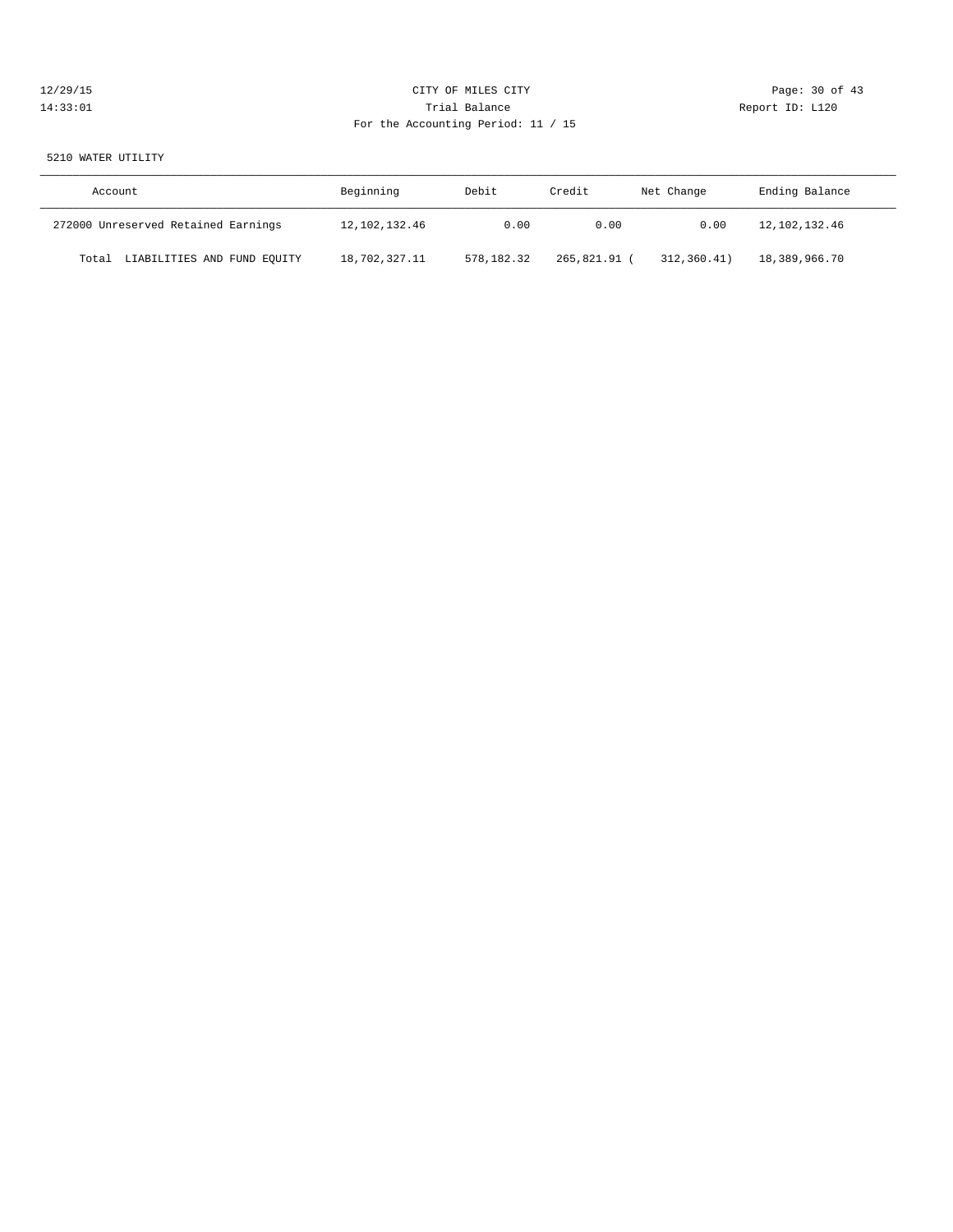## 12/29/15 **Page: 30 of 43** CITY OF MILES CITY **CITY** CITY **Page: 30 of 43** 14:33:01 Trial Balance Report ID: L120 For the Accounting Period: 11 / 15

#### 5210 WATER UTILITY

| Account                              | Beginning        | Debit<br>Credit |              | Net Change  | Ending Balance |
|--------------------------------------|------------------|-----------------|--------------|-------------|----------------|
| 272000 Unreserved Retained Earnings  | 12, 102, 132. 46 | 0.00            | 0.00         | 0.00        | 12,102,132.46  |
| LIABILITIES AND FUND EQUITY<br>Total | 18,702,327.11    | 578,182.32      | 265,821.91 ( | 312,360.41) | 18,389,966.70  |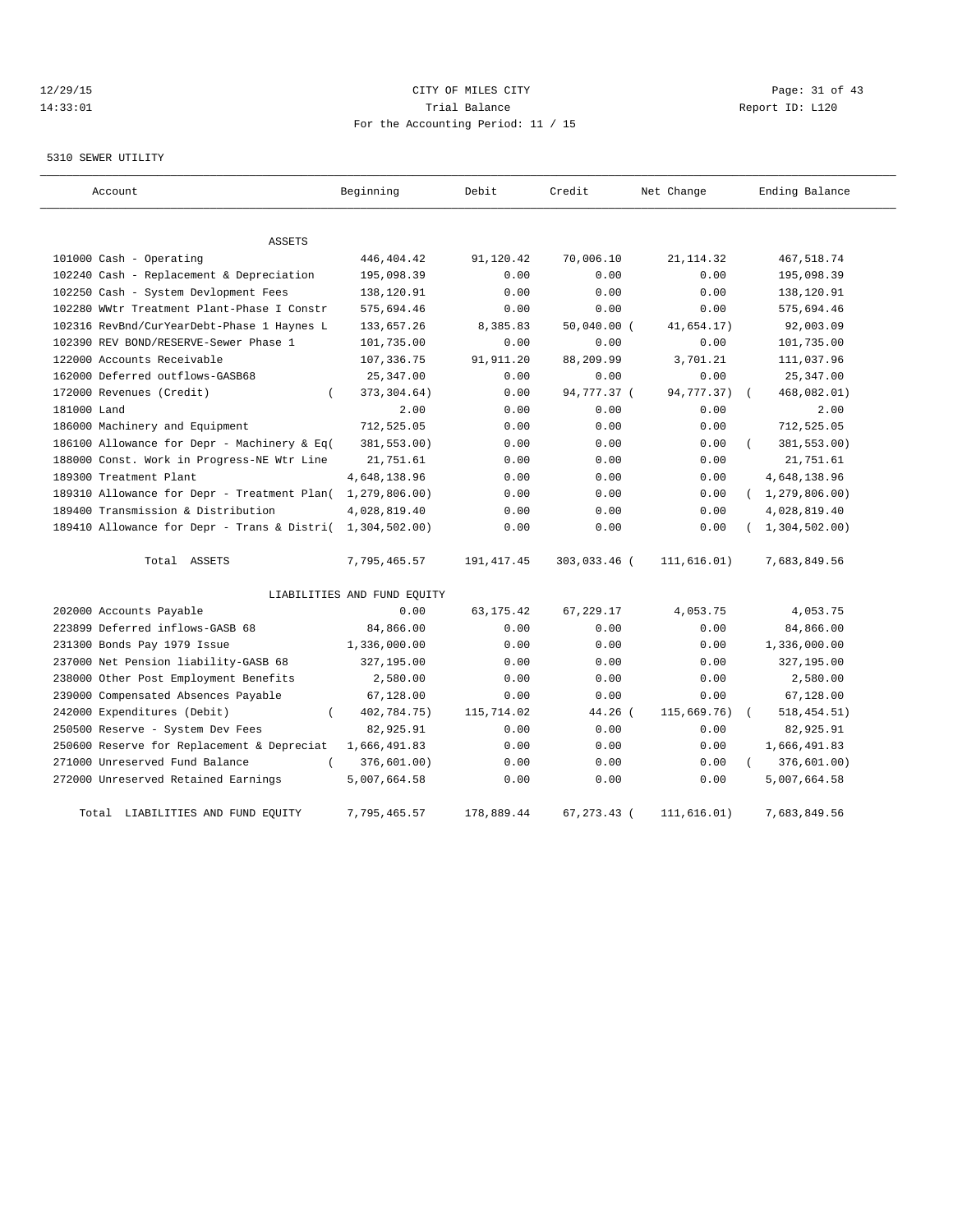## 12/29/15 Page: 31 of 43 14:33:01 Trial Balance Report ID: L120 For the Accounting Period: 11 / 15

#### 5310 SEWER UTILITY

| Account                                     | Beginning                   | Debit        | Credit        | Net Change  | Ending Balance          |
|---------------------------------------------|-----------------------------|--------------|---------------|-------------|-------------------------|
| <b>ASSETS</b>                               |                             |              |               |             |                         |
| 101000 Cash - Operating                     | 446,404.42                  | 91,120.42    | 70,006.10     | 21, 114.32  | 467,518.74              |
| 102240 Cash - Replacement & Depreciation    | 195,098.39                  | 0.00         | 0.00          | 0.00        | 195,098.39              |
| 102250 Cash - System Devlopment Fees        | 138,120.91                  | 0.00         | 0.00          | 0.00        | 138,120.91              |
| 102280 WWtr Treatment Plant-Phase I Constr  | 575,694.46                  | 0.00         | 0.00          | 0.00        | 575,694.46              |
| 102316 RevBnd/CurYearDebt-Phase 1 Haynes L  | 133,657.26                  | 8,385.83     | $50,040.00$ ( | 41,654.17)  | 92,003.09               |
| 102390 REV BOND/RESERVE-Sewer Phase 1       | 101,735.00                  | 0.00         | 0.00          | 0.00        | 101,735.00              |
| 122000 Accounts Receivable                  | 107,336.75                  | 91,911.20    | 88,209.99     | 3,701.21    | 111,037.96              |
| 162000 Deferred outflows-GASB68             | 25, 347.00                  | 0.00         | 0.00          | 0.00        | 25, 347.00              |
| 172000 Revenues (Credit)                    | 373, 304.64)                | 0.00         | 94,777.37 (   | 94,777.37)  | 468,082.01)             |
| 181000 Land                                 | 2.00                        | 0.00         | 0.00          | 0.00        | 2.00                    |
| 186000 Machinery and Equipment              | 712,525.05                  | 0.00         | 0.00          | 0.00        | 712,525.05              |
| 186100 Allowance for Depr - Machinery & Eq( | 381,553.00)                 | 0.00         | 0.00          | 0.00        | 381,553.00)             |
| 188000 Const. Work in Progress-NE Wtr Line  | 21,751.61                   | 0.00         | 0.00          | 0.00        | 21,751.61               |
| 189300 Treatment Plant                      | 4,648,138.96                | 0.00         | 0.00          | 0.00        | 4,648,138.96            |
| 189310 Allowance for Depr - Treatment Plan( | 1,279,806.00)               | 0.00         | 0.00          | 0.00        | (1, 279, 806.00)        |
| 189400 Transmission & Distribution          | 4,028,819.40                | 0.00         | 0.00          | 0.00        | 4,028,819.40            |
| 189410 Allowance for Depr - Trans & Distri( | 1,304,502.00)               | 0.00         | 0.00          | 0.00        | (1, 304, 502.00)        |
| Total ASSETS                                | 7,795,465.57                | 191, 417. 45 | 303,033.46 (  | 111,616.01) | 7,683,849.56            |
|                                             | LIABILITIES AND FUND EQUITY |              |               |             |                         |
| 202000 Accounts Payable                     | 0.00                        | 63, 175. 42  | 67,229.17     | 4,053.75    | 4,053.75                |
| 223899 Deferred inflows-GASB 68             | 84,866.00                   | 0.00         | 0.00          | 0.00        | 84,866.00               |
| 231300 Bonds Pay 1979 Issue                 | 1,336,000.00                | 0.00         | 0.00          | 0.00        | 1,336,000.00            |
| 237000 Net Pension liability-GASB 68        | 327,195.00                  | 0.00         | 0.00          | 0.00        | 327,195.00              |
| 238000 Other Post Employment Benefits       | 2,580.00                    | 0.00         | 0.00          | 0.00        | 2,580.00                |
| 239000 Compensated Absences Payable         | 67,128.00                   | 0.00         | 0.00          | 0.00        | 67,128.00               |
| 242000 Expenditures (Debit)                 | 402,784.75)                 | 115,714.02   | 44.26 (       | 115,669.76) | 518, 454.51)            |
| 250500 Reserve - System Dev Fees            | 82,925.91                   | 0.00         | 0.00          | 0.00        | 82,925.91               |
| 250600 Reserve for Replacement & Depreciat  | 1,666,491.83                | 0.00         | 0.00          | 0.00        | 1,666,491.83            |
| 271000 Unreserved Fund Balance<br>$\left($  | 376,601.00)                 | 0.00         | 0.00          | 0.00        | 376,601.00)<br>$\left($ |
| 272000 Unreserved Retained Earnings         | 5,007,664.58                | 0.00         | 0.00          | 0.00        | 5,007,664.58            |
| Total LIABILITIES AND FUND EQUITY           | 7,795,465.57                | 178,889.44   | 67, 273. 43 ( | 111,616.01) | 7,683,849.56            |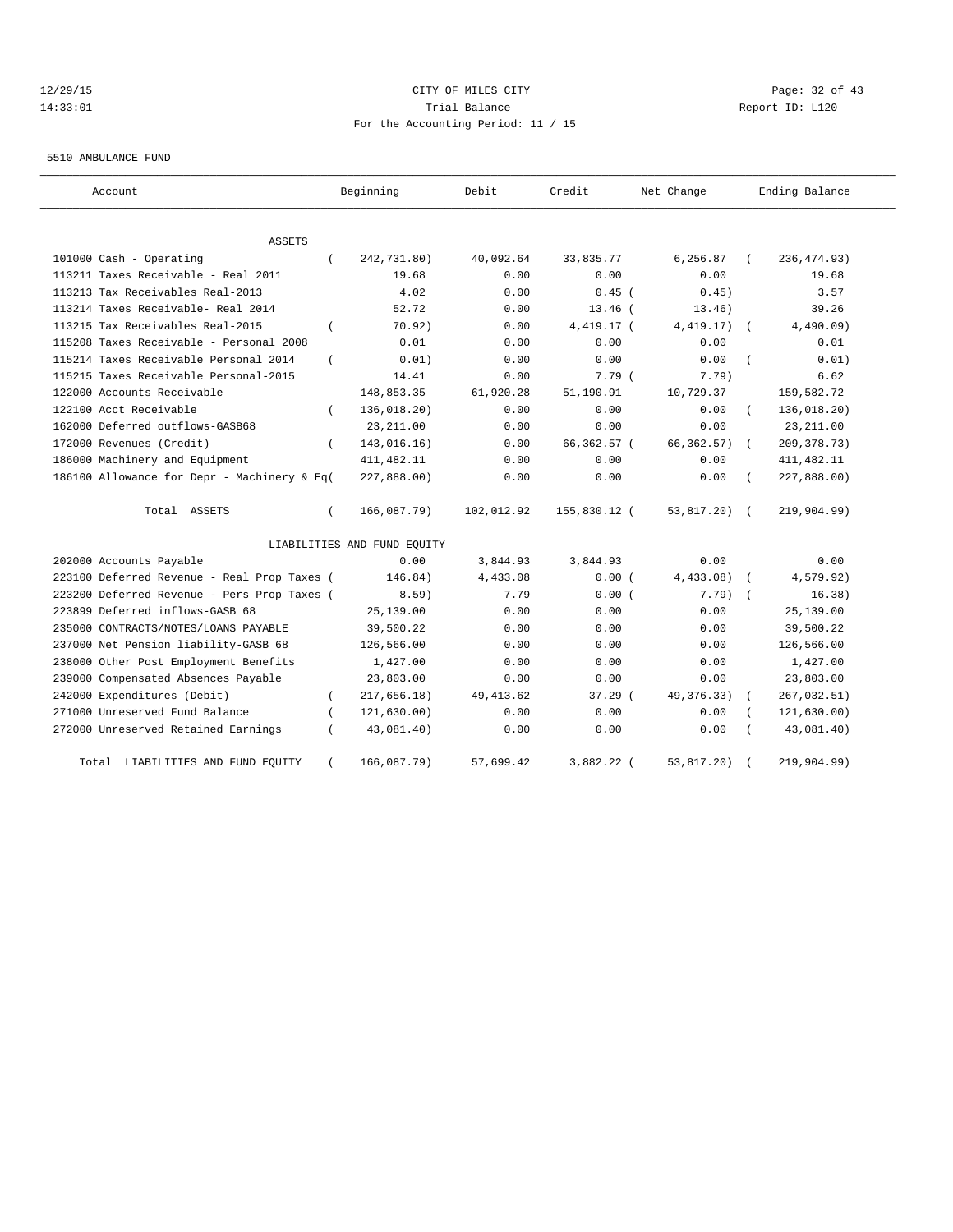## 12/29/15 Page: 32 of 43 14:33:01 Trial Balance Report ID: L120 For the Accounting Period: 11 / 15

#### 5510 AMBULANCE FUND

| Account                                     | Beginning                   | Debit      | Credit       | Net Change   | Ending Balance             |
|---------------------------------------------|-----------------------------|------------|--------------|--------------|----------------------------|
| ASSETS                                      |                             |            |              |              |                            |
| 101000 Cash - Operating<br>$\left($         | 242,731.80)                 | 40,092.64  | 33,835.77    | 6,256.87     | 236, 474.93)               |
| 113211 Taxes Receivable - Real 2011         | 19.68                       | 0.00       | 0.00         | 0.00         | 19.68                      |
| 113213 Tax Receivables Real-2013            | 4.02                        | 0.00       | $0.45$ (     | 0.45)        | 3.57                       |
| 113214 Taxes Receivable- Real 2014          | 52.72                       | 0.00       | $13.46$ (    | 13.46)       | 39.26                      |
| 113215 Tax Receivables Real-2015            | 70.92)                      | 0.00       | 4,419.17 (   | 4, 419.17)   | 4,490.09)                  |
| 115208 Taxes Receivable - Personal 2008     | 0.01                        | 0.00       | 0.00         | 0.00         | 0.01                       |
| 115214 Taxes Receivable Personal 2014       | 0.01)                       | 0.00       | 0.00         | 0.00         | 0.01)                      |
| 115215 Taxes Receivable Personal-2015       | 14.41                       | 0.00       | 7.79(        | 7.79)        | 6.62                       |
| 122000 Accounts Receivable                  | 148,853.35                  | 61,920.28  | 51,190.91    | 10,729.37    | 159,582.72                 |
| 122100 Acct Receivable                      | 136,018.20)                 | 0.00       | 0.00         | 0.00         | 136,018.20)                |
| 162000 Deferred outflows-GASB68             | 23, 211.00                  | 0.00       | 0.00         | 0.00         | 23, 211.00                 |
| 172000 Revenues (Credit)                    | 143,016.16)                 | 0.00       | 66,362.57 (  | 66, 362.57)  | 209, 378.73)<br>$\sqrt{2}$ |
| 186000 Machinery and Equipment              | 411, 482.11                 | 0.00       | 0.00         | 0.00         | 411, 482.11                |
| 186100 Allowance for Depr - Machinery & Eq( | 227,888.00)                 | 0.00       | 0.00         | 0.00         | 227,888.00)                |
| Total ASSETS<br>$\left($                    | 166,087.79)                 | 102,012.92 | 155,830.12 ( | 53,817.20)   | 219,904.99)<br>$\sqrt{2}$  |
|                                             | LIABILITIES AND FUND EQUITY |            |              |              |                            |
| 202000 Accounts Payable                     | 0.00                        | 3,844.93   | 3,844.93     | 0.00         | 0.00                       |
| 223100 Deferred Revenue - Real Prop Taxes ( | 146.84)                     | 4,433.08   | 0.00(        | 4,433.08)    | 4,579.92)                  |
| 223200 Deferred Revenue - Pers Prop Taxes ( | 8.59)                       | 7.79       | 0.00(        | 7.79)        | 16.38)                     |
| 223899 Deferred inflows-GASB 68             | 25,139.00                   | 0.00       | 0.00         | 0.00         | 25,139.00                  |
| 235000 CONTRACTS/NOTES/LOANS PAYABLE        | 39,500.22                   | 0.00       | 0.00         | 0.00         | 39,500.22                  |
| 237000 Net Pension liability-GASB 68        | 126,566.00                  | 0.00       | 0.00         | 0.00         | 126,566.00                 |
| 238000 Other Post Employment Benefits       | 1,427.00                    | 0.00       | 0.00         | 0.00         | 1,427.00                   |
| 239000 Compensated Absences Payable         | 23,803.00                   | 0.00       | 0.00         | 0.00         | 23,803.00                  |
| 242000 Expenditures (Debit)                 | 217,656.18)                 | 49, 413.62 | 37.29 (      | 49, 376. 33) | 267,032.51)                |
| 271000 Unreserved Fund Balance              | 121,630.00)                 | 0.00       | 0.00         | 0.00         | 121, 630.00)               |
| 272000 Unreserved Retained Earnings         | 43,081.40)                  | 0.00       | 0.00         | 0.00         | 43,081.40)                 |
| LIABILITIES AND FUND EQUITY<br>Total        | 166,087.79)                 | 57,699.42  | 3,882.22 (   | 53,817.20)   | 219,904.99)                |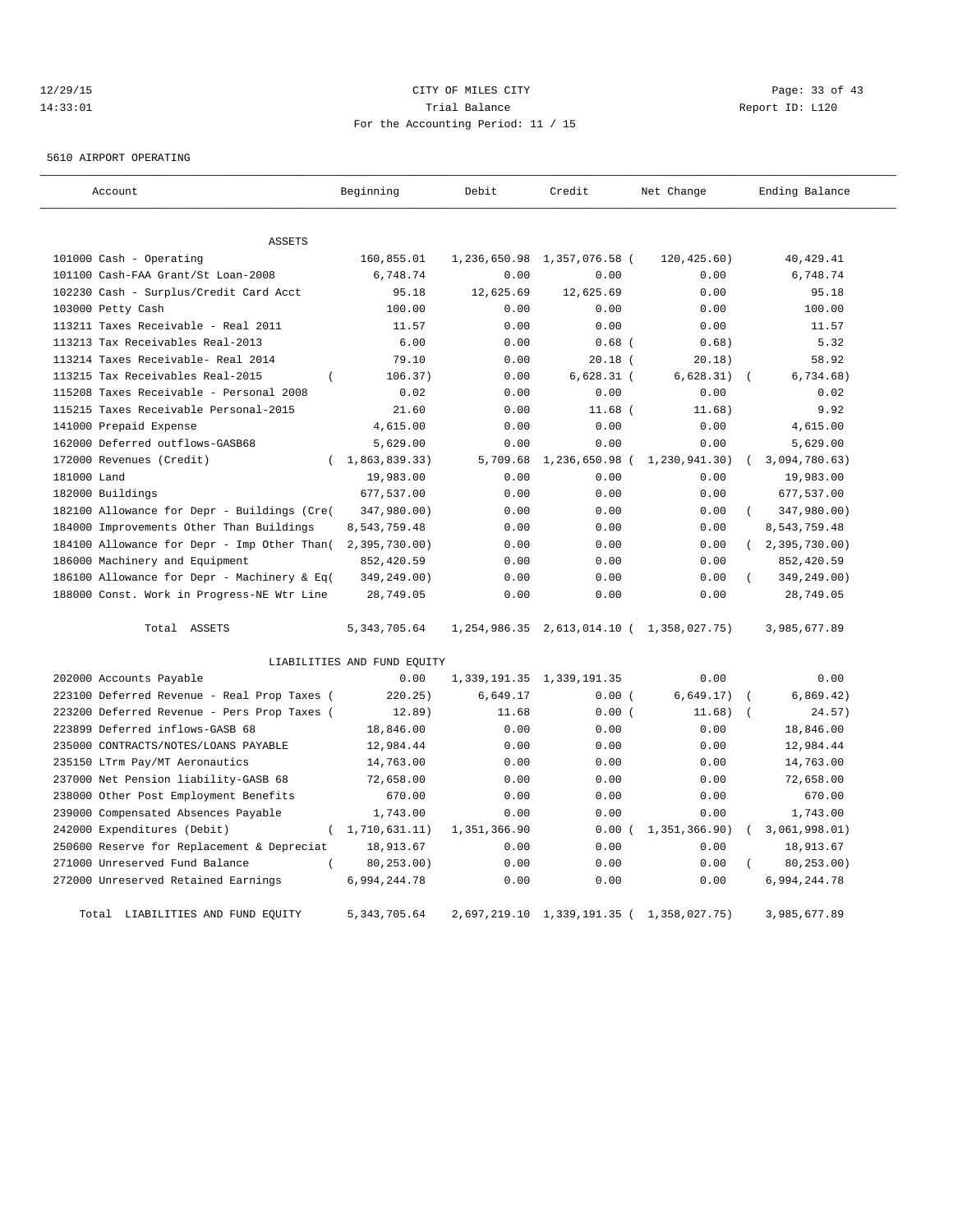#### 12/29/15 Page: 33 of 43 14:33:01 Report ID: L120 For the Accounting Period: 11 / 15

5610 AIRPORT OPERATING

| Account                                              | Beginning                   | Debit        | Credit                                    | Net Change                                      | Ending Balance   |  |  |  |  |  |
|------------------------------------------------------|-----------------------------|--------------|-------------------------------------------|-------------------------------------------------|------------------|--|--|--|--|--|
| ASSETS                                               |                             |              |                                           |                                                 |                  |  |  |  |  |  |
| 101000 Cash - Operating                              | 160,855.01                  | 1,236,650.98 | 1,357,076.58 (                            | 120, 425.60)                                    | 40, 429.41       |  |  |  |  |  |
| 101100 Cash-FAA Grant/St Loan-2008                   | 6,748.74                    | 0.00         | 0.00                                      | 0.00                                            | 6,748.74         |  |  |  |  |  |
| 102230 Cash - Surplus/Credit Card Acct               | 95.18                       | 12,625.69    | 12,625.69                                 | 0.00                                            | 95.18            |  |  |  |  |  |
| 103000 Petty Cash                                    | 100.00                      | 0.00         | 0.00                                      | 0.00                                            | 100.00           |  |  |  |  |  |
| 113211 Taxes Receivable - Real 2011                  | 11.57                       | 0.00         | 0.00                                      | 0.00                                            | 11.57            |  |  |  |  |  |
| 113213 Tax Receivables Real-2013                     | 6.00                        | 0.00         | $0.68$ (                                  | 0.68)                                           | 5.32             |  |  |  |  |  |
| 113214 Taxes Receivable- Real 2014                   | 79.10                       | 0.00         | $20.18$ (                                 | 20.18)                                          | 58.92            |  |  |  |  |  |
| 113215 Tax Receivables Real-2015<br>$\overline{(\ }$ | 106.37)                     | 0.00         | $6,628.31$ (                              | 6,628.31)                                       | 6,734.68)        |  |  |  |  |  |
| 115208 Taxes Receivable - Personal 2008              | 0.02                        | 0.00         | 0.00                                      | 0.00                                            | 0.02             |  |  |  |  |  |
| 115215 Taxes Receivable Personal-2015                | 21.60                       | 0.00         | $11.68$ (                                 | 11.68)                                          | 9.92             |  |  |  |  |  |
| 141000 Prepaid Expense                               | 4,615.00                    | 0.00         | 0.00                                      | 0.00                                            | 4,615.00         |  |  |  |  |  |
| 162000 Deferred outflows-GASB68                      | 5,629.00                    | 0.00         | 0.00                                      | 0.00                                            | 5,629.00         |  |  |  |  |  |
| 172000 Revenues (Credit)                             | (1, 863, 839, 33)           | 5,709.68     | 1,236,650.98                              | 1,230,941.30)                                   | 3,094,780.63)    |  |  |  |  |  |
| 181000 Land                                          | 19,983.00                   | 0.00         | 0.00                                      | 0.00                                            | 19,983.00        |  |  |  |  |  |
| 182000 Buildings                                     | 677,537.00                  | 0.00         | 0.00                                      | 0.00                                            | 677,537.00       |  |  |  |  |  |
| 182100 Allowance for Depr - Buildings (Cre(          | 347,980.00)                 | 0.00         | 0.00                                      | 0.00                                            | 347,980.00)      |  |  |  |  |  |
| 184000 Improvements Other Than Buildings             | 8,543,759.48                | 0.00         | 0.00                                      | 0.00                                            | 8,543,759.48     |  |  |  |  |  |
| 184100 Allowance for Depr - Imp Other Than(          | 2,395,730.00                | 0.00         | 0.00                                      | 0.00                                            | (2, 395, 730.00) |  |  |  |  |  |
| 186000 Machinery and Equipment                       | 852,420.59                  | 0.00         | 0.00                                      | 0.00                                            | 852,420.59       |  |  |  |  |  |
| 186100 Allowance for Depr - Machinery & Eq(          | 349,249.00)                 | 0.00         | 0.00                                      | 0.00                                            | 349,249.00)      |  |  |  |  |  |
| 188000 Const. Work in Progress-NE Wtr Line           | 28,749.05                   | 0.00         | 0.00                                      | 0.00                                            | 28,749.05        |  |  |  |  |  |
| Total ASSETS                                         | 5, 343, 705.64              |              |                                           | 1, 254, 986.35 2, 613, 014.10 ( 1, 358, 027.75) | 3,985,677.89     |  |  |  |  |  |
|                                                      | LIABILITIES AND FUND EQUITY |              |                                           |                                                 |                  |  |  |  |  |  |
| 202000 Accounts Payable                              | 0.00                        |              | 1, 339, 191. 35 1, 339, 191. 35           | 0.00                                            | 0.00             |  |  |  |  |  |
| 223100 Deferred Revenue - Real Prop Taxes (          | 220.25)                     | 6,649.17     | 0.00(                                     | 6,649.17)                                       | 6,869.42)        |  |  |  |  |  |
| 223200 Deferred Revenue - Pers Prop Taxes (          | 12.89)                      | 11.68        | 0.00(                                     | 11.68)                                          | 24.57)           |  |  |  |  |  |
| 223899 Deferred inflows-GASB 68                      | 18,846.00                   | 0.00         | 0.00                                      | 0.00                                            | 18,846.00        |  |  |  |  |  |
| 235000 CONTRACTS/NOTES/LOANS PAYABLE                 | 12,984.44                   | 0.00         | 0.00                                      | 0.00                                            | 12,984.44        |  |  |  |  |  |
| 235150 LTrm Pay/MT Aeronautics                       | 14,763.00                   | 0.00         | 0.00                                      | 0.00                                            | 14,763.00        |  |  |  |  |  |
| 237000 Net Pension liability-GASB 68                 | 72,658.00                   | 0.00         | 0.00                                      | 0.00                                            | 72,658.00        |  |  |  |  |  |
| 238000 Other Post Employment Benefits                | 670.00                      | 0.00         | 0.00                                      | 0.00                                            | 670.00           |  |  |  |  |  |
| 239000 Compensated Absences Payable                  | 1,743.00                    | 0.00         | 0.00                                      | 0.00                                            | 1,743.00         |  |  |  |  |  |
| 242000 Expenditures (Debit)<br>$\left($              | 1,710,631.11)               | 1,351,366.90 | 0.00(                                     | 1,351,366.90)                                   | 3,061,998.01)    |  |  |  |  |  |
| 250600 Reserve for Replacement & Depreciat           | 18,913.67                   | 0.00         | 0.00                                      | 0.00                                            | 18,913.67        |  |  |  |  |  |
| 271000 Unreserved Fund Balance                       | 80, 253.00)                 | 0.00         | 0.00                                      | 0.00                                            | 80, 253.00)      |  |  |  |  |  |
| 272000 Unreserved Retained Earnings                  | 6,994,244.78                | 0.00         | 0.00                                      | 0.00                                            | 6,994,244.78     |  |  |  |  |  |
| Total LIABILITIES AND FUND EQUITY                    | 5, 343, 705.64              |              | 2,697,219.10 1,339,191.35 ( 1,358,027.75) |                                                 | 3,985,677.89     |  |  |  |  |  |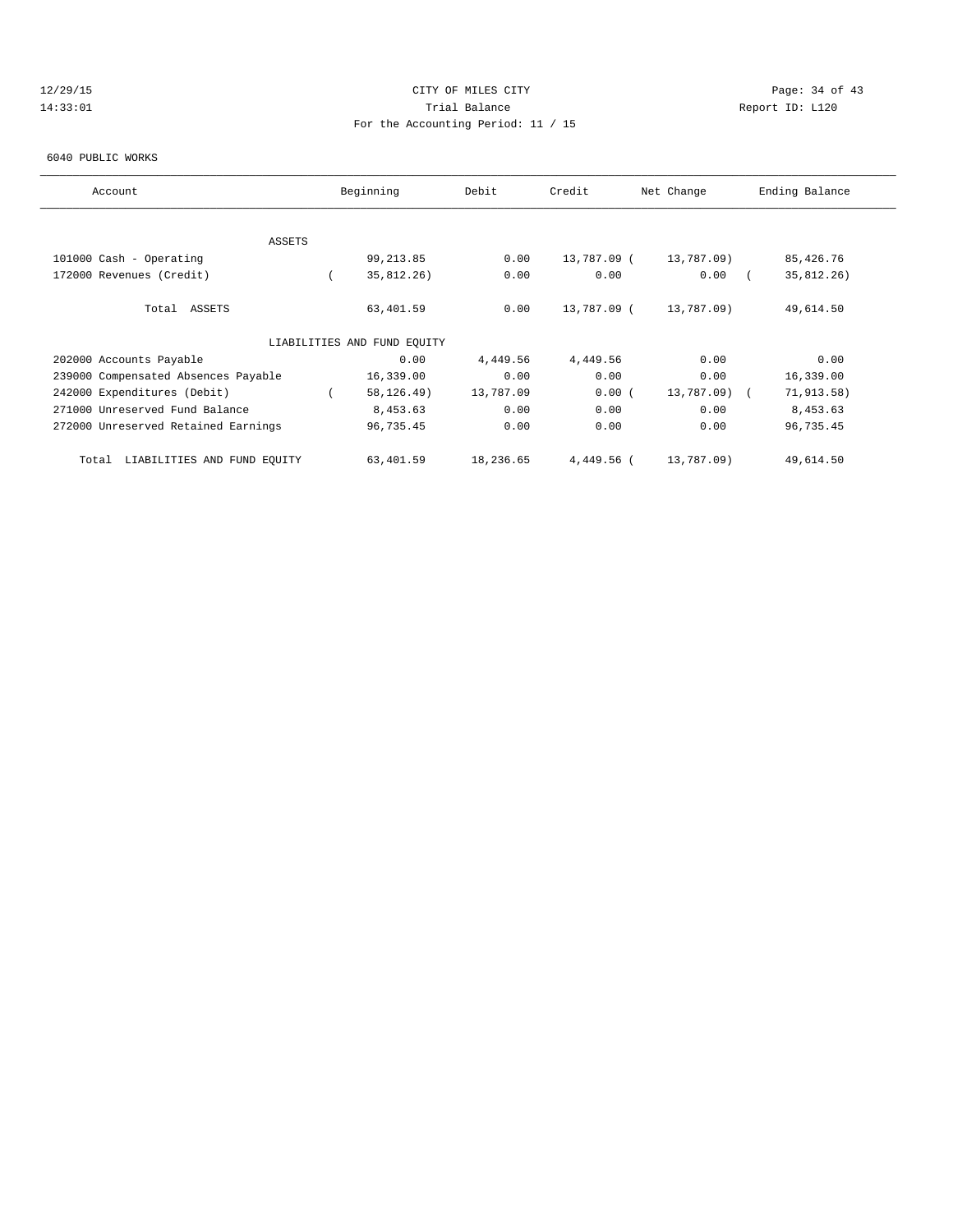## 12/29/15 Page: 34 of 43 14:33:01 Trial Balance Report ID: L120 For the Accounting Period: 11 / 15

#### 6040 PUBLIC WORKS

| Account                              | Beginning                   | Debit     | Credit      | Net Change   | Ending Balance |
|--------------------------------------|-----------------------------|-----------|-------------|--------------|----------------|
|                                      |                             |           |             |              |                |
| ASSETS                               |                             |           |             |              |                |
| 101000 Cash - Operating              | 99, 213.85                  | 0.00      | 13,787.09 ( | 13,787.09)   | 85,426.76      |
| 172000 Revenues (Credit)             | 35,812.26)                  | 0.00      | 0.00        | 0.00         | 35,812.26)     |
| Total ASSETS                         | 63,401.59                   | 0.00      | 13,787.09 ( | 13,787.09)   | 49,614.50      |
|                                      | LIABILITIES AND FUND EQUITY |           |             |              |                |
| 202000 Accounts Payable              | 0.00                        | 4,449.56  | 4,449.56    | 0.00         | 0.00           |
| 239000 Compensated Absences Payable  | 16,339.00                   | 0.00      | 0.00        | 0.00         | 16,339.00      |
| 242000 Expenditures (Debit)          | 58, 126. 49)                | 13,787.09 | 0.00(       | 13,787.09) ( | 71, 913.58)    |
| 271000 Unreserved Fund Balance       | 8,453.63                    | 0.00      | 0.00        | 0.00         | 8,453.63       |
| 272000 Unreserved Retained Earnings  | 96,735.45                   | 0.00      | 0.00        | 0.00         | 96,735.45      |
| LIABILITIES AND FUND EQUITY<br>Total | 63,401.59                   | 18,236.65 | 4,449.56 (  | 13,787.09)   | 49,614.50      |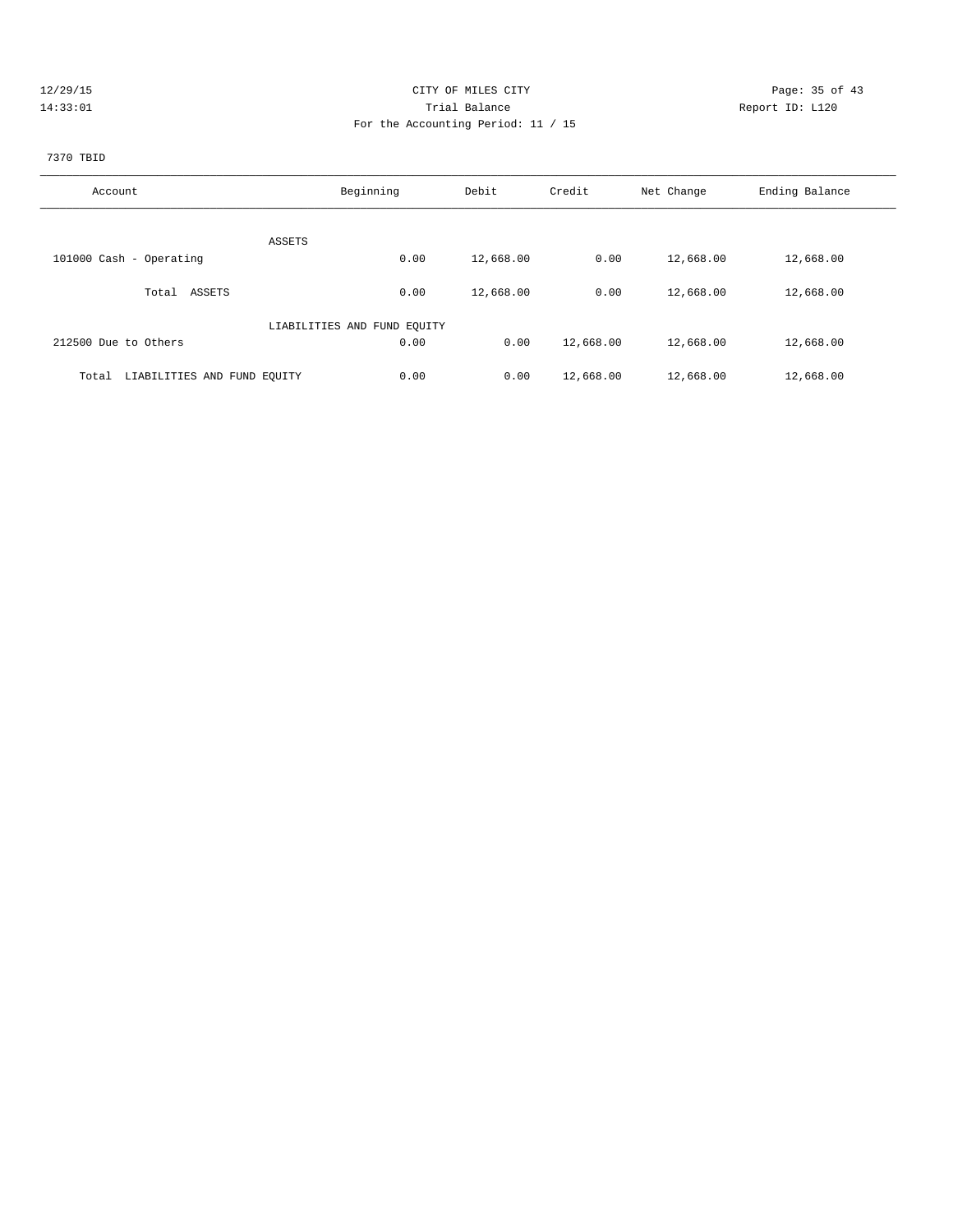| 2729 |
|------|
|      |

## CITY OF MILES CITY CONTROL CONTROL CONTROL CONTROL CONTROL PAGE: 35 of 43 14:33:01 Trial Balance Report ID: L120 For the Accounting Period: 11 / 15

# 7370 TBID

| Account                              | Beginning                   | Debit     | Credit    | Net Change | Ending Balance |
|--------------------------------------|-----------------------------|-----------|-----------|------------|----------------|
|                                      |                             |           |           |            |                |
|                                      |                             |           |           |            |                |
|                                      | ASSETS                      |           |           |            |                |
| 101000 Cash - Operating              | 0.00                        | 12,668.00 | 0.00      | 12,668.00  | 12,668.00      |
|                                      |                             |           |           |            |                |
| ASSETS<br>Total                      | 0.00                        | 12,668.00 | 0.00      | 12,668.00  | 12,668.00      |
|                                      |                             |           |           |            |                |
|                                      | LIABILITIES AND FUND EQUITY |           |           |            |                |
| 212500 Due to Others                 | 0.00                        | 0.00      | 12,668.00 | 12,668.00  | 12,668.00      |
|                                      |                             |           |           |            |                |
| LIABILITIES AND FUND EQUITY<br>Total | 0.00                        | 0.00      | 12,668.00 | 12,668.00  | 12,668.00      |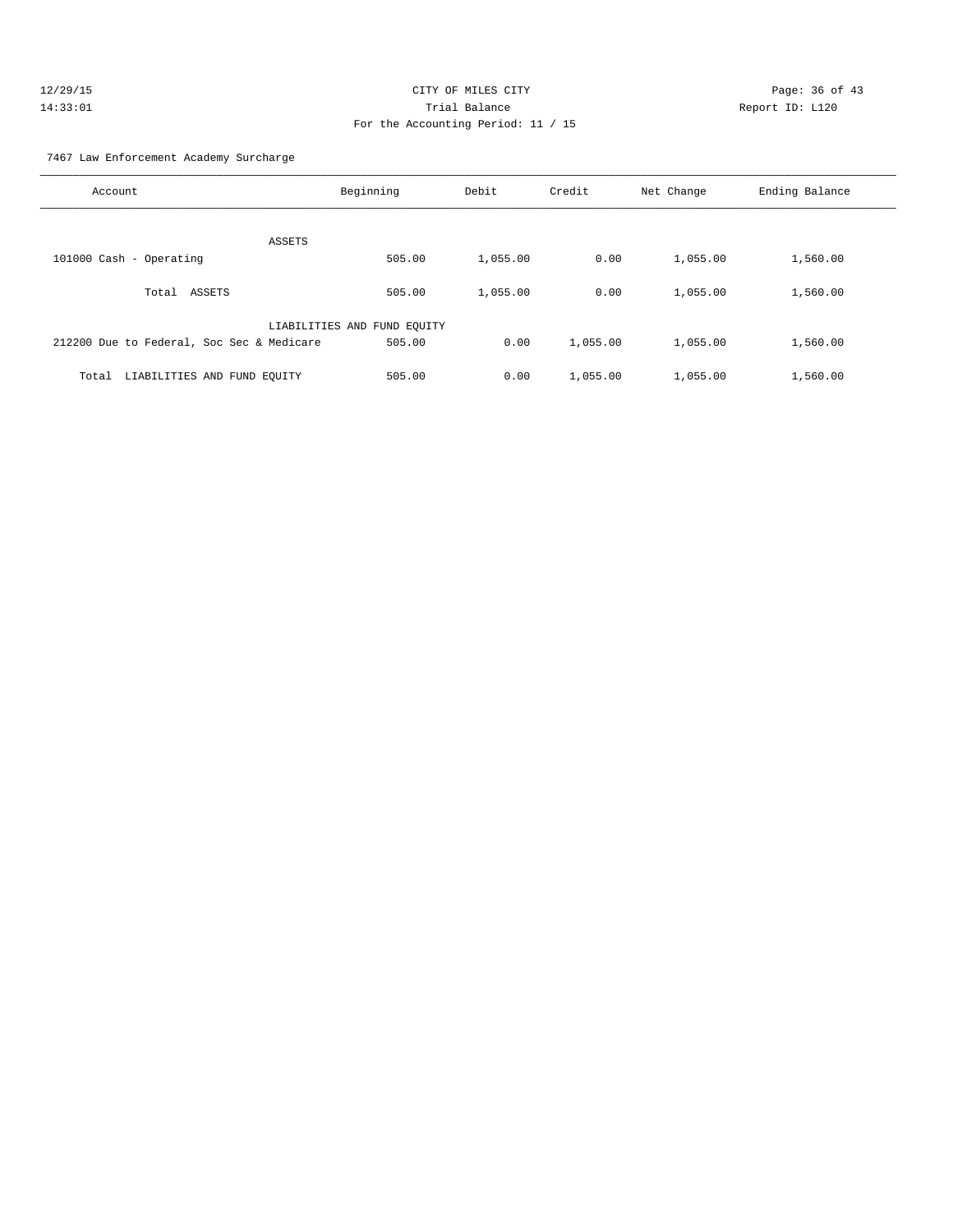| 12/29/15 | CITY OF MILES CITY                 | Page: $36o$     |
|----------|------------------------------------|-----------------|
| 14:33:01 | Trial Balance                      | Report ID: L120 |
|          | For the Accounting Period: 11 / 15 |                 |

age: 36 of 43

#### 7467 Law Enforcement Academy Surcharge

| Account                                   | Beginning                   | Debit    | Credit   | Net Change | Ending Balance |
|-------------------------------------------|-----------------------------|----------|----------|------------|----------------|
| ASSETS                                    |                             |          |          |            |                |
| 101000 Cash - Operating                   | 505.00                      | 1,055.00 | 0.00     | 1,055.00   | 1,560.00       |
| ASSETS<br>Total                           | 505.00                      | 1,055.00 | 0.00     | 1,055.00   | 1,560.00       |
|                                           | LIABILITIES AND FUND EQUITY |          |          |            |                |
| 212200 Due to Federal, Soc Sec & Medicare | 505.00                      | 0.00     | 1,055.00 | 1,055.00   | 1,560.00       |
| LIABILITIES AND FUND EQUITY<br>Total      | 505.00                      | 0.00     | 1,055.00 | 1,055.00   | 1,560.00       |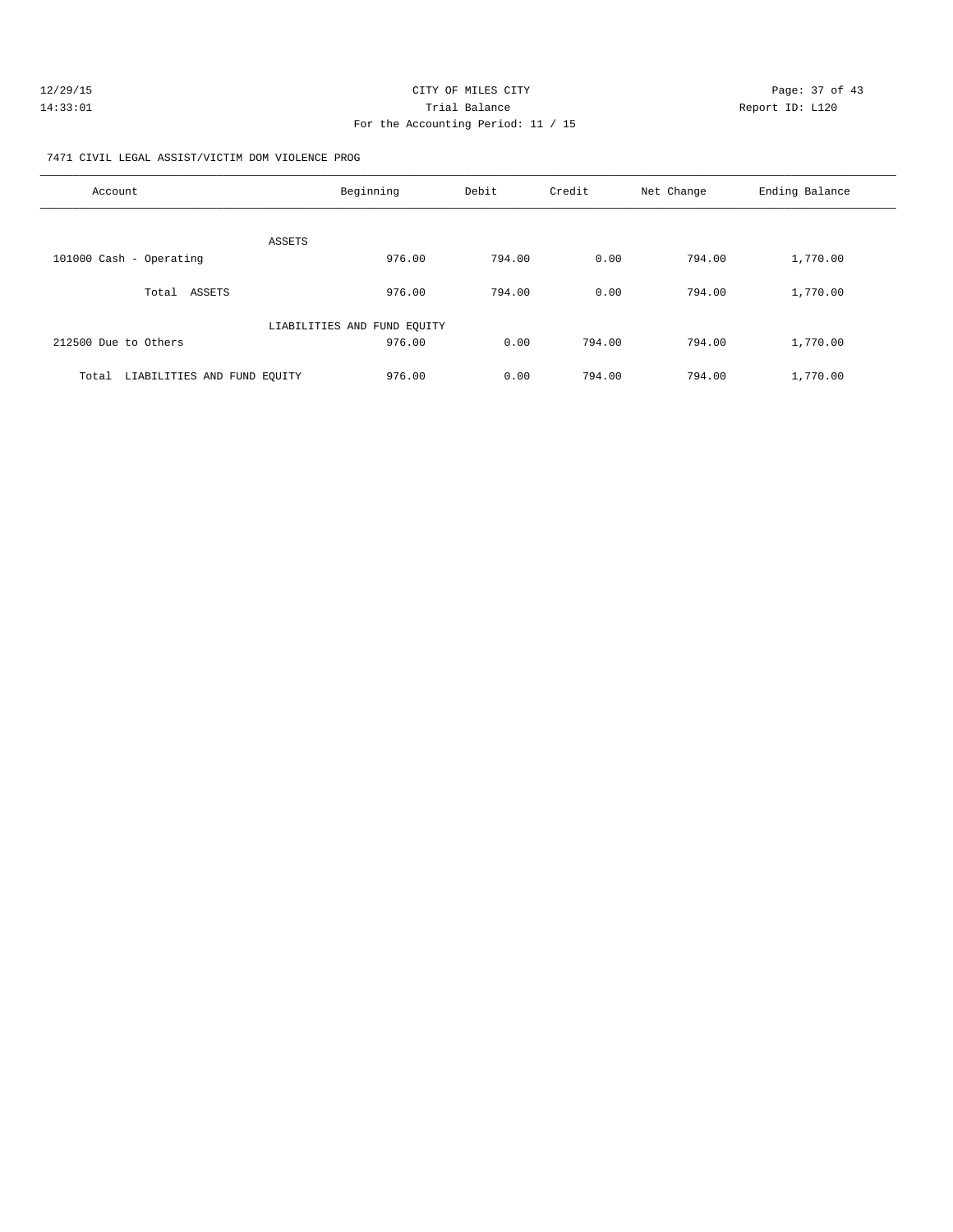| 12/29/15 | CITY OF MILES CITY                 | Page: 37 of 43  |
|----------|------------------------------------|-----------------|
| 14:33:01 | Trial Balance                      | Report ID: L120 |
|          | For the Accounting Period: 11 / 15 |                 |

7471 CIVIL LEGAL ASSIST/VICTIM DOM VIOLENCE PROG

| Account                              | Beginning                   | Debit  | Credit | Net Change | Ending Balance |
|--------------------------------------|-----------------------------|--------|--------|------------|----------------|
| ASSETS                               |                             |        |        |            |                |
| 101000 Cash - Operating              | 976.00                      | 794.00 | 0.00   | 794.00     | 1,770.00       |
| ASSETS<br>Total                      | 976.00                      | 794.00 | 0.00   | 794.00     | 1,770.00       |
|                                      | LIABILITIES AND FUND EQUITY |        |        |            |                |
| 212500 Due to Others                 | 976.00                      | 0.00   | 794.00 | 794.00     | 1,770.00       |
| LIABILITIES AND FUND EQUITY<br>Total | 976.00                      | 0.00   | 794.00 | 794.00     | 1,770.00       |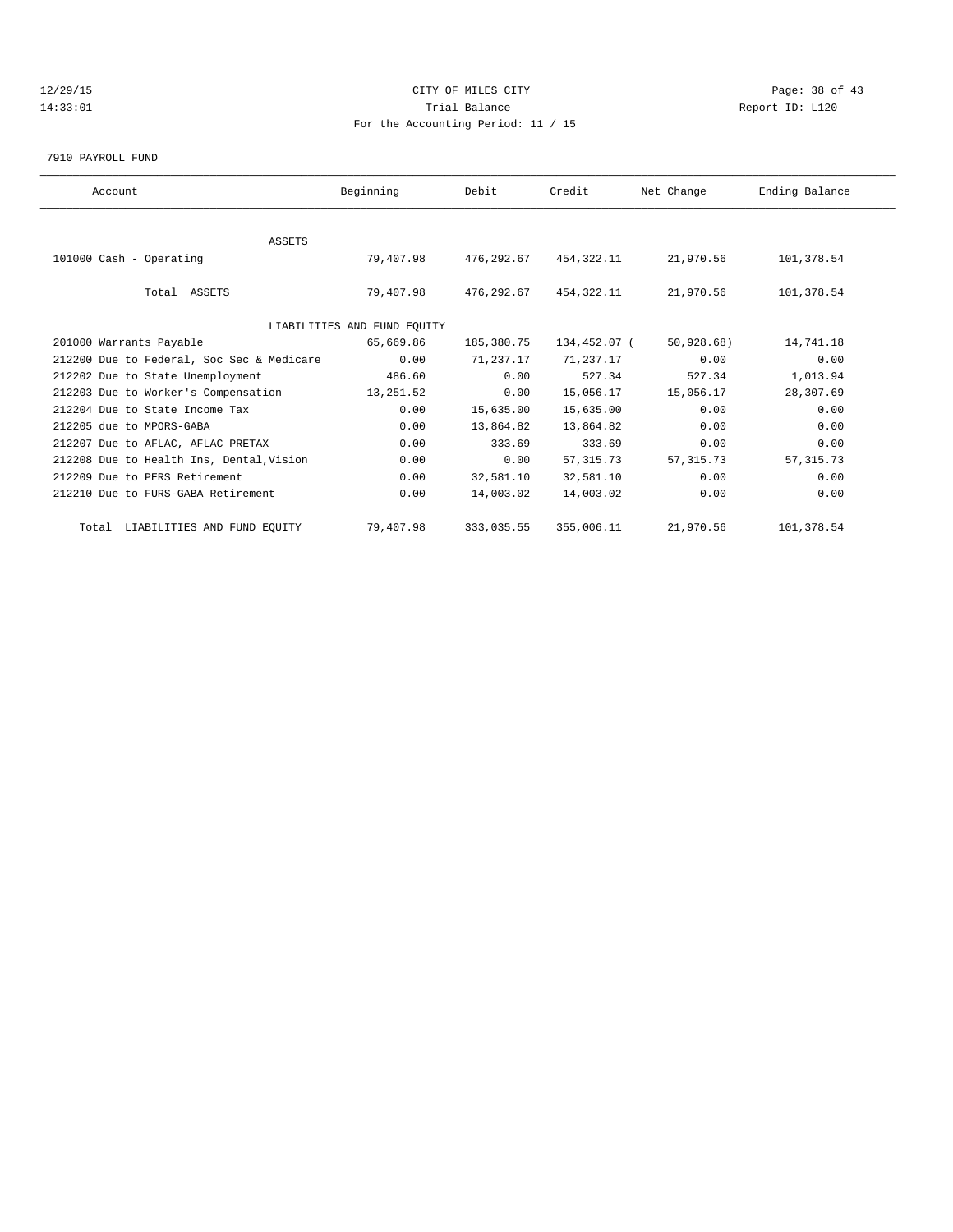## 12/29/15 Page: 38 of 43 14:33:01 Trial Balance Report ID: L120 For the Accounting Period: 11 / 15

7910 PAYROLL FUND

| Account                                   | Beginning                   | Debit      | Credit       | Net Change | Ending Balance |  |
|-------------------------------------------|-----------------------------|------------|--------------|------------|----------------|--|
|                                           |                             |            |              |            |                |  |
| <b>ASSETS</b>                             |                             |            |              |            |                |  |
| 101000 Cash - Operating                   | 79,407.98                   | 476,292.67 | 454,322.11   | 21,970.56  | 101,378.54     |  |
|                                           |                             |            |              |            |                |  |
| Total ASSETS                              | 79,407.98                   | 476,292.67 | 454,322.11   | 21,970.56  | 101,378.54     |  |
|                                           |                             |            |              |            |                |  |
|                                           | LIABILITIES AND FUND EQUITY |            |              |            |                |  |
| 201000 Warrants Payable                   | 65,669.86                   | 185,380.75 | 134,452.07 ( | 50,928.68) | 14,741.18      |  |
| 212200 Due to Federal, Soc Sec & Medicare | 0.00                        | 71,237.17  | 71,237.17    | 0.00       | 0.00           |  |
| 212202 Due to State Unemployment          | 486.60                      | 0.00       | 527.34       | 527.34     | 1,013.94       |  |
| 212203 Due to Worker's Compensation       | 13,251.52                   | 0.00       | 15,056.17    | 15,056.17  | 28,307.69      |  |
| 212204 Due to State Income Tax            | 0.00                        | 15,635.00  | 15,635.00    | 0.00       | 0.00           |  |
| 212205 due to MPORS-GABA                  | 0.00                        | 13,864.82  | 13,864.82    | 0.00       | 0.00           |  |
| 212207 Due to AFLAC, AFLAC PRETAX         | 0.00                        | 333.69     | 333.69       | 0.00       | 0.00           |  |
| 212208 Due to Health Ins, Dental, Vision  | 0.00                        | 0.00       | 57, 315.73   | 57, 315.73 | 57, 315.73     |  |
| 212209 Due to PERS Retirement             | 0.00                        | 32,581.10  | 32,581.10    | 0.00       | 0.00           |  |
| 212210 Due to FURS-GABA Retirement        | 0.00                        | 14,003.02  | 14,003.02    | 0.00       | 0.00           |  |
| Total LIABILITIES AND FUND EQUITY         | 79,407.98                   | 333,035.55 | 355,006.11   | 21,970.56  | 101,378.54     |  |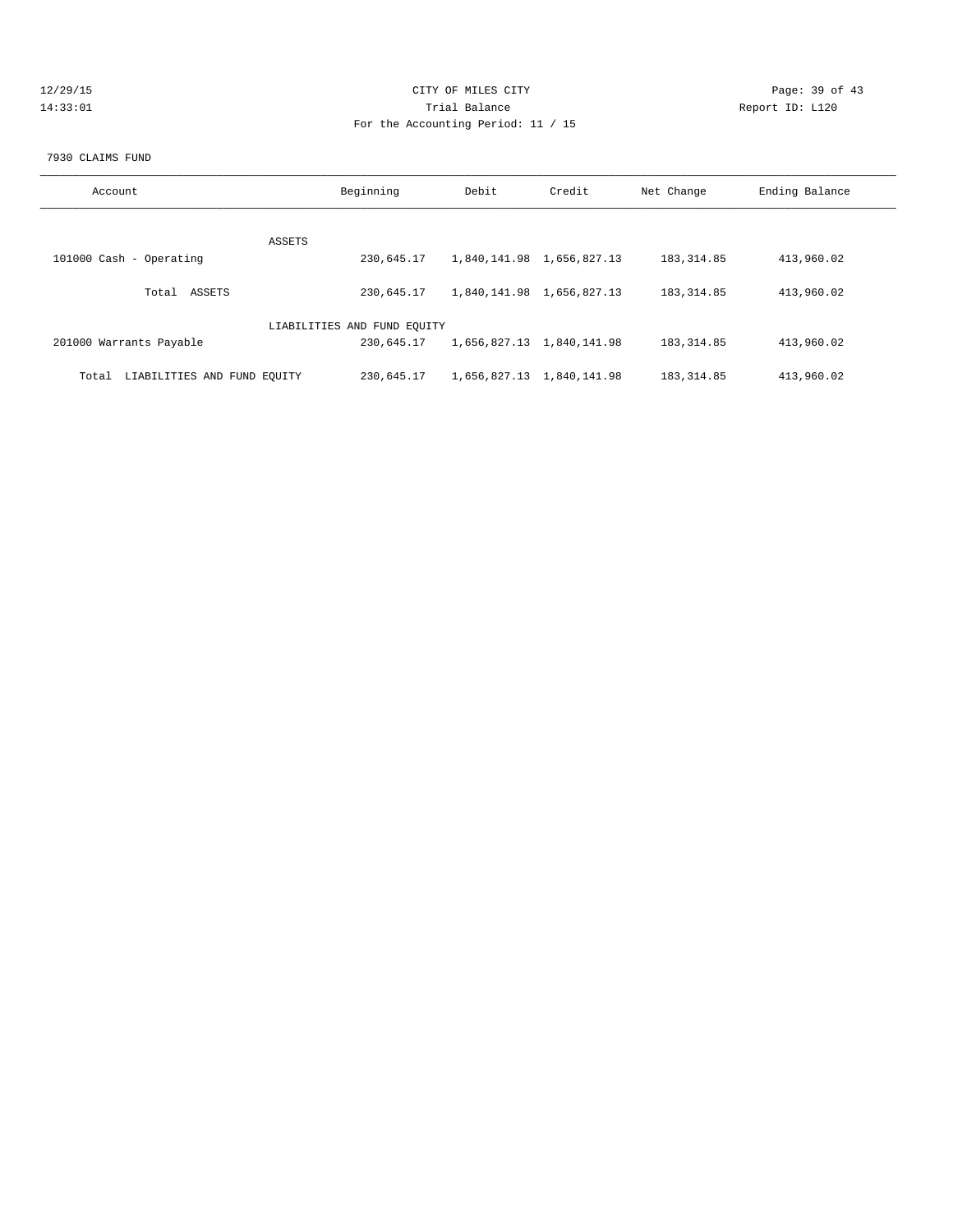| 12/29/1 |      |  |  |  |
|---------|------|--|--|--|
|         | :33: |  |  |  |

## CITY OF MILES CITY CONTROL CONTROL CONTROL CITY CONTROL PAGE: 39 of 43 14:33:01 Trial Balance Report ID: L120 For the Accounting Period: 11 / 15

#### 7930 CLAIMS FUND

| Account                              | Beginning                   | Debit | Credit                    | Net Change   | Ending Balance |
|--------------------------------------|-----------------------------|-------|---------------------------|--------------|----------------|
|                                      | ASSETS                      |       |                           |              |                |
| 101000 Cash - Operating              | 230,645.17                  |       | 1,840,141.98 1,656,827.13 | 183, 314.85  | 413,960.02     |
| Total ASSETS                         | 230,645.17                  |       | 1,840,141.98 1,656,827.13 | 183, 314.85  | 413,960.02     |
|                                      | LIABILITIES AND FUND EQUITY |       |                           |              |                |
| 201000 Warrants Payable              | 230,645.17                  |       | 1,656,827.13 1,840,141.98 | 183, 314.85  | 413,960.02     |
| LIABILITIES AND FUND EOUITY<br>Total | 230,645.17                  |       | 1,656,827.13 1,840,141.98 | 183, 314, 85 | 413,960.02     |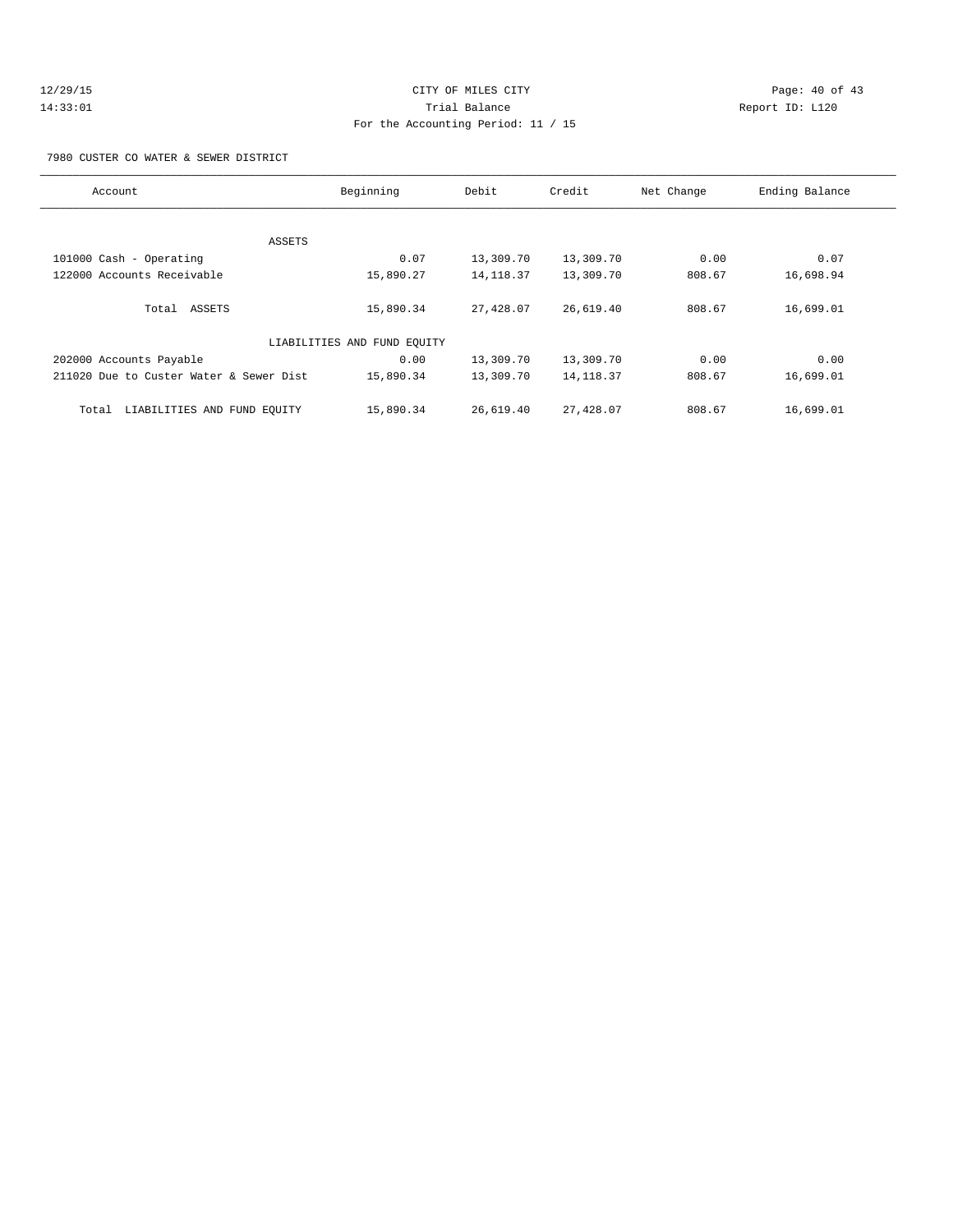## 12/29/15 **Page: 40 of 43** CITY OF MILES CITY **Page: 40 of 43** 14:33:01 Trial Balance Report ID: L120 For the Accounting Period: 11 / 15

7980 CUSTER CO WATER & SEWER DISTRICT

| Account                                 | Beginning                   | Debit      | Credit     | Net Change | Ending Balance |
|-----------------------------------------|-----------------------------|------------|------------|------------|----------------|
|                                         |                             |            |            |            |                |
| ASSETS                                  |                             |            |            |            |                |
| 101000 Cash - Operating                 | 0.07                        | 13,309.70  | 13,309.70  | 0.00       | 0.07           |
| 122000 Accounts Receivable              | 15,890.27                   | 14, 118.37 | 13,309.70  | 808.67     | 16,698.94      |
| Total ASSETS                            | 15,890.34                   | 27,428.07  | 26,619.40  | 808.67     | 16,699.01      |
|                                         |                             |            |            |            |                |
|                                         | LIABILITIES AND FUND EQUITY |            |            |            |                |
| 202000 Accounts Payable                 | 0.00                        | 13,309.70  | 13,309.70  | 0.00       | 0.00           |
| 211020 Due to Custer Water & Sewer Dist | 15,890.34                   | 13,309.70  | 14, 118.37 | 808.67     | 16,699.01      |
| LIABILITIES AND FUND EQUITY<br>Total    | 15,890.34                   | 26,619.40  | 27,428.07  | 808.67     | 16,699.01      |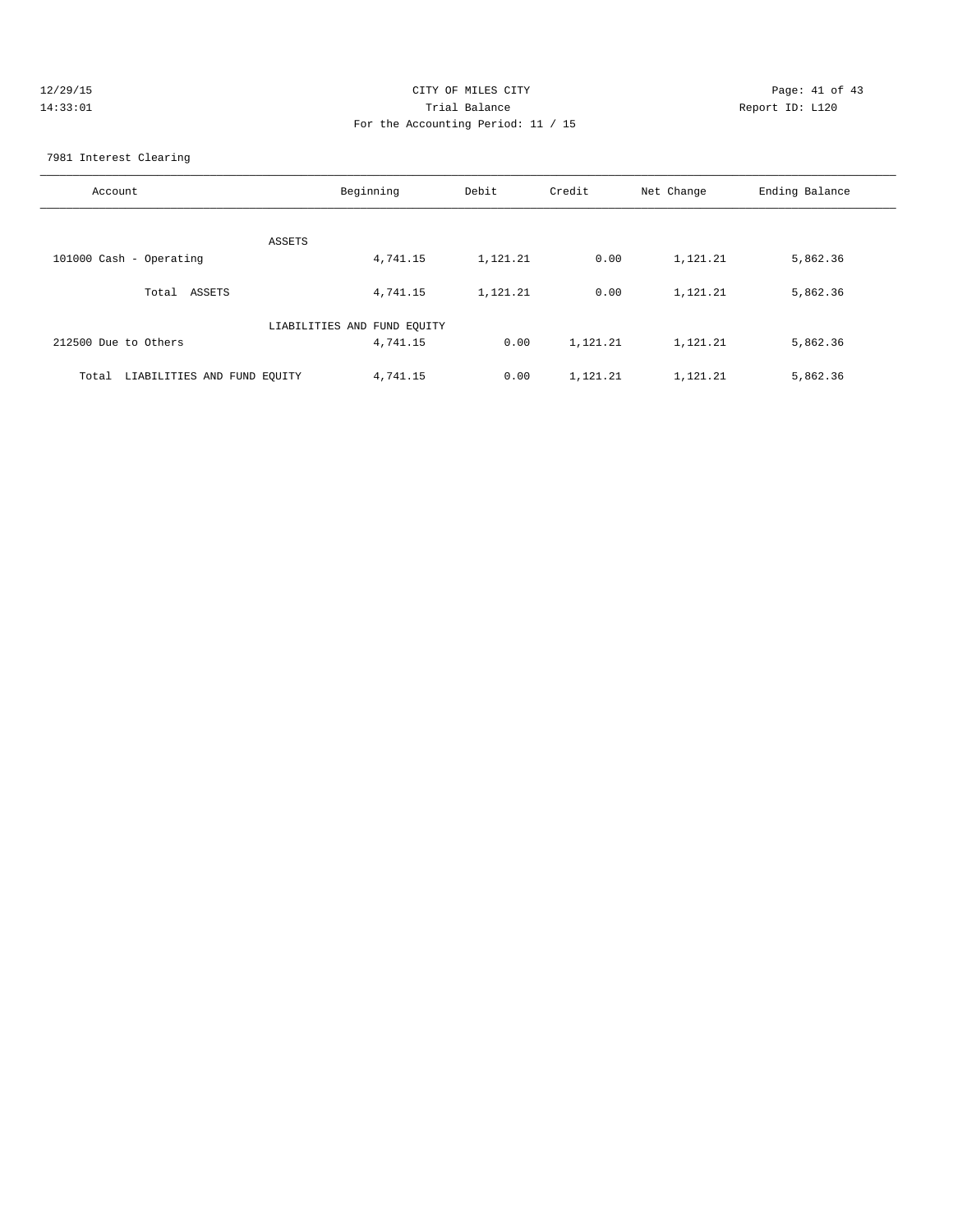| 12/29/15 | CITY OF MILES CITY                 | Page: 41 of 43  |
|----------|------------------------------------|-----------------|
| 14:33:01 | Trial Balance                      | Report ID: L120 |
|          | For the Accounting Period: 11 / 15 |                 |
|          |                                    |                 |

#### 7981 Interest Clearing

| Account                              | Beginning                   | Debit    | Credit   | Net Change | Ending Balance |
|--------------------------------------|-----------------------------|----------|----------|------------|----------------|
| ASSETS                               |                             |          |          |            |                |
| 101000 Cash - Operating              | 4,741.15                    | 1,121.21 | 0.00     | 1,121.21   | 5,862.36       |
| ASSETS<br>Total                      | 4,741.15                    | 1,121.21 | 0.00     | 1,121.21   | 5,862.36       |
|                                      | LIABILITIES AND FUND EQUITY |          |          |            |                |
| 212500 Due to Others                 | 4,741.15                    | 0.00     | 1,121.21 | 1,121.21   | 5,862.36       |
| LIABILITIES AND FUND EQUITY<br>Total | 4,741.15                    | 0.00     | 1,121.21 | 1,121.21   | 5,862.36       |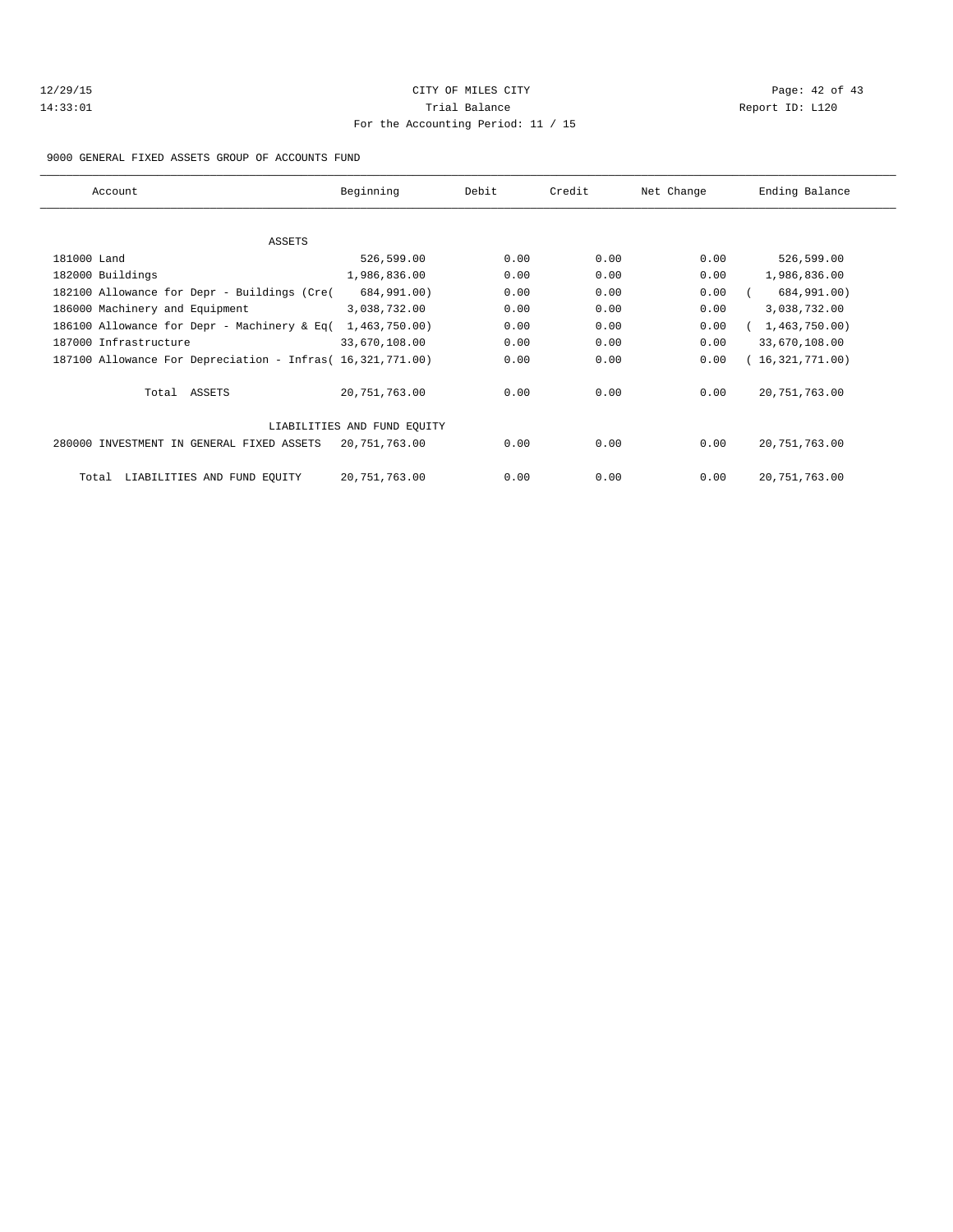## 12/29/15 Page: 42 of 43 14:33:01 Trial Balance Report ID: L120 For the Accounting Period: 11 / 15

#### 9000 GENERAL FIXED ASSETS GROUP OF ACCOUNTS FUND

|                             | Account                                                    | Beginning     | Debit | Credit | Net Change | Ending Balance  |
|-----------------------------|------------------------------------------------------------|---------------|-------|--------|------------|-----------------|
|                             |                                                            |               |       |        |            |                 |
|                             | ASSETS                                                     |               |       |        |            |                 |
|                             | 181000 Land                                                | 526,599.00    | 0.00  | 0.00   | 0.00       | 526,599.00      |
|                             | 182000 Buildings                                           | 1,986,836.00  | 0.00  | 0.00   | 0.00       | 1,986,836.00    |
|                             | 182100 Allowance for Depr - Buildings (Cre(                | 684,991.00)   | 0.00  | 0.00   | 0.00       | 684,991.00)     |
|                             | 186000 Machinery and Equipment                             | 3,038,732.00  | 0.00  | 0.00   | 0.00       | 3,038,732.00    |
|                             | 186100 Allowance for Depr - Machinery & Eq(                | 1,463,750.00) | 0.00  | 0.00   | 0.00       | 1,463,750.00)   |
|                             | 187000 Infrastructure                                      | 33,670,108.00 | 0.00  | 0.00   | 0.00       | 33,670,108.00   |
|                             | 187100 Allowance For Depreciation - Infras( 16,321,771.00) |               | 0.00  | 0.00   | 0.00       | (16,321,771.00) |
|                             | Total ASSETS                                               | 20,751,763.00 | 0.00  | 0.00   | 0.00       | 20, 751, 763.00 |
| LIABILITIES AND FUND EQUITY |                                                            |               |       |        |            |                 |
|                             | 280000 INVESTMENT IN GENERAL FIXED ASSETS                  | 20,751,763.00 | 0.00  | 0.00   | 0.00       | 20, 751, 763.00 |
|                             | LIABILITIES AND FUND EQUITY<br>Total                       | 20,751,763.00 | 0.00  | 0.00   | 0.00       | 20, 751, 763.00 |